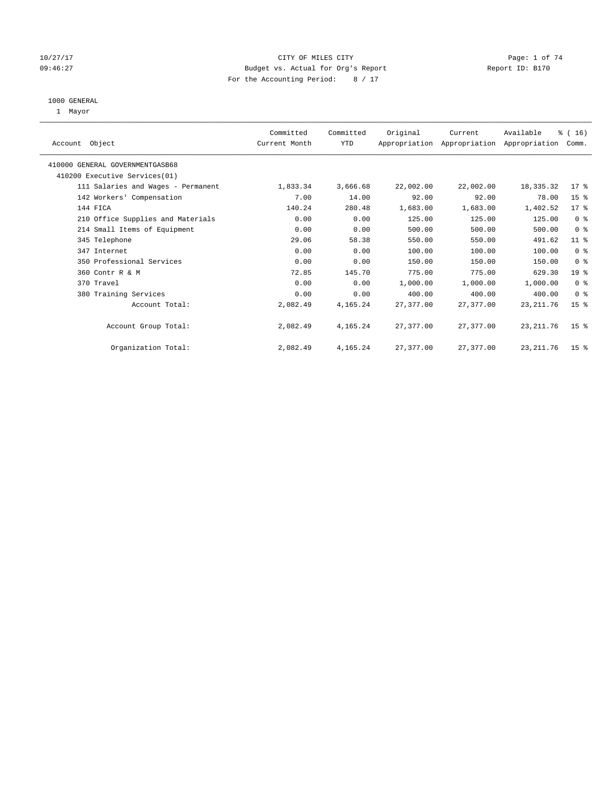### 10/27/17 Page: 1 of 74 09:46:27 Budget vs. Actual for Org's Report Changer Report ID: B170 For the Accounting Period: 8 / 17

#### 1000 GENERAL

1 Mayor

| Account Object |                                    | Committed<br>Current Month | Committed<br><b>YTD</b> | Original  | Current<br>Appropriation Appropriation Appropriation | Available  | % (16)<br>Comm. |
|----------------|------------------------------------|----------------------------|-------------------------|-----------|------------------------------------------------------|------------|-----------------|
|                | 410000 GENERAL GOVERNMENTGASB68    |                            |                         |           |                                                      |            |                 |
|                | 410200 Executive Services (01)     |                            |                         |           |                                                      |            |                 |
|                | 111 Salaries and Wages - Permanent | 1,833.34                   | 3,666.68                | 22,002.00 | 22,002.00                                            | 18,335.32  | $17$ %          |
|                | 142 Workers' Compensation          | 7.00                       | 14.00                   | 92.00     | 92.00                                                | 78.00      | 15 <sup>8</sup> |
|                | 144 FICA                           | 140.24                     | 280.48                  | 1,683.00  | 1,683.00                                             | 1,402.52   | $17*$           |
|                | 210 Office Supplies and Materials  | 0.00                       | 0.00                    | 125.00    | 125.00                                               | 125.00     | 0 <sup>8</sup>  |
|                | 214 Small Items of Equipment       | 0.00                       | 0.00                    | 500.00    | 500.00                                               | 500.00     | 0 <sup>8</sup>  |
|                | 345 Telephone                      | 29.06                      | 58.38                   | 550.00    | 550.00                                               | 491.62     | $11$ %          |
|                | 347 Internet                       | 0.00                       | 0.00                    | 100.00    | 100.00                                               | 100.00     | 0 <sup>8</sup>  |
|                | 350 Professional Services          | 0.00                       | 0.00                    | 150.00    | 150.00                                               | 150.00     | 0 <sup>8</sup>  |
|                | 360 Contr R & M                    | 72.85                      | 145.70                  | 775.00    | 775.00                                               | 629.30     | 19 <sup>°</sup> |
|                | 370 Travel                         | 0.00                       | 0.00                    | 1,000.00  | 1,000.00                                             | 1,000.00   | 0 <sup>8</sup>  |
|                | 380 Training Services              | 0.00                       | 0.00                    | 400.00    | 400.00                                               | 400.00     | 0 <sup>8</sup>  |
|                | Account Total:                     | 2,082.49                   | 4,165.24                | 27,377.00 | 27, 377, 00                                          | 23, 211.76 | 15 <sup>8</sup> |
|                | Account Group Total:               | 2,082.49                   | 4,165.24                | 27,377.00 | 27,377.00                                            | 23, 211.76 | 15 <sup>8</sup> |
|                | Organization Total:                | 2,082.49                   | 4,165.24                | 27,377.00 | 27,377.00                                            | 23, 211.76 | 15 <sup>8</sup> |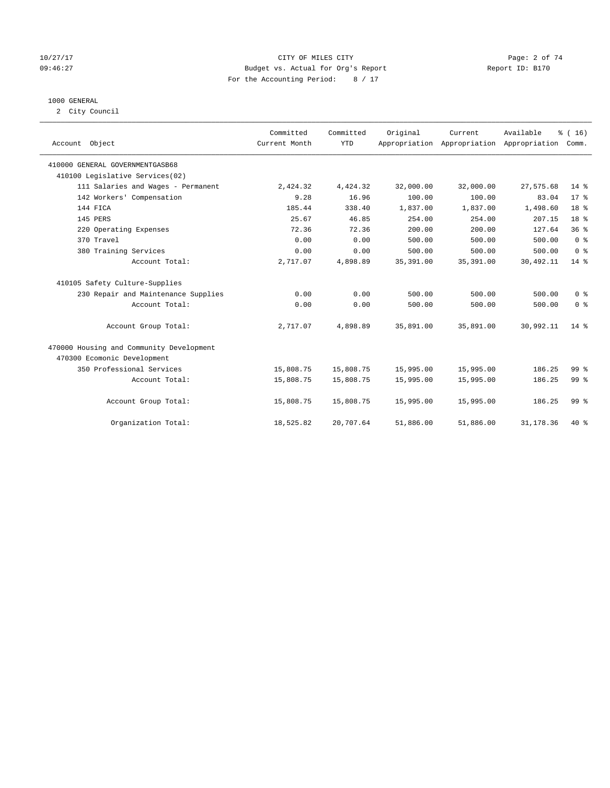#### 10/27/17 CITY OF MILES CITY Page: 2 of 74 09:46:27 Budget vs. Actual for Org's Report Changer Report ID: B170 For the Accounting Period: 8 / 17

#### 1000 GENERAL

2 City Council

| Account Object                           | Committed<br>Current Month | Committed<br><b>YTD</b> | Original   | Current<br>Appropriation Appropriation Appropriation | Available  | % (16)<br>Comm.                    |
|------------------------------------------|----------------------------|-------------------------|------------|------------------------------------------------------|------------|------------------------------------|
| 410000 GENERAL GOVERNMENTGASB68          |                            |                         |            |                                                      |            |                                    |
| 410100 Legislative Services(02)          |                            |                         |            |                                                      |            |                                    |
| 111 Salaries and Wages - Permanent       | 2,424.32                   | 4,424.32                | 32,000.00  | 32,000.00                                            | 27,575.68  | $14*$                              |
| 142 Workers' Compensation                | 9.28                       | 16.96                   | 100.00     | 100.00                                               | 83.04      | $17*$                              |
| 144 FICA                                 | 185.44                     | 338.40                  | 1,837.00   | 1,837.00                                             | 1,498.60   | 18 <sup>8</sup>                    |
| 145 PERS                                 | 25.67                      | 46.85                   | 254.00     | 254.00                                               | 207.15     | 18 %                               |
| 220 Operating Expenses                   | 72.36                      | 72.36                   | 200.00     | 200.00                                               | 127.64     | 36%                                |
| 370 Travel                               | 0.00                       | 0.00                    | 500.00     | 500.00                                               | 500.00     | 0 <sup>8</sup>                     |
| 380 Training Services                    | 0.00                       | 0.00                    | 500.00     | 500.00                                               | 500.00     | 0 <sup>8</sup>                     |
| Account Total:                           | 2,717.07                   | 4,898.89                | 35, 391.00 | 35, 391.00                                           | 30,492.11  | 14 %                               |
| 410105 Safety Culture-Supplies           |                            |                         |            |                                                      |            |                                    |
| 230 Repair and Maintenance Supplies      | 0.00                       | 0.00                    | 500.00     | 500.00                                               | 500.00     | 0 <sup>8</sup>                     |
| Account Total:                           | 0.00                       | 0.00                    | 500.00     | 500.00                                               | 500.00     | $0 \text{ }$ $\text{ }$ $\text{ }$ |
| Account Group Total:                     | 2,717.07                   | 4,898.89                | 35,891.00  | 35,891.00                                            | 30,992.11  | $14*$                              |
| 470000 Housing and Community Development |                            |                         |            |                                                      |            |                                    |
| 470300 Ecomonic Development              |                            |                         |            |                                                      |            |                                    |
| 350 Professional Services                | 15,808.75                  | 15,808.75               | 15,995.00  | 15,995.00                                            | 186.25     | 99 <sub>8</sub>                    |
| Account Total:                           | 15,808.75                  | 15,808.75               | 15,995.00  | 15,995.00                                            | 186.25     | 99 <sup>8</sup>                    |
| Account Group Total:                     | 15,808.75                  | 15,808.75               | 15,995.00  | 15,995.00                                            | 186.25     | 99 <sup>8</sup>                    |
| Organization Total:                      | 18,525.82                  | 20,707.64               | 51,886.00  | 51,886.00                                            | 31, 178.36 | $40*$                              |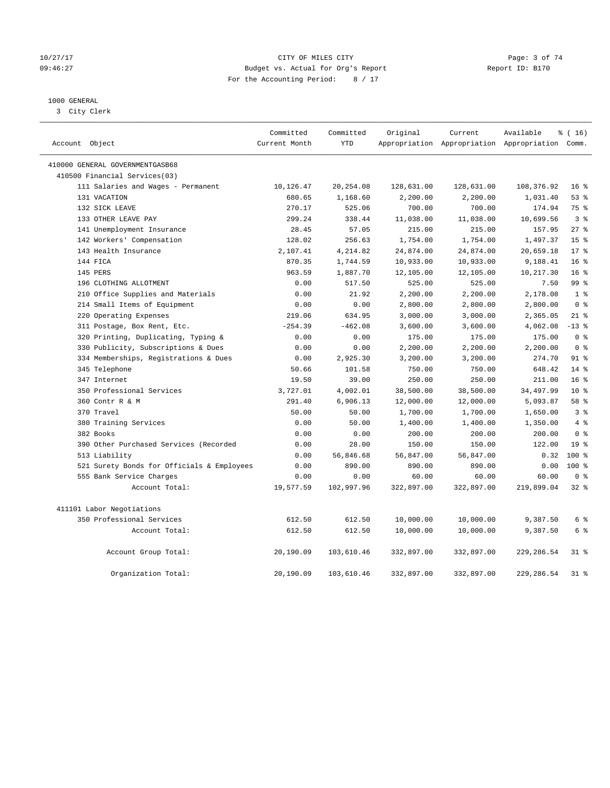#### 10/27/17 CITY OF MILES CITY Page: 3 of 74 09:46:27 Budget vs. Actual for Org's Report Changer Report ID: B170 For the Accounting Period: 8 / 17

### 1000 GENERAL

3 City Clerk

|                |                                            | Committed     | Committed  | Original   | Current    | Available                                       | % (16)          |
|----------------|--------------------------------------------|---------------|------------|------------|------------|-------------------------------------------------|-----------------|
| Account Object |                                            | Current Month | <b>YTD</b> |            |            | Appropriation Appropriation Appropriation Comm. |                 |
|                | 410000 GENERAL GOVERNMENTGASB68            |               |            |            |            |                                                 |                 |
|                | 410500 Financial Services(03)              |               |            |            |            |                                                 |                 |
|                | 111 Salaries and Wages - Permanent         | 10,126.47     | 20, 254.08 | 128,631.00 | 128,631.00 | 108,376.92                                      | 16 <sup>°</sup> |
|                | 131 VACATION                               | 680.65        | 1,168.60   | 2,200.00   | 2,200.00   | 1,031.40                                        | 53%             |
|                | 132 SICK LEAVE                             | 270.17        | 525.06     | 700.00     | 700.00     | 174.94                                          | 75 %            |
|                | 133 OTHER LEAVE PAY                        | 299.24        | 338.44     | 11,038.00  | 11,038.00  | 10,699.56                                       | 3 <sup>8</sup>  |
|                | 141 Unemployment Insurance                 | 28.45         | 57.05      | 215.00     | 215.00     | 157.95                                          | 27%             |
|                | 142 Workers' Compensation                  | 128.02        | 256.63     | 1,754.00   | 1,754.00   | 1,497.37                                        | 15 <sup>°</sup> |
|                | 143 Health Insurance                       | 2,107.41      | 4,214.82   | 24,874.00  | 24,874.00  | 20,659.18                                       | $17*$           |
|                | 144 FICA                                   | 870.35        | 1,744.59   | 10,933.00  | 10,933.00  | 9,188.41                                        | 16 <sup>8</sup> |
|                | 145 PERS                                   | 963.59        | 1,887.70   | 12,105.00  | 12,105.00  | 10,217.30                                       | 16 <sup>8</sup> |
|                | 196 CLOTHING ALLOTMENT                     | 0.00          | 517.50     | 525.00     | 525.00     | 7.50                                            | 99 %            |
|                | 210 Office Supplies and Materials          | 0.00          | 21.92      | 2,200.00   | 2,200.00   | 2,178.08                                        | 1 <sup>8</sup>  |
|                | 214 Small Items of Equipment               | 0.00          | 0.00       | 2,800.00   | 2,800.00   | 2,800.00                                        | 0 <sup>8</sup>  |
|                | 220 Operating Expenses                     | 219.06        | 634.95     | 3,000.00   | 3,000.00   | 2,365.05                                        | $21$ %          |
|                | 311 Postage, Box Rent, Etc.                | $-254.39$     | $-462.08$  | 3,600.00   | 3,600.00   | 4,062.08                                        | $-13$ %         |
|                | 320 Printing, Duplicating, Typing &        | 0.00          | 0.00       | 175.00     | 175.00     | 175.00                                          | 0 <sup>8</sup>  |
|                | 330 Publicity, Subscriptions & Dues        | 0.00          | 0.00       | 2,200.00   | 2,200.00   | 2,200.00                                        | 0 <sup>8</sup>  |
|                | 334 Memberships, Registrations & Dues      | 0.00          | 2,925.30   | 3,200.00   | 3,200.00   | 274.70                                          | $91$ %          |
|                | 345 Telephone                              | 50.66         | 101.58     | 750.00     | 750.00     | 648.42                                          | $14*$           |
|                | 347 Internet                               | 19.50         | 39.00      | 250.00     | 250.00     | 211.00                                          | 16 <sup>8</sup> |
|                | 350 Professional Services                  | 3,727.01      | 4,002.01   | 38,500.00  | 38,500.00  | 34,497.99                                       | $10*$           |
|                | 360 Contr R & M                            | 291.40        | 6,906.13   | 12,000.00  | 12,000.00  | 5,093.87                                        | 58 %            |
|                | 370 Travel                                 | 50.00         | 50.00      | 1,700.00   | 1,700.00   | 1,650.00                                        | 3 <sup>°</sup>  |
|                | 380 Training Services                      | 0.00          | 50.00      | 1,400.00   | 1,400.00   | 1,350.00                                        | 4%              |
|                | 382 Books                                  | 0.00          | 0.00       | 200.00     | 200.00     | 200.00                                          | 0 <sup>8</sup>  |
|                | 390 Other Purchased Services (Recorded     | 0.00          | 28.00      | 150.00     | 150.00     | 122.00                                          | 19 <sup>°</sup> |
|                | 513 Liability                              | 0.00          | 56,846.68  | 56,847.00  | 56,847.00  | 0.32                                            | $100*$          |
|                | 521 Surety Bonds for Officials & Employees | 0.00          | 890.00     | 890.00     | 890.00     | 0.00                                            | $100*$          |
|                | 555 Bank Service Charges                   | 0.00          | 0.00       | 60.00      | 60.00      | 60.00                                           | 0 <sup>8</sup>  |
|                | Account Total:                             | 19,577.59     | 102,997.96 | 322,897.00 | 322,897.00 | 219,899.04                                      | 32%             |
|                | 411101 Labor Negotiations                  |               |            |            |            |                                                 |                 |
|                | 350 Professional Services                  | 612.50        | 612.50     | 10,000.00  | 10,000.00  | 9,387.50                                        | 6 %             |
|                | Account Total:                             | 612.50        | 612.50     | 10,000.00  | 10,000.00  | 9,387.50                                        | 6 %             |
|                | Account Group Total:                       | 20,190.09     | 103,610.46 | 332,897.00 | 332,897.00 | 229, 286.54                                     | $31$ %          |
|                | Organization Total:                        | 20,190.09     | 103,610.46 | 332,897.00 | 332,897.00 | 229, 286.54                                     | $31$ %          |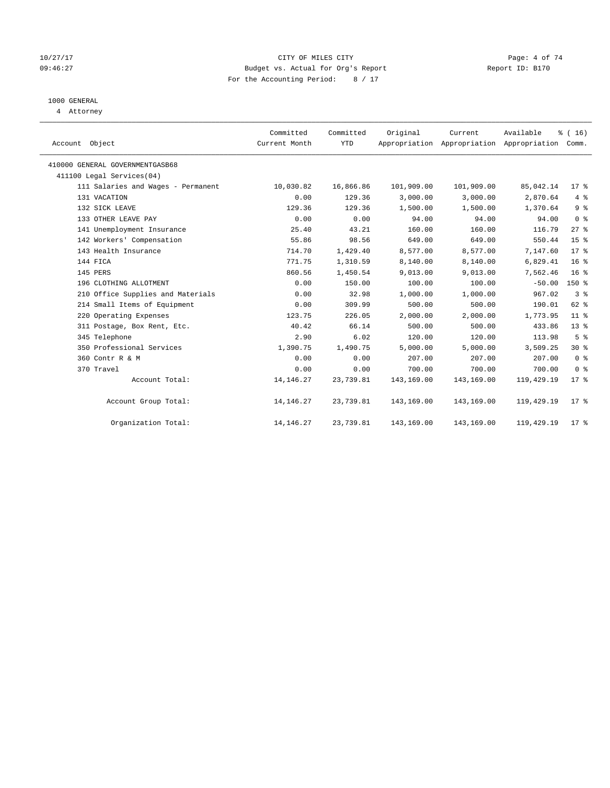### 10/27/17 Page: 4 of 74 09:46:27 Budget vs. Actual for Org's Report Changer Report ID: B170 For the Accounting Period: 8 / 17

## 1000 GENERAL

4 Attorney

| Account Object                     | Committed<br>Current Month | Committed<br><b>YTD</b> | Original   | Current<br>Appropriation Appropriation Appropriation Comm. | Available  | % (16)          |
|------------------------------------|----------------------------|-------------------------|------------|------------------------------------------------------------|------------|-----------------|
| 410000 GENERAL GOVERNMENTGASB68    |                            |                         |            |                                                            |            |                 |
| 411100 Legal Services(04)          |                            |                         |            |                                                            |            |                 |
| 111 Salaries and Wages - Permanent | 10,030.82                  | 16,866.86               | 101,909.00 | 101,909.00                                                 | 85,042.14  | $17*$           |
| 131 VACATION                       | 0.00                       | 129.36                  | 3,000.00   | 3,000.00                                                   | 2,870.64   | 4%              |
| 132 SICK LEAVE                     | 129.36                     | 129.36                  | 1,500.00   | 1,500.00                                                   | 1,370.64   | 9 <sup>°</sup>  |
| 133 OTHER LEAVE PAY                | 0.00                       | 0.00                    | 94.00      | 94.00                                                      | 94.00      | 0 <sup>8</sup>  |
| 141 Unemployment Insurance         | 25.40                      | 43.21                   | 160.00     | 160.00                                                     | 116.79     | $27$ $%$        |
| 142 Workers' Compensation          | 55.86                      | 98.56                   | 649.00     | 649.00                                                     | 550.44     | 15 <sup>8</sup> |
| 143 Health Insurance               | 714.70                     | 1,429.40                | 8,577.00   | 8,577.00                                                   | 7,147.60   | $17*$           |
| 144 FICA                           | 771.75                     | 1,310.59                | 8,140.00   | 8,140.00                                                   | 6,829.41   | 16 <sup>°</sup> |
| 145 PERS                           | 860.56                     | 1,450.54                | 9,013.00   | 9,013.00                                                   | 7,562.46   | 16 <sup>°</sup> |
| 196 CLOTHING ALLOTMENT             | 0.00                       | 150.00                  | 100.00     | 100.00                                                     | $-50.00$   | $150*$          |
| 210 Office Supplies and Materials  | 0.00                       | 32.98                   | 1,000.00   | 1,000.00                                                   | 967.02     | 3%              |
| 214 Small Items of Equipment       | 0.00                       | 309.99                  | 500.00     | 500.00                                                     | 190.01     | 62 %            |
| 220 Operating Expenses             | 123.75                     | 226.05                  | 2,000.00   | 2,000.00                                                   | 1,773.95   | 11 <sup>8</sup> |
| 311 Postage, Box Rent, Etc.        | 40.42                      | 66.14                   | 500.00     | 500.00                                                     | 433.86     | $13*$           |
| 345 Telephone                      | 2.90                       | 6.02                    | 120.00     | 120.00                                                     | 113.98     | 5 <sup>°</sup>  |
| 350 Professional Services          | 1,390.75                   | 1,490.75                | 5,000.00   | 5,000.00                                                   | 3,509.25   | $30*$           |
| 360 Contr R & M                    | 0.00                       | 0.00                    | 207.00     | 207.00                                                     | 207.00     | 0 <sup>8</sup>  |
| 370 Travel                         | 0.00                       | 0.00                    | 700.00     | 700.00                                                     | 700.00     | 0 <sup>8</sup>  |
| Account Total:                     | 14, 146. 27                | 23,739.81               | 143,169.00 | 143,169.00                                                 | 119,429.19 | $17*$           |
| Account Group Total:               | 14, 146. 27                | 23,739.81               | 143,169.00 | 143,169.00                                                 | 119,429.19 | $17*$           |
| Organization Total:                | 14, 146. 27                | 23,739.81               | 143,169.00 | 143,169.00                                                 | 119,429.19 | $17*$           |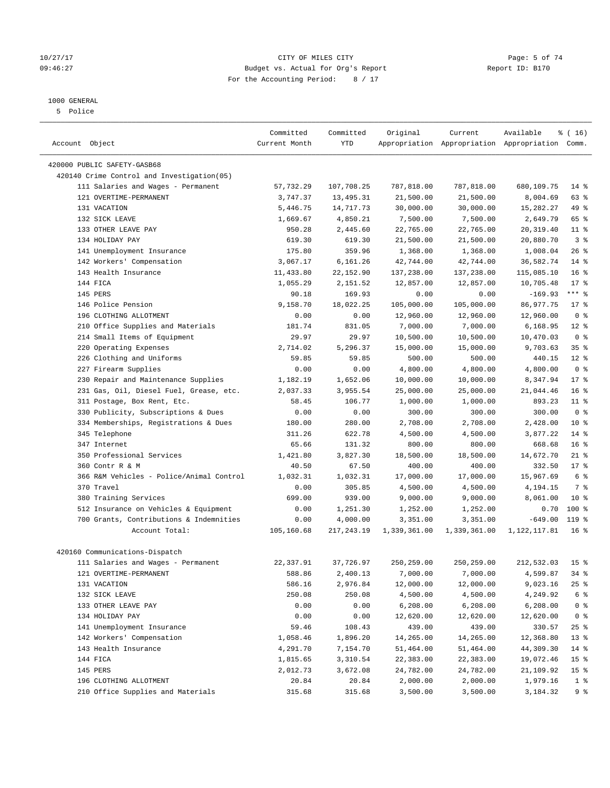#### 1000 GENERAL

5 Police

|                                             | Committed     | Committed  | Original     | Current      | Available                                       | % (16)           |
|---------------------------------------------|---------------|------------|--------------|--------------|-------------------------------------------------|------------------|
| Account Object                              | Current Month | YTD        |              |              | Appropriation Appropriation Appropriation Comm. |                  |
| 420000 PUBLIC SAFETY-GASB68                 |               |            |              |              |                                                 |                  |
| 420140 Crime Control and Investigation (05) |               |            |              |              |                                                 |                  |
| 111 Salaries and Wages - Permanent          | 57,732.29     | 107,708.25 | 787,818.00   | 787,818.00   | 680,109.75                                      | $14*$            |
| 121 OVERTIME-PERMANENT                      | 3,747.37      | 13,495.31  | 21,500.00    | 21,500.00    | 8,004.69                                        | 63 %             |
| 131 VACATION                                | 5,446.75      | 14,717.73  | 30,000.00    | 30,000.00    | 15,282.27                                       | 49 %             |
| 132 SICK LEAVE                              | 1,669.67      | 4,850.21   | 7,500.00     | 7,500.00     | 2,649.79                                        | 65 %             |
| 133 OTHER LEAVE PAY                         | 950.28        | 2,445.60   | 22,765.00    | 22,765.00    | 20, 319.40                                      | 11 <sup>°</sup>  |
| 134 HOLIDAY PAY                             | 619.30        | 619.30     | 21,500.00    | 21,500.00    | 20,880.70                                       | 3 <sup>8</sup>   |
| 141 Unemployment Insurance                  | 175.80        | 359.96     | 1,368.00     | 1,368.00     | 1,008.04                                        | 26%              |
| 142 Workers' Compensation                   | 3,067.17      | 6,161.26   | 42,744.00    | 42,744.00    | 36,582.74                                       | $14*$            |
| 143 Health Insurance                        | 11,433.80     | 22,152.90  | 137,238.00   | 137,238.00   | 115,085.10                                      | 16 <sup>8</sup>  |
| 144 FICA                                    | 1,055.29      | 2,151.52   | 12,857.00    | 12,857.00    | 10,705.48                                       | $17*$            |
| 145 PERS                                    | 90.18         | 169.93     | 0.00         | 0.00         | $-169.93$                                       | $***$ $-$        |
| 146 Police Pension                          | 9,158.70      | 18,022.25  | 105,000.00   | 105,000.00   | 86,977.75                                       | $17*$            |
| 196 CLOTHING ALLOTMENT                      | 0.00          | 0.00       | 12,960.00    | 12,960.00    | 12,960.00                                       | 0 <sup>8</sup>   |
| 210 Office Supplies and Materials           | 181.74        | 831.05     | 7,000.00     | 7,000.00     | 6,168.95                                        | $12*$            |
| 214 Small Items of Equipment                | 29.97         | 29.97      | 10,500.00    | 10,500.00    | 10,470.03                                       | 0 <sup>8</sup>   |
| 220 Operating Expenses                      | 2,714.02      | 5,296.37   | 15,000.00    | 15,000.00    | 9,703.63                                        | 35%              |
| 226 Clothing and Uniforms                   | 59.85         | 59.85      | 500.00       | 500.00       | 440.15                                          | $12*$            |
| 227 Firearm Supplies                        | 0.00          | 0.00       | 4,800.00     | 4,800.00     | 4,800.00                                        | 0 <sup>8</sup>   |
| 230 Repair and Maintenance Supplies         | 1,182.19      | 1,652.06   | 10,000.00    | 10,000.00    | 8,347.94                                        | $17*$            |
| 231 Gas, Oil, Diesel Fuel, Grease, etc.     | 2,037.33      | 3,955.54   | 25,000.00    | 25,000.00    | 21,044.46                                       | 16 <sup>°</sup>  |
| 311 Postage, Box Rent, Etc.                 | 58.45         | 106.77     | 1,000.00     | 1,000.00     | 893.23                                          | 11 <sup>°</sup>  |
| 330 Publicity, Subscriptions & Dues         | 0.00          | 0.00       | 300.00       | 300.00       | 300.00                                          | 0 <sup>8</sup>   |
| 334 Memberships, Registrations & Dues       | 180.00        | 280.00     | 2,708.00     | 2,708.00     | 2,428.00                                        | $10*$            |
| 345 Telephone                               | 311.26        | 622.78     | 4,500.00     | 4,500.00     | 3,877.22                                        | 14 %             |
| 347 Internet                                | 65.66         | 131.32     | 800.00       | 800.00       | 668.68                                          | 16 <sup>°</sup>  |
| 350 Professional Services                   | 1,421.80      | 3,827.30   | 18,500.00    | 18,500.00    | 14,672.70                                       | $21$ %           |
| 360 Contr R & M                             | 40.50         | 67.50      | 400.00       | 400.00       | 332.50                                          | $17*$            |
| 366 R&M Vehicles - Police/Animal Control    | 1,032.31      | 1,032.31   | 17,000.00    | 17,000.00    | 15,967.69                                       | 6 <sup>8</sup>   |
| 370 Travel                                  | 0.00          | 305.85     | 4,500.00     | 4,500.00     | 4,194.15                                        | 7 %              |
| 380 Training Services                       | 699.00        | 939.00     | 9,000.00     | 9,000.00     | 8,061.00                                        | $10*$            |
| 512 Insurance on Vehicles & Equipment       | 0.00          | 1,251.30   | 1,252.00     | 1,252.00     | 0.70                                            | $100*$           |
| 700 Grants, Contributions & Indemnities     | 0.00          | 4,000.00   | 3,351.00     | 3,351.00     | $-649.00$                                       | 119 <sub>8</sub> |
| Account Total:                              | 105,160.68    | 217,243.19 | 1,339,361.00 | 1,339,361.00 | 1, 122, 117.81                                  | 16 <sup>8</sup>  |
|                                             |               |            |              |              |                                                 |                  |
| 420160 Communications-Dispatch              |               |            |              |              |                                                 |                  |
| 111 Salaries and Wages - Permanent          | 22,337.91     | 37,726.97  | 250,259.00   | 250,259.00   | 212,532.03                                      | 15 <sup>°</sup>  |
| 121 OVERTIME-PERMANENT                      | 588.86        | 2,400.13   | 7,000.00     | 7,000.00     | 4,599.87                                        | 34 %             |
| 131 VACATION                                | 586.16        | 2,976.84   | 12,000.00    | 12,000.00    | 9,023.16                                        | $25$ %           |
| 132 SICK LEAVE                              | 250.08        | 250.08     | 4,500.00     | 4,500.00     | 4,249.92                                        | 6 <sup>8</sup>   |
| 133 OTHER LEAVE PAY                         | 0.00          | 0.00       | 6,208.00     | 6,208.00     | 6,208.00                                        | 0 <sup>8</sup>   |
| 134 HOLIDAY PAY                             | 0.00          | 0.00       | 12,620.00    | 12,620.00    | 12,620.00                                       | 0 <sup>8</sup>   |
| 141 Unemployment Insurance                  | 59.46         | 108.43     | 439.00       | 439.00       | 330.57                                          | $25$ %           |
| 142 Workers' Compensation                   | 1,058.46      | 1,896.20   | 14,265.00    | 14,265.00    | 12,368.80                                       | $13*$            |
| 143 Health Insurance                        | 4,291.70      | 7,154.70   | 51,464.00    | 51,464.00    | 44,309.30                                       | 14 %             |
| 144 FICA                                    | 1,815.65      | 3,310.54   | 22,383.00    | 22,383.00    | 19,072.46                                       | 15 <sup>°</sup>  |
| 145 PERS                                    | 2,012.73      | 3,672.08   | 24,782.00    | 24,782.00    | 21,109.92                                       | 15 <sup>8</sup>  |
| 196 CLOTHING ALLOTMENT                      | 20.84         | 20.84      | 2,000.00     | 2,000.00     | 1,979.16                                        | 1 <sup>°</sup>   |
| 210 Office Supplies and Materials           | 315.68        | 315.68     | 3,500.00     | 3,500.00     | 3,184.32                                        | 9 <sup>°</sup>   |

### 10/27/17 Page: 5 of 74 09:46:27 Budget vs. Actual for Org's Report Communication Report ID: B170 For the Accounting Period: 8 / 17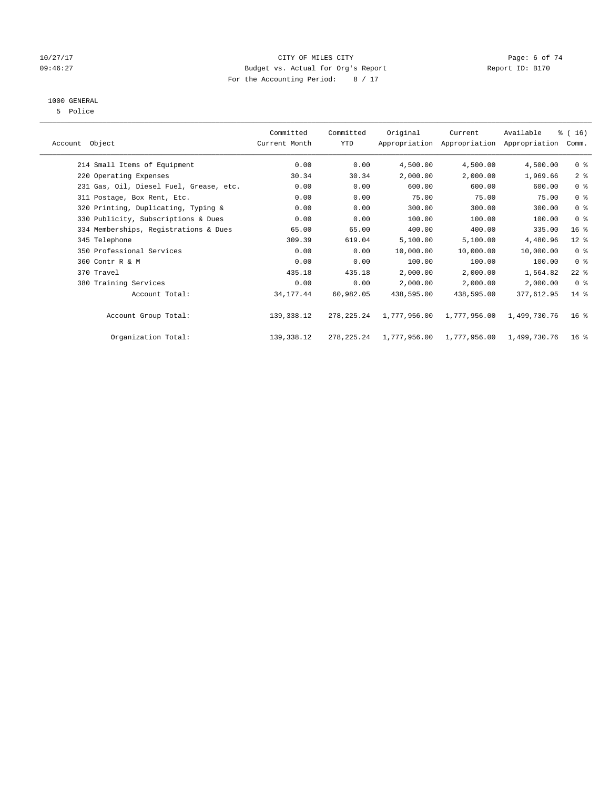### 10/27/17 Page: 6 of 74 09:46:27 Budget vs. Actual for Org's Report Changer Report ID: B170 For the Accounting Period: 8 / 17

# 1000 GENERAL

5 Police

|                                         | Committed     | Committed    | Original     | Current      | Available                                 | % (16)          |
|-----------------------------------------|---------------|--------------|--------------|--------------|-------------------------------------------|-----------------|
| Account Object                          | Current Month | <b>YTD</b>   |              |              | Appropriation Appropriation Appropriation | Comm.           |
| 214 Small Items of Equipment            | 0.00          | 0.00         | 4,500.00     | 4,500.00     | 4,500.00                                  | 0 <sup>8</sup>  |
| 220 Operating Expenses                  | 30.34         | 30.34        | 2,000.00     | 2,000.00     | 1,969.66                                  | 2 <sup>8</sup>  |
| 231 Gas, Oil, Diesel Fuel, Grease, etc. | 0.00          | 0.00         | 600.00       | 600.00       | 600.00                                    | 0 <sup>8</sup>  |
| 311 Postage, Box Rent, Etc.             | 0.00          | 0.00         | 75.00        | 75.00        | 75.00                                     | 0 <sup>8</sup>  |
| 320 Printing, Duplicating, Typing &     | 0.00          | 0.00         | 300.00       | 300.00       | 300.00                                    | 0 <sup>8</sup>  |
| 330 Publicity, Subscriptions & Dues     | 0.00          | 0.00         | 100.00       | 100.00       | 100.00                                    | 0 <sup>8</sup>  |
| 334 Memberships, Registrations & Dues   | 65.00         | 65.00        | 400.00       | 400.00       | 335.00                                    | 16 <sup>°</sup> |
| 345 Telephone                           | 309.39        | 619.04       | 5,100.00     | 5,100.00     | 4,480.96                                  | $12$ %          |
| 350 Professional Services               | 0.00          | 0.00         | 10,000.00    | 10,000.00    | 10,000.00                                 | 0 <sup>8</sup>  |
| 360 Contr R & M                         | 0.00          | 0.00         | 100.00       | 100.00       | 100.00                                    | 0 <sup>8</sup>  |
| 370 Travel                              | 435.18        | 435.18       | 2,000.00     | 2,000.00     | 1,564.82                                  | $22$ %          |
| 380 Training Services                   | 0.00          | 0.00         | 2,000.00     | 2,000.00     | 2,000.00                                  | 0 <sup>8</sup>  |
| Account Total:                          | 34, 177. 44   | 60,982.05    | 438,595.00   | 438,595.00   | 377,612.95                                | $14*$           |
| Account Group Total:                    | 139,338.12    | 278, 225. 24 | 1,777,956.00 | 1,777,956.00 | 1,499,730.76                              | $16*$           |
| Organization Total:                     | 139,338.12    | 278,225.24   | 1,777,956.00 | 1,777,956.00 | 1,499,730.76                              | 16 <sup>8</sup> |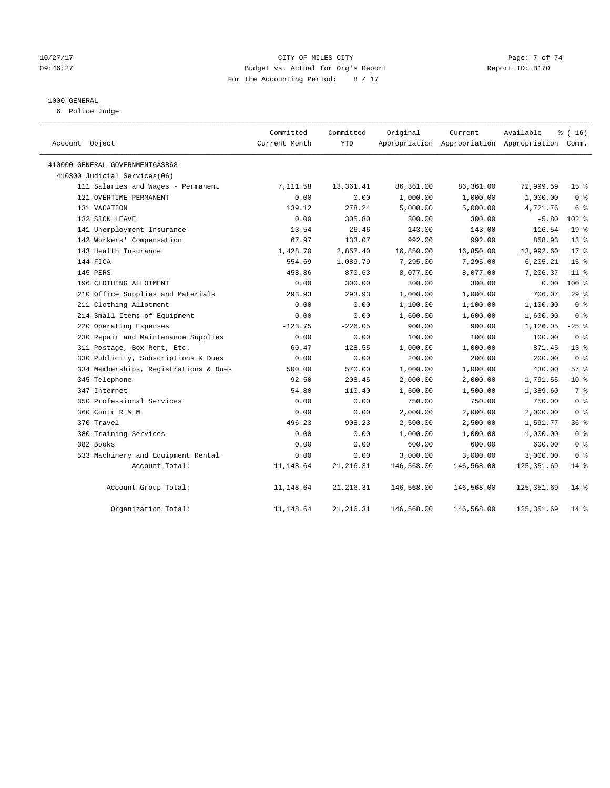#### 10/27/17 Page: 7 of 74 09:46:27 Budget vs. Actual for Org's Report Communication Report ID: B170 For the Accounting Period: 8 / 17

#### 1000 GENERAL

6 Police Judge

| Account Object                        | Committed<br>Current Month | Committed<br><b>YTD</b> | Original   | Current<br>Appropriation Appropriation Appropriation Comm. | Available   | % (16)          |
|---------------------------------------|----------------------------|-------------------------|------------|------------------------------------------------------------|-------------|-----------------|
| 410000 GENERAL GOVERNMENTGASB68       |                            |                         |            |                                                            |             |                 |
| 410300 Judicial Services(06)          |                            |                         |            |                                                            |             |                 |
| 111 Salaries and Wages - Permanent    | 7,111.58                   | 13,361.41               | 86,361.00  | 86,361.00                                                  | 72,999.59   | 15 <sup>8</sup> |
| 121 OVERTIME-PERMANENT                | 0.00                       | 0.00                    | 1,000.00   | 1,000.00                                                   | 1,000.00    | 0 <sup>8</sup>  |
| 131 VACATION                          | 139.12                     | 278.24                  | 5,000.00   | 5,000.00                                                   | 4,721.76    | 6 %             |
| 132 SICK LEAVE                        | 0.00                       | 305.80                  | 300.00     | 300.00                                                     | $-5.80$     | $102*$          |
| 141 Unemployment Insurance            | 13.54                      | 26.46                   | 143.00     | 143.00                                                     | 116.54      | 19 <sup>°</sup> |
| 142 Workers' Compensation             | 67.97                      | 133.07                  | 992.00     | 992.00                                                     | 858.93      | $13*$           |
| 143 Health Insurance                  | 1,428.70                   | 2,857.40                | 16,850.00  | 16,850.00                                                  | 13,992.60   | $17*$           |
| 144 FICA                              | 554.69                     | 1,089.79                | 7,295.00   | 7,295.00                                                   | 6,205.21    | 15 <sup>°</sup> |
| 145 PERS                              | 458.86                     | 870.63                  | 8,077.00   | 8,077.00                                                   | 7,206.37    | 11 <sup>8</sup> |
| 196 CLOTHING ALLOTMENT                | 0.00                       | 300.00                  | 300.00     | 300.00                                                     | 0.00        | $100*$          |
| 210 Office Supplies and Materials     | 293.93                     | 293.93                  | 1,000.00   | 1,000.00                                                   | 706.07      | 29%             |
| 211 Clothing Allotment                | 0.00                       | 0.00                    | 1,100.00   | 1,100.00                                                   | 1,100.00    | 0 <sup>8</sup>  |
| 214 Small Items of Equipment          | 0.00                       | 0.00                    | 1,600.00   | 1,600.00                                                   | 1,600.00    | 0 <sup>8</sup>  |
| 220 Operating Expenses                | $-123.75$                  | $-226.05$               | 900.00     | 900.00                                                     | 1,126.05    | $-25$ %         |
| 230 Repair and Maintenance Supplies   | 0.00                       | 0.00                    | 100.00     | 100.00                                                     | 100.00      | 0 <sup>8</sup>  |
| 311 Postage, Box Rent, Etc.           | 60.47                      | 128.55                  | 1,000.00   | 1,000.00                                                   | 871.45      | $13*$           |
| 330 Publicity, Subscriptions & Dues   | 0.00                       | 0.00                    | 200.00     | 200.00                                                     | 200.00      | 0 <sup>8</sup>  |
| 334 Memberships, Registrations & Dues | 500.00                     | 570.00                  | 1,000.00   | 1,000.00                                                   | 430.00      | 57%             |
| 345 Telephone                         | 92.50                      | 208.45                  | 2,000.00   | 2,000.00                                                   | 1,791.55    | $10*$           |
| 347 Internet                          | 54.80                      | 110.40                  | 1,500.00   | 1,500.00                                                   | 1,389.60    | 7 <sup>8</sup>  |
| 350 Professional Services             | 0.00                       | 0.00                    | 750.00     | 750.00                                                     | 750.00      | 0 <sup>8</sup>  |
| 360 Contr R & M                       | 0.00                       | 0.00                    | 2,000.00   | 2,000.00                                                   | 2,000.00    | 0 <sup>8</sup>  |
| 370 Travel                            | 496.23                     | 908.23                  | 2,500.00   | 2,500.00                                                   | 1,591.77    | 36%             |
| 380 Training Services                 | 0.00                       | 0.00                    | 1,000.00   | 1,000.00                                                   | 1,000.00    | 0 <sup>8</sup>  |
| 382 Books                             | 0.00                       | 0.00                    | 600.00     | 600.00                                                     | 600.00      | 0 <sup>8</sup>  |
| 533 Machinery and Equipment Rental    | 0.00                       | 0.00                    | 3,000.00   | 3,000.00                                                   | 3,000.00    | 0 <sup>8</sup>  |
| Account Total:                        | 11,148.64                  | 21, 216.31              | 146,568.00 | 146,568.00                                                 | 125, 351.69 | $14$ %          |
| Account Group Total:                  | 11,148.64                  | 21, 216.31              | 146,568.00 | 146,568.00                                                 | 125, 351.69 | $14*$           |
| Organization Total:                   | 11,148.64                  | 21, 216.31              | 146,568.00 | 146,568.00                                                 | 125, 351.69 | $14*$           |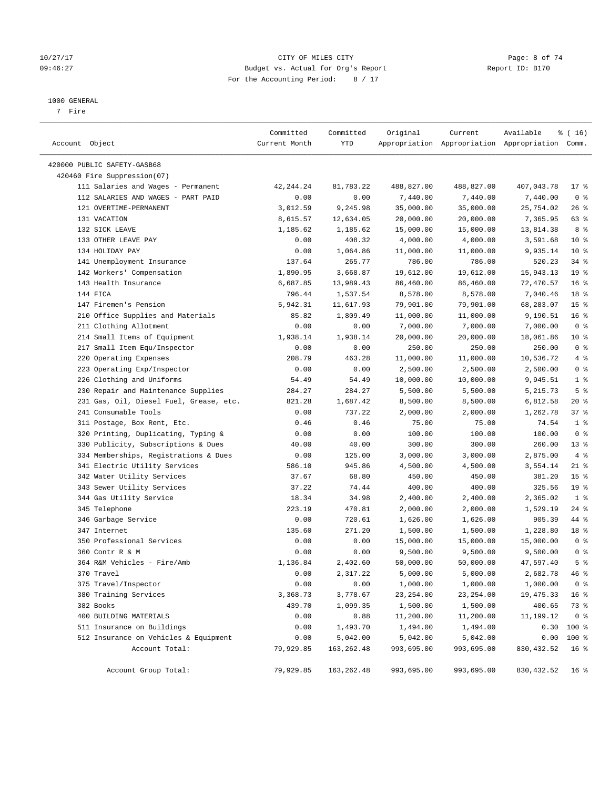#### 10/27/17 CITY OF MILES CITY Page: 8 of 74 09:46:27 Budget vs. Actual for Org's Report Changer Report ID: B170 For the Accounting Period: 8 / 17

————————————————————————————————————————————————————————————————————————————————————————————————————————————————————————————————————

#### 1000 GENERAL

7 Fire

|                                         | Committed     | Committed   | Original   | Current    | Available                                       | % (16)          |
|-----------------------------------------|---------------|-------------|------------|------------|-------------------------------------------------|-----------------|
| Account Object                          | Current Month | YTD         |            |            | Appropriation Appropriation Appropriation Comm. |                 |
| 420000 PUBLIC SAFETY-GASB68             |               |             |            |            |                                                 |                 |
| 420460 Fire Suppression(07)             |               |             |            |            |                                                 |                 |
| 111 Salaries and Wages - Permanent      | 42,244.24     | 81,783.22   | 488,827.00 | 488,827.00 | 407,043.78                                      | $17*$           |
| 112 SALARIES AND WAGES - PART PAID      | 0.00          | 0.00        | 7,440.00   | 7,440.00   | 7,440.00                                        | 0 <sup>8</sup>  |
| 121 OVERTIME-PERMANENT                  | 3,012.59      | 9,245.98    | 35,000.00  | 35,000.00  | 25,754.02                                       | 26 %            |
| 131 VACATION                            | 8,615.57      | 12,634.05   | 20,000.00  | 20,000.00  | 7,365.95                                        | 63 %            |
| 132 SICK LEAVE                          | 1,185.62      | 1,185.62    | 15,000.00  | 15,000.00  | 13,814.38                                       | 8 %             |
| 133 OTHER LEAVE PAY                     | 0.00          | 408.32      | 4,000.00   | 4,000.00   | 3,591.68                                        | $10*$           |
| 134 HOLIDAY PAY                         | 0.00          | 1,064.86    | 11,000.00  | 11,000.00  | 9,935.14                                        | $10*$           |
| 141 Unemployment Insurance              | 137.64        | 265.77      | 786.00     | 786.00     | 520.23                                          | $34$ $%$        |
| 142 Workers' Compensation               | 1,890.95      | 3,668.87    | 19,612.00  | 19,612.00  | 15,943.13                                       | 19 <sup>°</sup> |
| 143 Health Insurance                    | 6,687.85      | 13,989.43   | 86,460.00  | 86,460.00  | 72,470.57                                       | 16 <sup>8</sup> |
| 144 FICA                                | 796.44        | 1,537.54    | 8,578.00   | 8,578.00   | 7,040.46                                        | 18 %            |
| 147 Firemen's Pension                   | 5,942.31      | 11,617.93   | 79,901.00  | 79,901.00  | 68,283.07                                       | 15 <sup>°</sup> |
| 210 Office Supplies and Materials       | 85.82         | 1,809.49    | 11,000.00  | 11,000.00  | 9,190.51                                        | 16 <sup>°</sup> |
| 211 Clothing Allotment                  | 0.00          | 0.00        | 7,000.00   | 7,000.00   | 7,000.00                                        | 0 <sup>8</sup>  |
| 214 Small Items of Equipment            | 1,938.14      | 1,938.14    | 20,000.00  | 20,000.00  | 18,061.86                                       | $10*$           |
| 217 Small Item Equ/Inspector            | 0.00          | 0.00        | 250.00     | 250.00     | 250.00                                          | 0 <sup>°</sup>  |
| 220 Operating Expenses                  | 208.79        | 463.28      | 11,000.00  | 11,000.00  | 10,536.72                                       | 4%              |
| 223 Operating Exp/Inspector             | 0.00          | 0.00        | 2,500.00   | 2,500.00   | 2,500.00                                        | 0 <sup>8</sup>  |
| 226 Clothing and Uniforms               | 54.49         | 54.49       | 10,000.00  | 10,000.00  | 9,945.51                                        | 1 <sup>8</sup>  |
| 230 Repair and Maintenance Supplies     | 284.27        | 284.27      | 5,500.00   | 5,500.00   | 5, 215.73                                       | 5 <sup>8</sup>  |
| 231 Gas, Oil, Diesel Fuel, Grease, etc. | 821.28        | 1,687.42    | 8,500.00   | 8,500.00   | 6,812.58                                        | $20*$           |
| 241 Consumable Tools                    | 0.00          | 737.22      | 2,000.00   | 2,000.00   | 1,262.78                                        | 37%             |
| 311 Postage, Box Rent, Etc.             | 0.46          | 0.46        | 75.00      | 75.00      | 74.54                                           | 1 <sup>8</sup>  |
| 320 Printing, Duplicating, Typing &     | 0.00          | 0.00        | 100.00     | 100.00     | 100.00                                          | 0 <sup>8</sup>  |
| 330 Publicity, Subscriptions & Dues     | 40.00         | 40.00       | 300.00     | 300.00     | 260.00                                          | 13 <sup>8</sup> |
| 334 Memberships, Registrations & Dues   | 0.00          | 125.00      | 3,000.00   | 3,000.00   | 2,875.00                                        | 4%              |
| 341 Electric Utility Services           | 586.10        | 945.86      | 4,500.00   | 4,500.00   | 3,554.14                                        | $21$ %          |
| 342 Water Utility Services              | 37.67         | 68.80       | 450.00     | 450.00     | 381.20                                          | 15 <sup>8</sup> |
| 343 Sewer Utility Services              | 37.22         | 74.44       | 400.00     | 400.00     | 325.56                                          | 19 <sup>°</sup> |
| 344 Gas Utility Service                 | 18.34         | 34.98       | 2,400.00   | 2,400.00   | 2,365.02                                        | 1 <sup>8</sup>  |
| 345 Telephone                           | 223.19        | 470.81      | 2,000.00   | 2,000.00   | 1,529.19                                        | $24$ %          |
| 346 Garbage Service                     | 0.00          | 720.61      | 1,626.00   | 1,626.00   | 905.39                                          | 44 %            |
| 347 Internet                            | 135.60        | 271.20      | 1,500.00   | 1,500.00   | 1,228.80                                        | 18 %            |
| 350 Professional Services               | 0.00          | 0.00        | 15,000.00  | 15,000.00  | 15,000.00                                       | 0 <sup>8</sup>  |
| 360 Contr R & M                         | 0.00          | 0.00        | 9,500.00   | 9,500.00   | 9,500.00                                        | 0 <sup>8</sup>  |
| 364 R&M Vehicles - Fire/Amb             | 1,136.84      | 2,402.60    | 50,000.00  | 50,000.00  | 47,597.40                                       | 5 <sup>°</sup>  |
| 370 Travel                              | 0.00          | 2,317.22    | 5,000.00   | 5,000.00   | 2,682.78 46 %                                   |                 |
| 375 Travel/Inspector                    | 0.00          | 0.00        | 1,000.00   | 1,000.00   | 1,000.00                                        | 0 <sup>8</sup>  |
| 380 Training Services                   | 3,368.73      | 3,778.67    | 23, 254.00 | 23, 254.00 | 19,475.33                                       | 16 <sup>°</sup> |
| 382 Books                               | 439.70        | 1,099.35    | 1,500.00   | 1,500.00   | 400.65                                          | 73 %            |
| 400 BUILDING MATERIALS                  | 0.00          | 0.88        | 11,200.00  | 11,200.00  | 11,199.12                                       | 0 <sup>8</sup>  |
| 511 Insurance on Buildings              | 0.00          | 1,493.70    | 1,494.00   | 1,494.00   | 0.30                                            | 100 %           |
| 512 Insurance on Vehicles & Equipment   | 0.00          | 5,042.00    | 5,042.00   | 5,042.00   | 0.00                                            | 100 %           |
| Account Total:                          | 79,929.85     | 163, 262.48 | 993,695.00 | 993,695.00 | 830, 432.52                                     | 16 <sup>8</sup> |
|                                         |               |             |            |            |                                                 |                 |
| Account Group Total:                    | 79,929.85     | 163, 262.48 | 993,695.00 | 993,695.00 | 830, 432.52                                     | 16 <sup>°</sup> |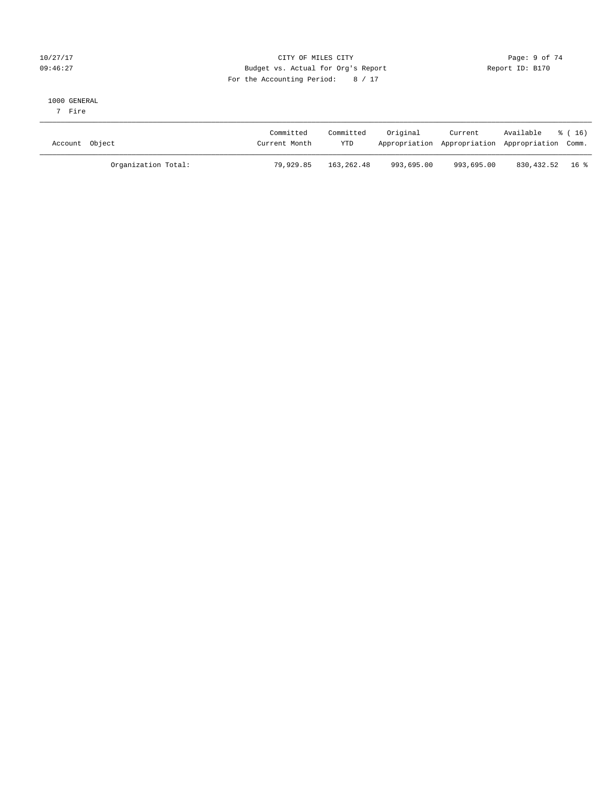### 10/27/17 Page: 9 of 74 09:46:27 Budget vs. Actual for Org's Report Communication of Report ID: B170 For the Accounting Period: 8 / 17

#### 1000 GENERAL

7 Fire

| Account Object |                     | Committed<br>Current Month | Committed<br>YTD | Original   | Current    | Available<br>Appropriation Appropriation Appropriation Comm. | 8 ( 16 ) |
|----------------|---------------------|----------------------------|------------------|------------|------------|--------------------------------------------------------------|----------|
|                | Organization Total: | 79,929.85                  | 163,262.48       | 993,695.00 | 993,695.00 | 830,432.52 16 %                                              |          |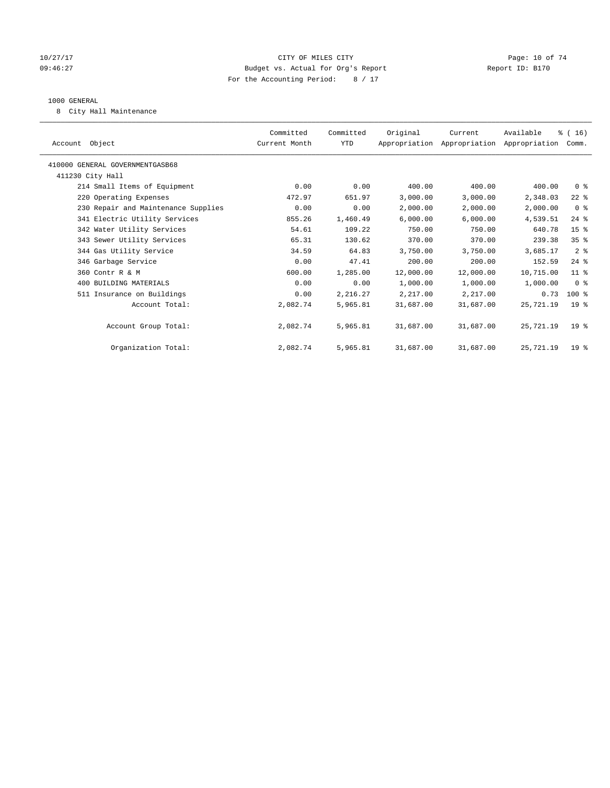#### 10/27/17 Page: 10 of 74 09:46:27 Budget vs. Actual for Org's Report Communication Report ID: B170 For the Accounting Period: 8 / 17

#### 1000 GENERAL

8 City Hall Maintenance

| Account Object                      |                | Committed<br>Current Month | Committed<br>YTD | Original  | Current<br>Appropriation Appropriation Appropriation Comm. | Available | % (16)          |  |
|-------------------------------------|----------------|----------------------------|------------------|-----------|------------------------------------------------------------|-----------|-----------------|--|
| 410000 GENERAL GOVERNMENTGASB68     |                |                            |                  |           |                                                            |           |                 |  |
| 411230 City Hall                    |                |                            |                  |           |                                                            |           |                 |  |
| 214 Small Items of Equipment        |                | 0.00                       | 0.00             | 400.00    | 400.00                                                     | 400.00    | 0 <sup>8</sup>  |  |
| 220 Operating Expenses              |                | 472.97                     | 651.97           | 3,000.00  | 3,000.00                                                   | 2,348.03  | $22$ %          |  |
| 230 Repair and Maintenance Supplies |                | 0.00                       | 0.00             | 2,000.00  | 2,000.00                                                   | 2,000.00  | 0 <sup>8</sup>  |  |
| 341 Electric Utility Services       |                | 855.26                     | 1,460.49         | 6,000.00  | 6,000.00                                                   | 4,539.51  | $24$ $%$        |  |
| 342 Water Utility Services          |                | 54.61                      | 109.22           | 750.00    | 750.00                                                     | 640.78    | 15 <sup>°</sup> |  |
| 343 Sewer Utility Services          |                | 65.31                      | 130.62           | 370.00    | 370.00                                                     | 239.38    | 35 <sup>8</sup> |  |
| 344 Gas Utility Service             |                | 34.59                      | 64.83            | 3,750.00  | 3,750.00                                                   | 3,685.17  | 2 <sup>°</sup>  |  |
| 346 Garbage Service                 |                | 0.00                       | 47.41            | 200.00    | 200.00                                                     | 152.59    | $24$ $%$        |  |
| 360 Contr R & M                     |                | 600.00                     | 1,285.00         | 12,000.00 | 12,000.00                                                  | 10,715.00 | $11$ %          |  |
| 400 BUILDING MATERIALS              |                | 0.00                       | 0.00             | 1,000.00  | 1,000.00                                                   | 1,000.00  | 0 <sup>8</sup>  |  |
| 511 Insurance on Buildings          |                | 0.00                       | 2,216.27         | 2,217.00  | 2,217.00                                                   | 0.73      | $100$ %         |  |
|                                     | Account Total: | 2,082.74                   | 5,965.81         | 31,687.00 | 31,687.00                                                  | 25,721.19 | 19 <sup>°</sup> |  |
| Account Group Total:                |                | 2,082.74                   | 5,965.81         | 31,687.00 | 31,687.00                                                  | 25,721.19 | 19 <sup>8</sup> |  |
| Organization Total:                 |                | 2,082.74                   | 5,965.81         | 31,687.00 | 31,687.00                                                  | 25,721.19 | 19 <sup>°</sup> |  |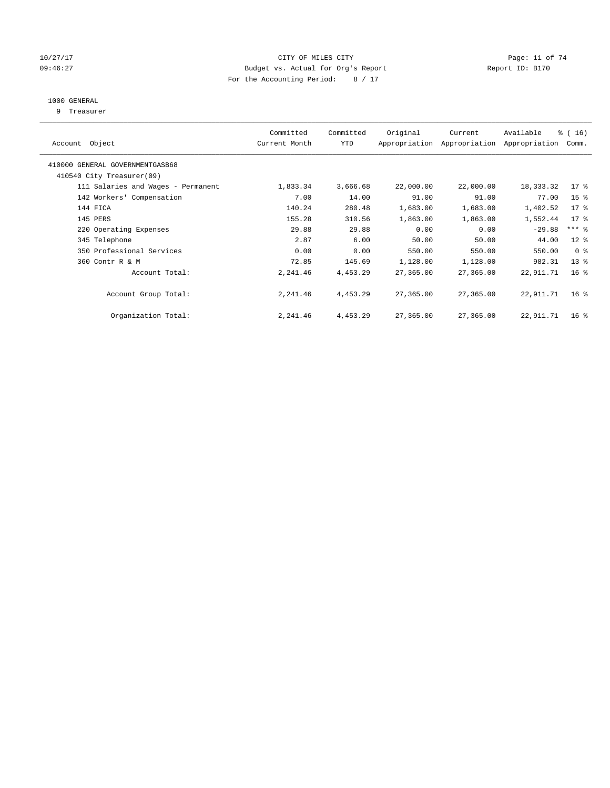### $CITY$  OF MILES  $CITY$  and the contract of  $74$ 09:46:27 Budget vs. Actual for Org's Report Communication Report ID: B170 For the Accounting Period: 8 / 17

## 1000 GENERAL

9 Treasurer

| Object<br>Account                  | Committed<br>Current Month | Committed<br><b>YTD</b> | Original  | Current<br>Appropriation Appropriation | Available<br>Appropriation | % (16)<br>Comm.     |
|------------------------------------|----------------------------|-------------------------|-----------|----------------------------------------|----------------------------|---------------------|
| 410000 GENERAL GOVERNMENTGASB68    |                            |                         |           |                                        |                            |                     |
| 410540 City Treasurer(09)          |                            |                         |           |                                        |                            |                     |
| 111 Salaries and Wages - Permanent | 1,833.34                   | 3,666.68                | 22,000.00 | 22,000.00                              | 18,333.32                  | $17*$               |
| 142 Workers' Compensation          | 7.00                       | 14.00                   | 91.00     | 91.00                                  | 77.00                      | 15 <sup>8</sup>     |
| 144 FICA                           | 140.24                     | 280.48                  | 1,683.00  | 1,683.00                               | 1,402.52                   | 17 <sup>°</sup>     |
| 145 PERS                           | 155.28                     | 310.56                  | 1,863.00  | 1,863.00                               | 1,552.44                   | 17 <sub>8</sub>     |
| 220 Operating Expenses             | 29.88                      | 29.88                   | 0.00      | 0.00                                   | $-29.88$                   | $***$ $\frac{6}{5}$ |
| 345 Telephone                      | 2.87                       | 6.00                    | 50.00     | 50.00                                  | 44.00                      | $12$ %              |
| 350 Professional Services          | 0.00                       | 0.00                    | 550.00    | 550.00                                 | 550.00                     | 0 <sup>8</sup>      |
| 360 Contr R & M                    | 72.85                      | 145.69                  | 1,128.00  | 1,128.00                               | 982.31                     | 13 <sup>°</sup>     |
| Account Total:                     | 2,241.46                   | 4,453.29                | 27,365.00 | 27,365.00                              | 22, 911.71                 | 16 <sup>8</sup>     |
| Account Group Total:               | 2,241.46                   | 4,453.29                | 27,365.00 | 27,365.00                              | 22,911.71                  | 16 <sup>°</sup>     |
| Organization Total:                | 2,241.46                   | 4,453.29                | 27,365.00 | 27,365.00                              | 22,911.71                  | 16 <sup>8</sup>     |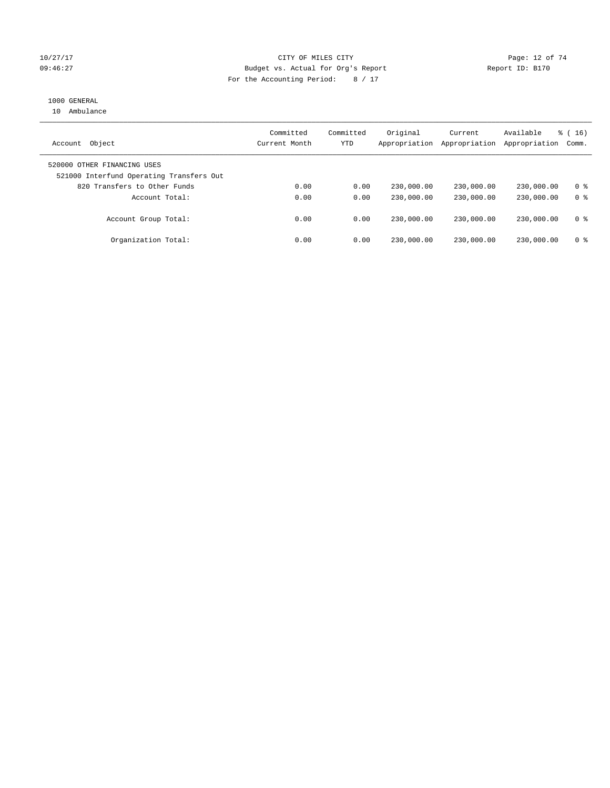### $CITY$  OF MILES  $CITY$  and the contract of  $74$ 09:46:27 Budget vs. Actual for Org's Report Changer Report ID: B170 For the Accounting Period: 8 / 17

### 1000 GENERAL

10 Ambulance

| Object<br>Account                                                       | Committed<br>Current Month | Committed<br><b>YTD</b> | Original<br>Appropriation | Current<br>Appropriation | Available<br>Appropriation | $\frac{3}{6}$ ( 16 )<br>Comm. |
|-------------------------------------------------------------------------|----------------------------|-------------------------|---------------------------|--------------------------|----------------------------|-------------------------------|
| 520000 OTHER FINANCING USES<br>521000 Interfund Operating Transfers Out |                            |                         |                           |                          |                            |                               |
| 820 Transfers to Other Funds                                            | 0.00                       | 0.00                    | 230,000.00                | 230,000.00               | 230,000.00                 | 0 <sup>8</sup>                |
| Account Total:                                                          | 0.00                       | 0.00                    | 230,000.00                | 230,000.00               | 230,000.00                 | 0 <sup>8</sup>                |
| Account Group Total:                                                    | 0.00                       | 0.00                    | 230,000.00                | 230,000.00               | 230,000.00                 | 0 <sup>8</sup>                |
| Organization Total:                                                     | 0.00                       | 0.00                    | 230,000.00                | 230,000.00               | 230,000.00                 | 0 <sup>8</sup>                |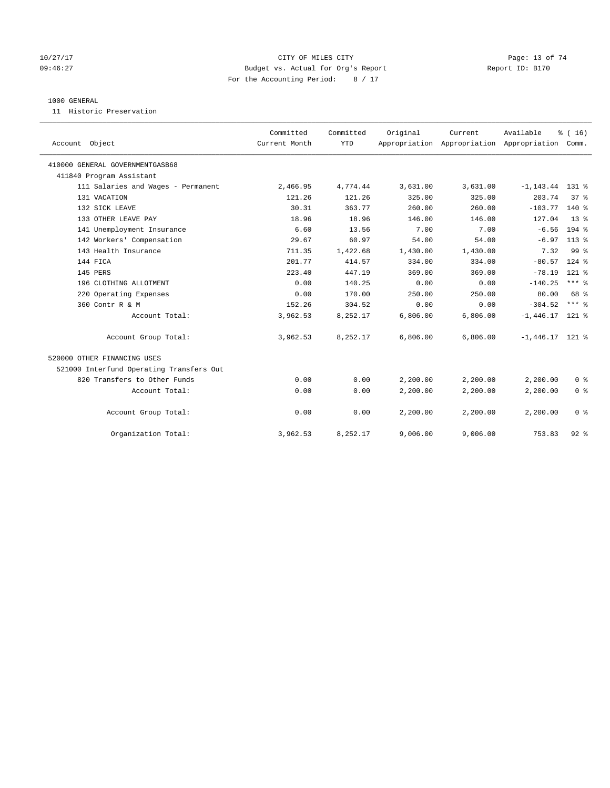#### 10/27/17 Page: 13 of 74 09:46:27 Budget vs. Actual for Org's Report Communication Report ID: B170 For the Accounting Period: 8 / 17

#### 1000 GENERAL

11 Historic Preservation

| Account Object                           | Committed<br>Current Month | Committed<br><b>YTD</b> | Original | Current<br>Appropriation Appropriation Appropriation Comm. | Available          | % (16)          |
|------------------------------------------|----------------------------|-------------------------|----------|------------------------------------------------------------|--------------------|-----------------|
| 410000 GENERAL GOVERNMENTGASB68          |                            |                         |          |                                                            |                    |                 |
| 411840 Program Assistant                 |                            |                         |          |                                                            |                    |                 |
| 111 Salaries and Wages - Permanent       | 2,466.95                   | 4,774.44                | 3,631.00 | 3,631.00                                                   | $-1, 143.44$ 131 % |                 |
| 131 VACATION                             | 121.26                     | 121.26                  | 325.00   | 325.00                                                     | 203.74             | 37 <sup>8</sup> |
| 132 SICK LEAVE                           | 30.31                      | 363.77                  | 260.00   | 260.00                                                     | $-103.77$          | $140*$          |
| 133 OTHER LEAVE PAY                      | 18.96                      | 18.96                   | 146.00   | 146.00                                                     | 127.04             | $13*$           |
| 141 Unemployment Insurance               | 6.60                       | 13.56                   | 7.00     | 7.00                                                       | $-6.56$            | 194 %           |
| 142 Workers' Compensation                | 29.67                      | 60.97                   | 54.00    | 54.00                                                      | $-6.97$            | $113*$          |
| 143 Health Insurance                     | 711.35                     | 1,422.68                | 1,430.00 | 1,430.00                                                   | 7.32               | 99 <sup>8</sup> |
| 144 FICA                                 | 201.77                     | 414.57                  | 334.00   | 334.00                                                     | $-80.57$           | $124$ %         |
| 145 PERS                                 | 223.40                     | 447.19                  | 369.00   | 369.00                                                     | $-78.19$           | $121$ %         |
| 196 CLOTHING ALLOTMENT                   | 0.00                       | 140.25                  | 0.00     | 0.00                                                       | $-140.25$          | $***$ $_{8}$    |
| 220 Operating Expenses                   | 0.00                       | 170.00                  | 250.00   | 250.00                                                     | 80.00              | 68 %            |
| 360 Contr R & M                          | 152.26                     | 304.52                  | 0.00     | 0.00                                                       | $-304.52$          | $***$ $%$       |
| Account Total:                           | 3,962.53                   | 8,252.17                | 6,806.00 | 6,806.00                                                   | $-1,446.17$ 121 %  |                 |
| Account Group Total:                     | 3,962.53                   | 8,252.17                | 6,806.00 | 6,806.00                                                   | $-1,446.17$ 121 %  |                 |
| 520000 OTHER FINANCING USES              |                            |                         |          |                                                            |                    |                 |
| 521000 Interfund Operating Transfers Out |                            |                         |          |                                                            |                    |                 |
| 820 Transfers to Other Funds             | 0.00                       | 0.00                    | 2,200.00 | 2,200.00                                                   | 2,200.00           | 0 <sup>8</sup>  |
| Account Total:                           | 0.00                       | 0.00                    | 2,200.00 | 2,200.00                                                   | 2,200.00           | 0 <sup>8</sup>  |
| Account Group Total:                     | 0.00                       | 0.00                    | 2,200.00 | 2,200.00                                                   | 2,200.00           | 0 <sup>8</sup>  |
| Organization Total:                      | 3,962.53                   | 8,252.17                | 9,006.00 | 9,006.00                                                   | 753.83             | $92$ $%$        |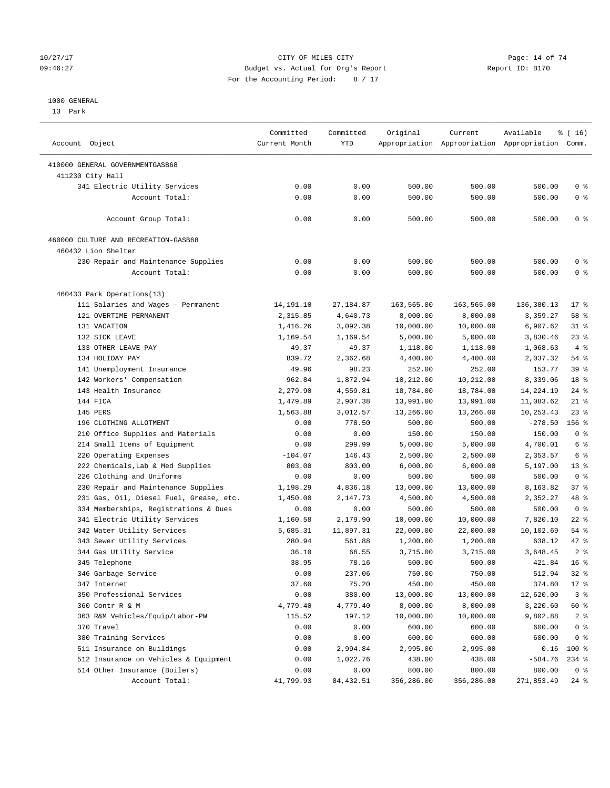#### 10/27/17 Page: 14 of 74 09:46:27 Budget vs. Actual for Org's Report Communication Report ID: B170 For the Accounting Period: 8 / 17

#### 1000 GENERAL

13 Park

| Account Object                          | Committed<br>Current Month | Committed<br><b>YTD</b> | Original   | Current    | Available<br>Appropriation Appropriation Appropriation Comm. | \$(16)          |
|-----------------------------------------|----------------------------|-------------------------|------------|------------|--------------------------------------------------------------|-----------------|
| 410000 GENERAL GOVERNMENTGASB68         |                            |                         |            |            |                                                              |                 |
| 411230 City Hall                        |                            |                         |            |            |                                                              |                 |
| 341 Electric Utility Services           | 0.00                       | 0.00                    | 500.00     | 500.00     | 500.00                                                       | 0 %             |
| Account Total:                          | 0.00                       | 0.00                    | 500.00     | 500.00     | 500.00                                                       | 0 <sup>8</sup>  |
|                                         |                            |                         |            |            |                                                              |                 |
| Account Group Total:                    | 0.00                       | 0.00                    | 500.00     | 500.00     | 500.00                                                       | 0 <sup>8</sup>  |
| 460000 CULTURE AND RECREATION-GASB68    |                            |                         |            |            |                                                              |                 |
| 460432 Lion Shelter                     |                            |                         |            |            |                                                              |                 |
| 230 Repair and Maintenance Supplies     | 0.00                       | 0.00                    | 500.00     | 500.00     | 500.00                                                       | 0 <sup>8</sup>  |
| Account Total:                          | 0.00                       | 0.00                    | 500.00     | 500.00     | 500.00                                                       | 0 <sup>8</sup>  |
| 460433 Park Operations(13)              |                            |                         |            |            |                                                              |                 |
| 111 Salaries and Wages - Permanent      | 14,191.10                  | 27, 184.87              | 163,565.00 | 163,565.00 | 136,380.13                                                   | $17*$           |
| 121 OVERTIME-PERMANENT                  | 2,315.85                   | 4,640.73                | 8,000.00   | 8,000.00   | 3,359.27                                                     | 58 %            |
| 131 VACATION                            | 1,416.26                   | 3,092.38                | 10,000.00  | 10,000.00  | 6,907.62                                                     | $31$ %          |
| 132 SICK LEAVE                          | 1,169.54                   | 1,169.54                | 5,000.00   | 5,000.00   | 3,830.46                                                     | 23%             |
| 133 OTHER LEAVE PAY                     | 49.37                      | 49.37                   | 1,118.00   | 1,118.00   | 1,068.63                                                     | 4%              |
| 134 HOLIDAY PAY                         | 839.72                     | 2,362.68                | 4,400.00   | 4,400.00   | 2,037.32                                                     | 54 %            |
| 141 Unemployment Insurance              | 49.96                      | 98.23                   | 252.00     | 252.00     | 153.77                                                       | 39 %            |
| 142 Workers' Compensation               | 962.84                     | 1,872.94                | 10,212.00  | 10,212.00  | 8,339.06                                                     | 18 %            |
| 143 Health Insurance                    | 2,279.90                   | 4,559.81                | 18,784.00  | 18,784.00  | 14,224.19                                                    | $24$ %          |
| 144 FICA                                | 1,479.89                   | 2,907.38                | 13,991.00  | 13,991.00  | 11,083.62                                                    | $21$ %          |
| 145 PERS                                | 1,563.88                   | 3,012.57                | 13,266.00  | 13,266.00  | 10,253.43                                                    | $23$ $%$        |
| 196 CLOTHING ALLOTMENT                  | 0.00                       | 778.50                  | 500.00     | 500.00     | $-278.50$                                                    | 156 %           |
|                                         |                            |                         |            |            |                                                              | 0 <sup>8</sup>  |
| 210 Office Supplies and Materials       | 0.00                       | 0.00                    | 150.00     | 150.00     | 150.00                                                       | $6\degree$      |
| 214 Small Items of Equipment            | 0.00                       | 299.99                  | 5,000.00   | 5,000.00   | 4,700.01                                                     |                 |
| 220 Operating Expenses                  | $-104.07$                  | 146.43                  | 2,500.00   | 2,500.00   | 2,353.57                                                     | 6 %             |
| 222 Chemicals, Lab & Med Supplies       | 803.00                     | 803.00                  | 6,000.00   | 6,000.00   | 5,197.00                                                     | $13*$           |
| 226 Clothing and Uniforms               | 0.00                       | 0.00                    | 500.00     | 500.00     | 500.00                                                       | 0 <sup>8</sup>  |
| 230 Repair and Maintenance Supplies     | 1,198.29                   | 4,836.18                | 13,000.00  | 13,000.00  | 8,163.82                                                     | 37%             |
| 231 Gas, Oil, Diesel Fuel, Grease, etc. | 1,450.00                   | 2,147.73                | 4,500.00   | 4,500.00   | 2,352.27                                                     | 48 %            |
| 334 Memberships, Registrations & Dues   | 0.00                       | 0.00                    | 500.00     | 500.00     | 500.00                                                       | 0 <sup>8</sup>  |
| 341 Electric Utility Services           | 1,160.58                   | 2,179.90                | 10,000.00  | 10,000.00  | 7,820.10                                                     | $22$ %          |
| 342 Water Utility Services              | 5,685.31                   | 11,897.31               | 22,000.00  | 22,000.00  | 10,102.69                                                    | 54 %            |
| 343 Sewer Utility Services              | 280.94                     | 561.88                  | 1,200.00   | 1,200.00   | 638.12                                                       | 47 %            |
| 344 Gas Utility Service                 | 36.10                      | 66.55                   | 3,715.00   | 3,715.00   | 3,648.45                                                     | 2 <sup>°</sup>  |
| 345 Telephone                           | 38.95                      | 78.16                   | 500.00     | 500.00     | 421.84                                                       | 16 <sup>8</sup> |
| 346 Garbage Service                     | 0.00                       | 237.06                  | 750.00     | 750.00     | 512.94                                                       | $32*$           |
| 347 Internet                            | 37.60                      | 75.20                   | 450.00     | 450.00     | 374.80                                                       | $17$ %          |
| 350 Professional Services               | 0.00                       | 380.00                  | 13,000.00  | 13,000.00  | 12,620.00                                                    | 3 <sup>8</sup>  |
| 360 Contr R & M                         | 4,779.40                   | 4,779.40                | 8,000.00   | 8,000.00   | 3,220.60                                                     | 60 %            |
| 363 R&M Vehicles/Equip/Labor-PW         | 115.52                     | 197.12                  | 10,000.00  | 10,000.00  | 9,802.88                                                     | 2 <sub>8</sub>  |
| 370 Travel                              | 0.00                       | 0.00                    | 600.00     | 600.00     | 600.00                                                       | 0 <sup>8</sup>  |
| 380 Training Services                   | 0.00                       | 0.00                    | 600.00     | 600.00     | 600.00                                                       | 0 <sup>8</sup>  |
| 511 Insurance on Buildings              | 0.00                       | 2,994.84                | 2,995.00   | 2,995.00   | 0.16                                                         | $100$ %         |
| 512 Insurance on Vehicles & Equipment   | 0.00                       | 1,022.76                | 438.00     | 438.00     | $-584.76$                                                    | $234$ %         |
| 514 Other Insurance (Boilers)           | 0.00                       | 0.00                    | 800.00     | 800.00     | 800.00                                                       | $0$ %           |
| Account Total:                          | 41,799.93                  | 84,432.51               | 356,286.00 | 356,286.00 | 271,853.49                                                   | $24$ %          |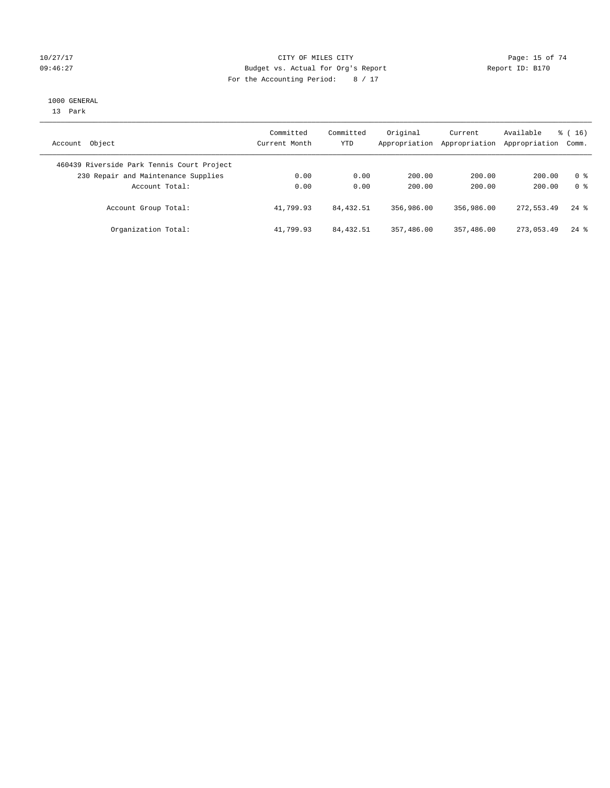#### 10/27/17 Page: 15 of 74 09:46:27 Budget vs. Actual for Org's Report Communication Report ID: B170 For the Accounting Period: 8 / 17

#### 1000 GENERAL

13 Park

| Account Object                             | Committed<br>Current Month | Committed<br>YTD | Original<br>Appropriation | Current<br>Appropriation | Available<br>Appropriation Comm. | % (16)             |
|--------------------------------------------|----------------------------|------------------|---------------------------|--------------------------|----------------------------------|--------------------|
| 460439 Riverside Park Tennis Court Project |                            |                  |                           |                          |                                  |                    |
| 230 Repair and Maintenance Supplies        | 0.00                       | 0.00             | 200.00                    | 200.00                   | 200.00                           | 0 %                |
| Account Total:                             | 0.00                       | 0.00             | 200.00                    | 200.00                   | 200.00                           | 0 <sup>8</sup>     |
| Account Group Total:                       | 41,799.93                  | 84, 432.51       | 356,986.00                | 356,986.00               | 272,553.49                       | $24$ $\frac{6}{3}$ |
| Organization Total:                        | 41,799.93                  | 84, 432.51       | 357,486.00                | 357,486.00               | 273,053.49                       | $24$ $\frac{6}{3}$ |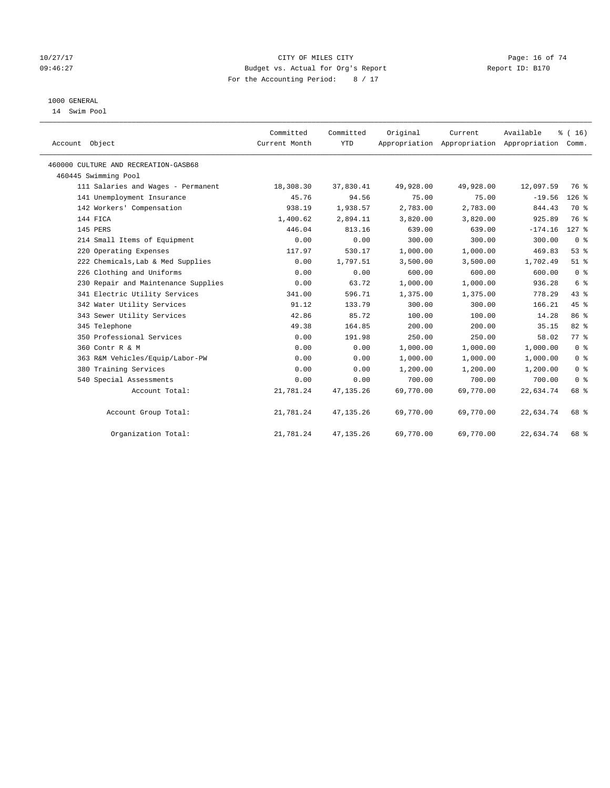### $CITY$  OF MILES  $CITY$  and the contract of  $74$ 09:46:27 Budget vs. Actual for Org's Report Communication Report ID: B170 For the Accounting Period: 8 / 17

## 1000 GENERAL

14 Swim Pool

| Account Object                       | Committed<br>Current Month | Committed<br><b>YTD</b> | Original  | Current<br>Appropriation Appropriation Appropriation Comm. | Available | % (16)         |
|--------------------------------------|----------------------------|-------------------------|-----------|------------------------------------------------------------|-----------|----------------|
| 460000 CULTURE AND RECREATION-GASB68 |                            |                         |           |                                                            |           |                |
| 460445 Swimming Pool                 |                            |                         |           |                                                            |           |                |
| 111 Salaries and Wages - Permanent   | 18,308.30                  | 37,830.41               | 49,928.00 | 49,928.00                                                  | 12,097.59 | 76 %           |
| 141 Unemployment Insurance           | 45.76                      | 94.56                   | 75.00     | 75.00                                                      | $-19.56$  | $126$ %        |
| 142 Workers' Compensation            | 938.19                     | 1,938.57                | 2,783.00  | 2,783.00                                                   | 844.43    | 70 %           |
| 144 FICA                             | 1,400.62                   | 2,894.11                | 3,820.00  | 3,820.00                                                   | 925.89    | 76 %           |
| 145 PERS                             | 446.04                     | 813.16                  | 639.00    | 639.00                                                     | $-174.16$ | $127$ %        |
| 214 Small Items of Equipment         | 0.00                       | 0.00                    | 300.00    | 300.00                                                     | 300.00    | 0 <sup>8</sup> |
| 220 Operating Expenses               | 117.97                     | 530.17                  | 1,000.00  | 1,000.00                                                   | 469.83    | 53%            |
| 222 Chemicals, Lab & Med Supplies    | 0.00                       | 1,797.51                | 3,500.00  | 3,500.00                                                   | 1,702.49  | $51$ %         |
| 226 Clothing and Uniforms            | 0.00                       | 0.00                    | 600.00    | 600.00                                                     | 600.00    | 0 <sup>8</sup> |
| 230 Repair and Maintenance Supplies  | 0.00                       | 63.72                   | 1,000.00  | 1,000.00                                                   | 936.28    | $6\degree$     |
| 341 Electric Utility Services        | 341.00                     | 596.71                  | 1,375.00  | 1,375.00                                                   | 778.29    | 43%            |
| 342 Water Utility Services           | 91.12                      | 133.79                  | 300.00    | 300.00                                                     | 166.21    | 45%            |
| 343 Sewer Utility Services           | 42.86                      | 85.72                   | 100.00    | 100.00                                                     | 14.28     | 86 %           |
| 345 Telephone                        | 49.38                      | 164.85                  | 200.00    | 200.00                                                     | 35.15     | 82%            |
| 350 Professional Services            | 0.00                       | 191.98                  | 250.00    | 250.00                                                     | 58.02     | 77 %           |
| 360 Contr R & M                      | 0.00                       | 0.00                    | 1,000.00  | 1,000.00                                                   | 1,000.00  | 0 <sup>8</sup> |
| 363 R&M Vehicles/Equip/Labor-PW      | 0.00                       | 0.00                    | 1,000.00  | 1,000.00                                                   | 1,000.00  | 0 <sup>8</sup> |
| 380 Training Services                | 0.00                       | 0.00                    | 1,200.00  | 1,200.00                                                   | 1,200.00  | 0 <sup>8</sup> |
| 540 Special Assessments              | 0.00                       | 0.00                    | 700.00    | 700.00                                                     | 700.00    | 0 <sup>8</sup> |
| Account Total:                       | 21,781.24                  | 47, 135.26              | 69,770.00 | 69,770.00                                                  | 22,634.74 | 68 %           |
| Account Group Total:                 | 21,781.24                  | 47, 135.26              | 69,770.00 | 69,770.00                                                  | 22,634.74 | 68 %           |
| Organization Total:                  | 21,781.24                  | 47, 135. 26             | 69,770.00 | 69,770.00                                                  | 22,634.74 | 68 %           |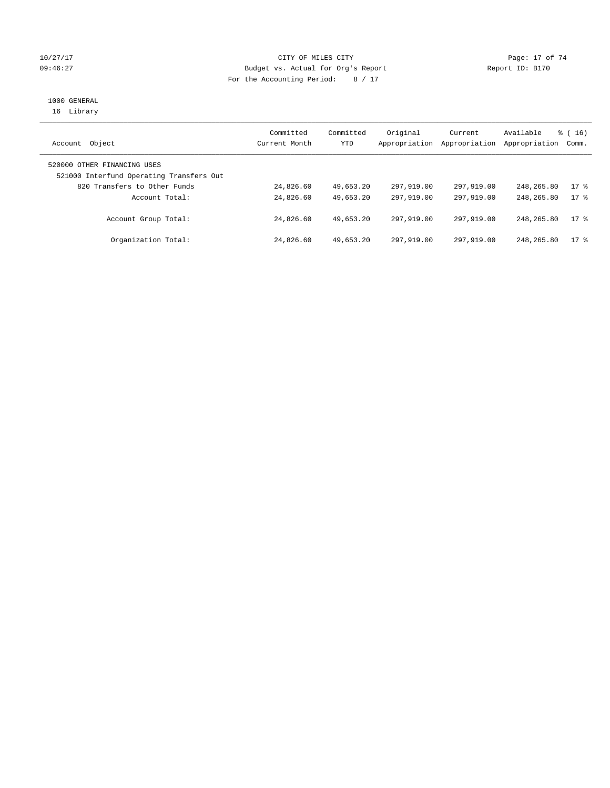### $CITY$  OF MILES  $CITY$  and the contract of  $74$ 09:46:27 Budget vs. Actual for Org's Report Changer Report ID: B170 For the Accounting Period: 8 / 17

# 1000 GENERAL

16 Library

| Object<br>Account                                                       | Committed<br>Current Month | Committed<br>YTD | Original<br>Appropriation | Current<br>Appropriation | Available<br>Appropriation | % (16)<br>Comm. |
|-------------------------------------------------------------------------|----------------------------|------------------|---------------------------|--------------------------|----------------------------|-----------------|
| 520000 OTHER FINANCING USES<br>521000 Interfund Operating Transfers Out |                            |                  |                           |                          |                            |                 |
| 820 Transfers to Other Funds                                            | 24,826.60                  | 49,653.20        | 297,919.00                | 297,919.00               | 248,265.80                 | 17.8            |
| Account Total:                                                          | 24,826.60                  | 49,653.20        | 297,919.00                | 297,919.00               | 248, 265.80                | $17*$           |
| Account Group Total:                                                    | 24,826.60                  | 49,653.20        | 297,919.00                | 297,919.00               | 248, 265.80                | $17*$           |
| Organization Total:                                                     | 24,826.60                  | 49,653.20        | 297,919.00                | 297,919.00               | 248,265.80                 | $17$ %          |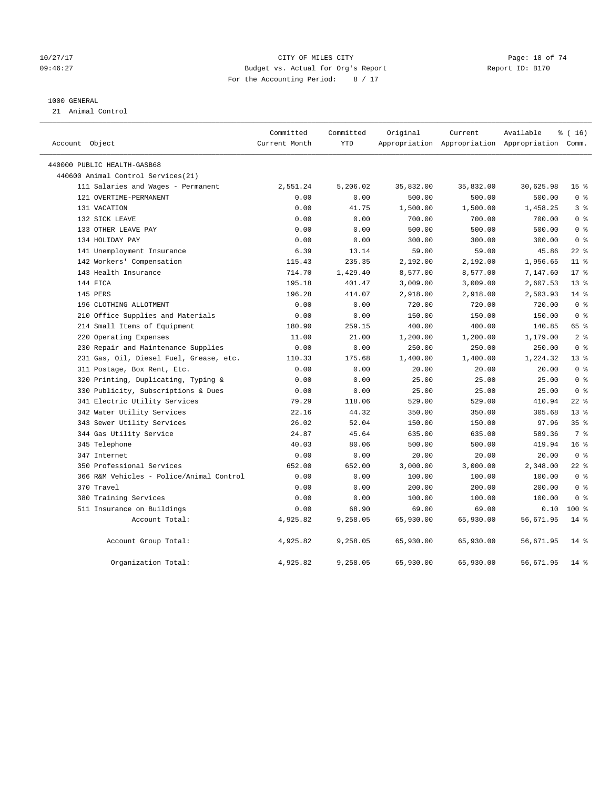#### 10/27/17 Page: 18 of 74 09:46:27 Budget vs. Actual for Org's Report Communication Report ID: B170 For the Accounting Period: 8 / 17

#### 1000 GENERAL

21 Animal Control

| Account Object                           | Committed<br>Current Month | Committed<br><b>YTD</b> | Original  | Current   | Available<br>Appropriation Appropriation Appropriation Comm. | $*(16)$         |
|------------------------------------------|----------------------------|-------------------------|-----------|-----------|--------------------------------------------------------------|-----------------|
| 440000 PUBLIC HEALTH-GASB68              |                            |                         |           |           |                                                              |                 |
| 440600 Animal Control Services(21)       |                            |                         |           |           |                                                              |                 |
| 111 Salaries and Wages - Permanent       | 2,551.24                   | 5,206.02                | 35,832.00 | 35,832.00 | 30,625.98                                                    | 15 <sup>°</sup> |
| 121 OVERTIME-PERMANENT                   | 0.00                       | 0.00                    | 500.00    | 500.00    | 500.00                                                       | 0 <sup>8</sup>  |
| 131 VACATION                             | 0.00                       | 41.75                   | 1,500.00  | 1,500.00  | 1,458.25                                                     | 3 <sup>8</sup>  |
| 132 SICK LEAVE                           | 0.00                       | 0.00                    | 700.00    | 700.00    | 700.00                                                       | 0 <sup>8</sup>  |
| 133 OTHER LEAVE PAY                      | 0.00                       | 0.00                    | 500.00    | 500.00    | 500.00                                                       | 0 <sup>8</sup>  |
| 134 HOLIDAY PAY                          | 0.00                       | 0.00                    | 300.00    | 300.00    | 300.00                                                       | 0 <sup>8</sup>  |
| 141 Unemployment Insurance               | 6.39                       | 13.14                   | 59.00     | 59.00     | 45.86                                                        | $22$ %          |
| 142 Workers' Compensation                | 115.43                     | 235.35                  | 2,192.00  | 2,192.00  | 1,956.65                                                     | $11$ %          |
| 143 Health Insurance                     | 714.70                     | 1,429.40                | 8,577.00  | 8,577.00  | 7,147.60                                                     | $17*$           |
| 144 FICA                                 | 195.18                     | 401.47                  | 3,009.00  | 3,009.00  | 2,607.53                                                     | 13 <sup>°</sup> |
| 145 PERS                                 | 196.28                     | 414.07                  | 2,918.00  | 2,918.00  | 2,503.93                                                     | $14*$           |
| 196 CLOTHING ALLOTMENT                   | 0.00                       | 0.00                    | 720.00    | 720.00    | 720.00                                                       | 0 <sup>8</sup>  |
| 210 Office Supplies and Materials        | 0.00                       | 0.00                    | 150.00    | 150.00    | 150.00                                                       | 0 <sup>8</sup>  |
| 214 Small Items of Equipment             | 180.90                     | 259.15                  | 400.00    | 400.00    | 140.85                                                       | 65 %            |
| 220 Operating Expenses                   | 11.00                      | 21.00                   | 1,200.00  | 1,200.00  | 1,179.00                                                     | 2 <sup>°</sup>  |
| 230 Repair and Maintenance Supplies      | 0.00                       | 0.00                    | 250.00    | 250.00    | 250.00                                                       | 0 <sup>8</sup>  |
| 231 Gas, Oil, Diesel Fuel, Grease, etc.  | 110.33                     | 175.68                  | 1,400.00  | 1,400.00  | 1,224.32                                                     | $13*$           |
| 311 Postage, Box Rent, Etc.              | 0.00                       | 0.00                    | 20.00     | 20.00     | 20.00                                                        | 0 <sup>8</sup>  |
| 320 Printing, Duplicating, Typing &      | 0.00                       | 0.00                    | 25.00     | 25.00     | 25.00                                                        | 0 <sup>8</sup>  |
| 330 Publicity, Subscriptions & Dues      | 0.00                       | 0.00                    | 25.00     | 25.00     | 25.00                                                        | 0 <sup>8</sup>  |
| 341 Electric Utility Services            | 79.29                      | 118.06                  | 529.00    | 529.00    | 410.94                                                       | $22$ %          |
| 342 Water Utility Services               | 22.16                      | 44.32                   | 350.00    | 350.00    | 305.68                                                       | $13*$           |
| 343 Sewer Utility Services               | 26.02                      | 52.04                   | 150.00    | 150.00    | 97.96                                                        | 35%             |
| 344 Gas Utility Service                  | 24.87                      | 45.64                   | 635.00    | 635.00    | 589.36                                                       | 7 %             |
| 345 Telephone                            | 40.03                      | 80.06                   | 500.00    | 500.00    | 419.94                                                       | 16 <sup>°</sup> |
| 347 Internet                             | 0.00                       | 0.00                    | 20.00     | 20.00     | 20.00                                                        | 0 <sup>8</sup>  |
| 350 Professional Services                | 652.00                     | 652.00                  | 3,000.00  | 3,000.00  | 2,348.00                                                     | $22$ %          |
| 366 R&M Vehicles - Police/Animal Control | 0.00                       | 0.00                    | 100.00    | 100.00    | 100.00                                                       | 0 <sup>8</sup>  |
| 370 Travel                               | 0.00                       | 0.00                    | 200.00    | 200.00    | 200.00                                                       | 0 <sup>8</sup>  |
| 380 Training Services                    | 0.00                       | 0.00                    | 100.00    | 100.00    | 100.00                                                       | 0 <sup>8</sup>  |
| 511 Insurance on Buildings               | 0.00                       | 68.90                   | 69.00     | 69.00     | 0.10                                                         | $100*$          |
| Account Total:                           | 4,925.82                   | 9,258.05                | 65,930.00 | 65,930.00 | 56,671.95                                                    | $14*$           |
|                                          |                            |                         |           |           |                                                              |                 |
| Account Group Total:                     | 4,925.82                   | 9,258.05                | 65,930.00 | 65,930.00 | 56,671.95                                                    | $14$ %          |
| Organization Total:                      | 4,925.82                   | 9,258.05                | 65,930.00 | 65,930.00 | 56,671.95                                                    | $14*$           |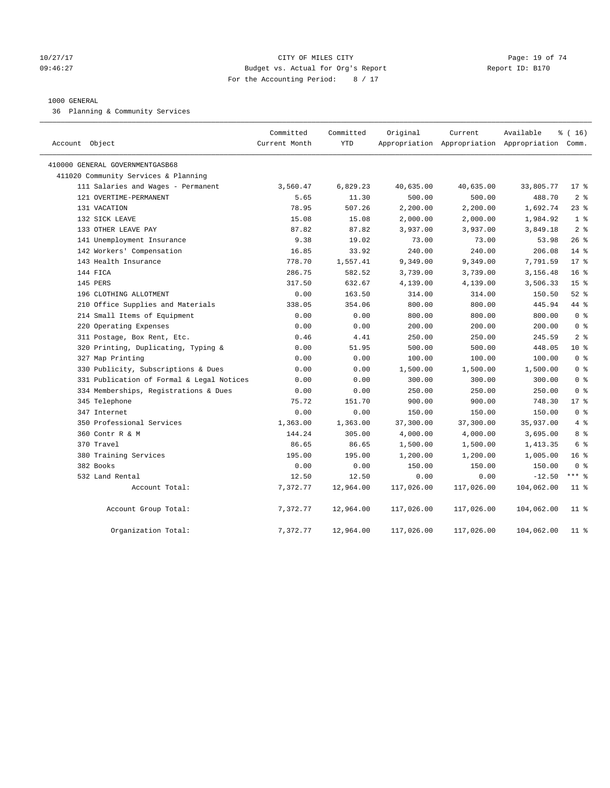#### 10/27/17 Page: 19 of 74 09:46:27 Budget vs. Actual for Org's Report Communication Report ID: B170 For the Accounting Period: 8 / 17

#### 1000 GENERAL

36 Planning & Community Services

| Account Object                            | Committed<br>Current Month | Committed<br><b>YTD</b> | Original   | Current    | Available<br>Appropriation Appropriation Appropriation Comm. | % (16)          |
|-------------------------------------------|----------------------------|-------------------------|------------|------------|--------------------------------------------------------------|-----------------|
| 410000 GENERAL GOVERNMENTGASB68           |                            |                         |            |            |                                                              |                 |
| 411020 Community Services & Planning      |                            |                         |            |            |                                                              |                 |
| 111 Salaries and Wages - Permanent        | 3,560.47                   | 6,829.23                | 40,635.00  | 40,635.00  | 33,805.77                                                    | $17*$           |
| 121 OVERTIME-PERMANENT                    | 5.65                       | 11.30                   | 500.00     | 500.00     | 488.70                                                       | 2 <sup>8</sup>  |
| 131 VACATION                              | 78.95                      | 507.26                  | 2,200.00   | 2,200.00   | 1,692.74                                                     | $23$ %          |
| 132 SICK LEAVE                            | 15.08                      | 15.08                   | 2,000.00   | 2,000.00   | 1,984.92                                                     | 1 <sup>8</sup>  |
| 133 OTHER LEAVE PAY                       | 87.82                      | 87.82                   | 3,937.00   | 3,937.00   | 3,849.18                                                     | 2 <sup>8</sup>  |
| 141 Unemployment Insurance                | 9.38                       | 19.02                   | 73.00      | 73.00      | 53.98                                                        | 26%             |
| 142 Workers' Compensation                 | 16.85                      | 33.92                   | 240.00     | 240.00     | 206.08                                                       | $14*$           |
| 143 Health Insurance                      | 778.70                     | 1,557.41                | 9,349.00   | 9,349.00   | 7,791.59                                                     | $17*$           |
| 144 FICA                                  | 286.75                     | 582.52                  | 3,739.00   | 3,739.00   | 3,156.48                                                     | 16 <sup>°</sup> |
| 145 PERS                                  | 317.50                     | 632.67                  | 4,139.00   | 4,139.00   | 3,506.33                                                     | 15 <sup>°</sup> |
| 196 CLOTHING ALLOTMENT                    | 0.00                       | 163.50                  | 314.00     | 314.00     | 150.50                                                       | $52$ $%$        |
| 210 Office Supplies and Materials         | 338.05                     | 354.06                  | 800.00     | 800.00     | 445.94                                                       | 44 %            |
| 214 Small Items of Equipment              | 0.00                       | 0.00                    | 800.00     | 800.00     | 800.00                                                       | 0 <sup>8</sup>  |
| 220 Operating Expenses                    | 0.00                       | 0.00                    | 200.00     | 200.00     | 200.00                                                       | 0 <sup>8</sup>  |
| 311 Postage, Box Rent, Etc.               | 0.46                       | 4.41                    | 250.00     | 250.00     | 245.59                                                       | 2 <sup>°</sup>  |
| 320 Printing, Duplicating, Typing &       | 0.00                       | 51.95                   | 500.00     | 500.00     | 448.05                                                       | $10*$           |
| 327 Map Printing                          | 0.00                       | 0.00                    | 100.00     | 100.00     | 100.00                                                       | 0 <sup>8</sup>  |
| 330 Publicity, Subscriptions & Dues       | 0.00                       | 0.00                    | 1,500.00   | 1,500.00   | 1,500.00                                                     | 0 <sup>8</sup>  |
| 331 Publication of Formal & Legal Notices | 0.00                       | 0.00                    | 300.00     | 300.00     | 300.00                                                       | 0 <sup>8</sup>  |
| 334 Memberships, Registrations & Dues     | 0.00                       | 0.00                    | 250.00     | 250.00     | 250.00                                                       | 0 <sup>8</sup>  |
| 345 Telephone                             | 75.72                      | 151.70                  | 900.00     | 900.00     | 748.30                                                       | 17.8            |
| 347 Internet                              | 0.00                       | 0.00                    | 150.00     | 150.00     | 150.00                                                       | 0 <sup>8</sup>  |
| 350 Professional Services                 | 1,363.00                   | 1,363.00                | 37,300.00  | 37,300.00  | 35,937.00                                                    | 4%              |
| 360 Contr R & M                           | 144.24                     | 305.00                  | 4,000.00   | 4,000.00   | 3,695.00                                                     | 8 %             |
| 370 Travel                                | 86.65                      | 86.65                   | 1,500.00   | 1,500.00   | 1,413.35                                                     | 6 %             |
| 380 Training Services                     | 195.00                     | 195.00                  | 1,200.00   | 1,200.00   | 1,005.00                                                     | 16 <sup>°</sup> |
| 382 Books                                 | 0.00                       | 0.00                    | 150.00     | 150.00     | 150.00                                                       | 0 <sup>8</sup>  |
| 532 Land Rental                           | 12.50                      | 12.50                   | 0.00       | 0.00       | $-12.50$                                                     | $***$ 8         |
| Account Total:                            | 7,372.77                   | 12,964.00               | 117,026.00 | 117,026.00 | 104,062.00                                                   | $11$ %          |
| Account Group Total:                      | 7,372.77                   | 12,964.00               | 117,026.00 | 117,026.00 | 104,062.00                                                   | 11 <sup>8</sup> |
| Organization Total:                       | 7,372.77                   | 12,964.00               | 117,026.00 | 117,026.00 | 104,062.00                                                   | $11$ %          |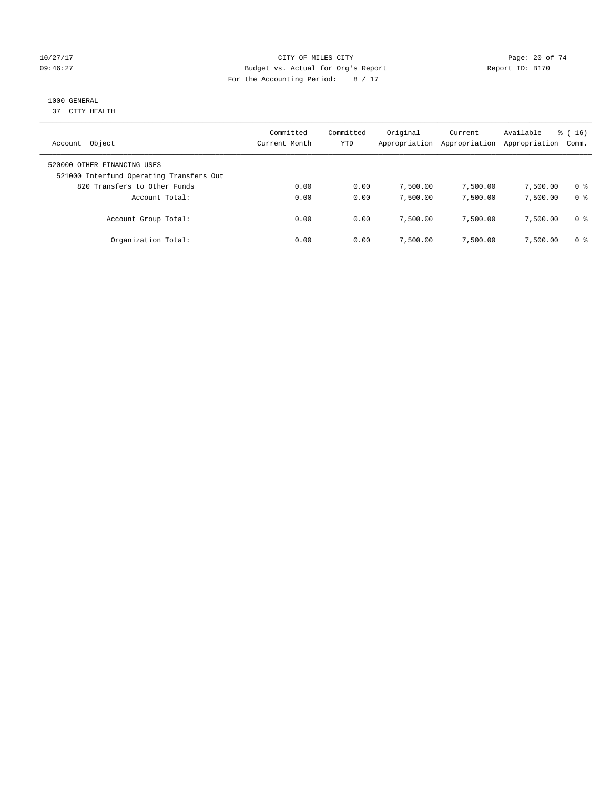#### 10/27/17 Page: 20 of 74 09:46:27 Budget vs. Actual for Org's Report Communication Report ID: B170 For the Accounting Period: 8 / 17

## 1000 GENERAL

37 CITY HEALTH

| Object<br>Account                        | Committed<br>Current Month | Committed<br>YTD | Original<br>Appropriation | Current<br>Appropriation | Available<br>Appropriation | % (16)<br>Comm. |
|------------------------------------------|----------------------------|------------------|---------------------------|--------------------------|----------------------------|-----------------|
|                                          |                            |                  |                           |                          |                            |                 |
| 520000 OTHER FINANCING USES              |                            |                  |                           |                          |                            |                 |
| 521000 Interfund Operating Transfers Out |                            |                  |                           |                          |                            |                 |
| 820 Transfers to Other Funds             | 0.00                       | 0.00             | 7,500.00                  | 7,500.00                 | 7,500.00                   | 0 %             |
| Account Total:                           | 0.00                       | 0.00             | 7,500.00                  | 7,500.00                 | 7,500.00                   | 0 <sup>8</sup>  |
| Account Group Total:                     | 0.00                       | 0.00             | 7,500.00                  | 7,500.00                 | 7,500.00                   | 0 %             |
| Organization Total:                      | 0.00                       | 0.00             | 7,500.00                  | 7,500.00                 | 7,500.00                   | 0 %             |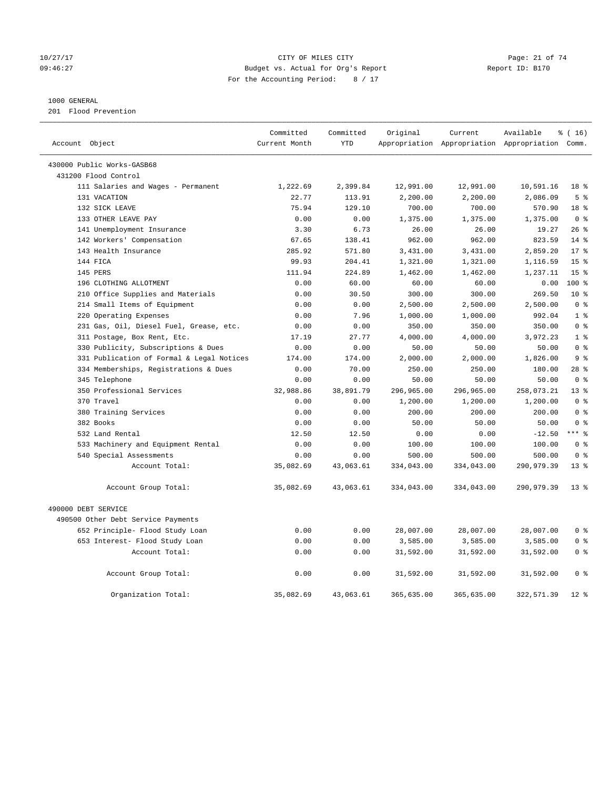#### 10/27/17 Page: 21 of 74 09:46:27 Budget vs. Actual for Org's Report Communication Report ID: B170 For the Accounting Period: 8 / 17

#### 1000 GENERAL

201 Flood Prevention

|                |                                           | Committed     | Committed  | Original   | Current                                         | Available   | $\frac{1}{6}$ ( 16 ) |
|----------------|-------------------------------------------|---------------|------------|------------|-------------------------------------------------|-------------|----------------------|
| Account Object |                                           | Current Month | <b>YTD</b> |            | Appropriation Appropriation Appropriation Comm. |             |                      |
|                | 430000 Public Works-GASB68                |               |            |            |                                                 |             |                      |
|                | 431200 Flood Control                      |               |            |            |                                                 |             |                      |
|                | 111 Salaries and Wages - Permanent        | 1,222.69      | 2,399.84   | 12,991.00  | 12,991.00                                       | 10,591.16   | 18 %                 |
|                | 131 VACATION                              | 22.77         | 113.91     | 2,200.00   | 2,200.00                                        | 2,086.09    | 5 <sup>°</sup>       |
|                | 132 SICK LEAVE                            | 75.94         | 129.10     | 700.00     | 700.00                                          | 570.90      | 18 %                 |
|                | 133 OTHER LEAVE PAY                       | 0.00          | 0.00       | 1,375.00   | 1,375.00                                        | 1,375.00    | 0 <sup>8</sup>       |
|                | 141 Unemployment Insurance                | 3.30          | 6.73       | 26.00      | 26.00                                           | 19.27       | 26%                  |
|                | 142 Workers' Compensation                 | 67.65         | 138.41     | 962.00     | 962.00                                          | 823.59      | 14 %                 |
|                | 143 Health Insurance                      | 285.92        | 571.80     | 3,431.00   | 3,431.00                                        | 2,859.20    | 17 <sup>8</sup>      |
|                | 144 FICA                                  | 99.93         | 204.41     | 1,321.00   | 1,321.00                                        | 1,116.59    | 15 <sup>8</sup>      |
|                | 145 PERS                                  | 111.94        | 224.89     | 1,462.00   | 1,462.00                                        | 1,237.11    | 15 <sup>8</sup>      |
|                | 196 CLOTHING ALLOTMENT                    | 0.00          | 60.00      | 60.00      | 60.00                                           | 0.00        | $100*$               |
|                | 210 Office Supplies and Materials         | 0.00          | 30.50      | 300.00     | 300.00                                          | 269.50      | $10*$                |
|                | 214 Small Items of Equipment              | 0.00          | 0.00       | 2,500.00   | 2,500.00                                        | 2,500.00    | 0 <sup>8</sup>       |
|                | 220 Operating Expenses                    | 0.00          | 7.96       | 1,000.00   | 1,000.00                                        | 992.04      | 1 <sup>8</sup>       |
|                | 231 Gas, Oil, Diesel Fuel, Grease, etc.   | 0.00          | 0.00       | 350.00     | 350.00                                          | 350.00      | 0 <sup>8</sup>       |
|                | 311 Postage, Box Rent, Etc.               | 17.19         | 27.77      | 4,000.00   | 4,000.00                                        | 3,972.23    | 1 <sup>8</sup>       |
|                | 330 Publicity, Subscriptions & Dues       | 0.00          | 0.00       | 50.00      | 50.00                                           | 50.00       | 0 <sup>8</sup>       |
|                | 331 Publication of Formal & Legal Notices | 174.00        | 174.00     | 2,000.00   | 2,000.00                                        | 1,826.00    | 9 <sup>8</sup>       |
|                | 334 Memberships, Registrations & Dues     | 0.00          | 70.00      | 250.00     | 250.00                                          | 180.00      | 28 <sup>8</sup>      |
|                | 345 Telephone                             | 0.00          | 0.00       | 50.00      | 50.00                                           | 50.00       | 0 <sup>8</sup>       |
|                | 350 Professional Services                 | 32,988.86     | 38,891.79  | 296,965.00 | 296,965.00                                      | 258,073.21  | $13*$                |
|                | 370 Travel                                | 0.00          | 0.00       | 1,200.00   | 1,200.00                                        | 1,200.00    | 0 <sup>8</sup>       |
|                | 380 Training Services                     | 0.00          | 0.00       | 200.00     | 200.00                                          | 200.00      | 0 <sup>8</sup>       |
|                | 382 Books                                 | 0.00          | 0.00       | 50.00      | 50.00                                           | 50.00       | 0 <sup>8</sup>       |
|                | 532 Land Rental                           | 12.50         | 12.50      | 0.00       | 0.00                                            | $-12.50$    | $***$ $%$            |
|                | 533 Machinery and Equipment Rental        | 0.00          | 0.00       | 100.00     | 100.00                                          | 100.00      | 0 <sup>8</sup>       |
|                | 540 Special Assessments                   | 0.00          | 0.00       | 500.00     | 500.00                                          | 500.00      | 0 <sup>8</sup>       |
|                | Account Total:                            | 35,082.69     | 43,063.61  | 334,043.00 | 334,043.00                                      | 290,979.39  | 13 <sup>8</sup>      |
|                | Account Group Total:                      | 35,082.69     | 43,063.61  | 334,043.00 | 334,043.00                                      | 290,979.39  | $13*$                |
|                | 490000 DEBT SERVICE                       |               |            |            |                                                 |             |                      |
|                | 490500 Other Debt Service Payments        |               |            |            |                                                 |             |                      |
|                | 652 Principle- Flood Study Loan           | 0.00          | 0.00       | 28,007.00  | 28,007.00                                       | 28,007.00   | 0 <sup>8</sup>       |
|                | 653 Interest- Flood Study Loan            | 0.00          | 0.00       | 3,585.00   | 3,585.00                                        | 3,585.00    | 0 <sup>8</sup>       |
|                | Account Total:                            | 0.00          | 0.00       | 31,592.00  | 31,592.00                                       | 31,592.00   | 0 <sup>8</sup>       |
|                | Account Group Total:                      | 0.00          | 0.00       | 31,592.00  | 31,592.00                                       | 31,592.00   | 0 <sup>8</sup>       |
|                | Organization Total:                       | 35,082.69     | 43,063.61  | 365,635.00 | 365,635.00                                      | 322, 571.39 | $12*$                |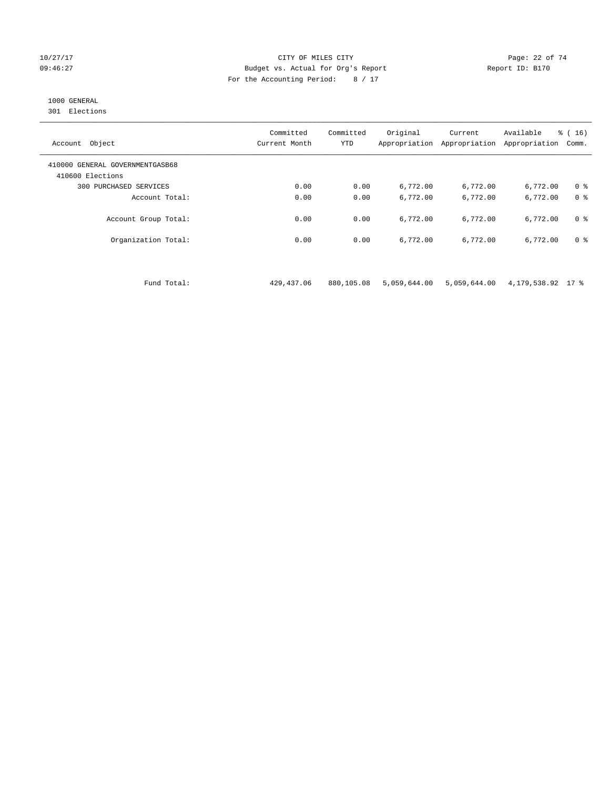#### 10/27/17 Page: 22 of 74 09:46:27 Budget vs. Actual for Org's Report Report ID: B170 For the Accounting Period: 8 / 17

# 1000 GENERAL

301 Elections

| Object<br>Account                                   | Committed<br>Current Month | Committed<br><b>YTD</b> | Original<br>Appropriation | Current<br>Appropriation | Available<br>Appropriation | % (16)<br>Comm. |
|-----------------------------------------------------|----------------------------|-------------------------|---------------------------|--------------------------|----------------------------|-----------------|
| 410000 GENERAL GOVERNMENTGASB68<br>410600 Elections |                            |                         |                           |                          |                            |                 |
| <b>300 PURCHASED SERVICES</b>                       | 0.00                       | 0.00                    | 6,772.00                  | 6,772.00                 | 6,772.00                   | 0 <sup>8</sup>  |
| Account Total:                                      | 0.00                       | 0.00                    | 6,772.00                  | 6,772.00                 | 6,772.00                   | 0 <sup>8</sup>  |
| Account Group Total:                                | 0.00                       | 0.00                    | 6,772.00                  | 6,772.00                 | 6,772.00                   | 0 <sup>8</sup>  |
| Organization Total:                                 | 0.00                       | 0.00                    | 6,772.00                  | 6,772.00                 | 6,772.00                   | 0 <sup>8</sup>  |

Fund Total: 429,437.06 880,105.08 5,059,644.00 5,059,644.00 4,179,538.92 17 %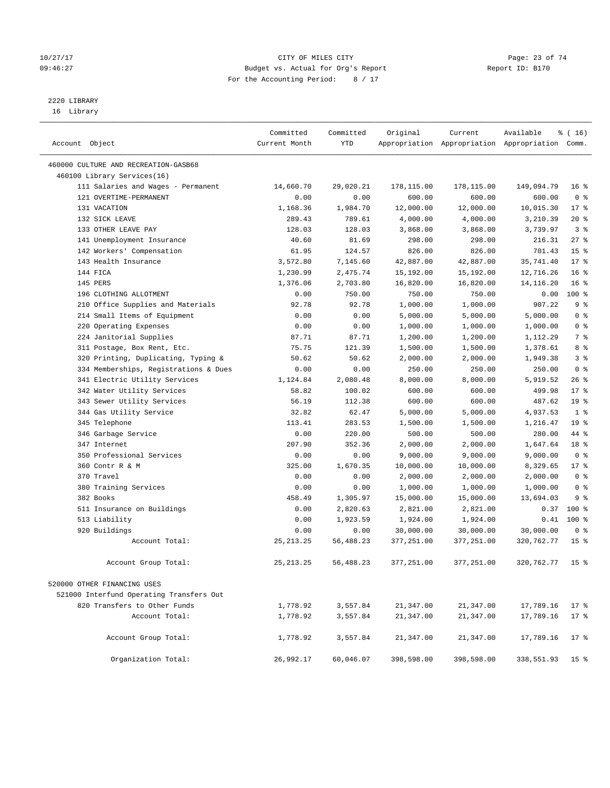#### 10/27/17 Page: 23 of 74 09:46:27 Budget vs. Actual for Org's Report Changer Report ID: B170 For the Accounting Period: 8 / 17

————————————————————————————————————————————————————————————————————————————————————————————————————————————————————————————————————

# 2220 LIBRARY

16 Library

|                                          | Committed     | Committed  | Original   | Current    | Available                                       | $\frac{1}{6}$ ( 16 ) |
|------------------------------------------|---------------|------------|------------|------------|-------------------------------------------------|----------------------|
| Account Object                           | Current Month | <b>YTD</b> |            |            | Appropriation Appropriation Appropriation Comm. |                      |
| 460000 CULTURE AND RECREATION-GASB68     |               |            |            |            |                                                 |                      |
| 460100 Library Services(16)              |               |            |            |            |                                                 |                      |
| 111 Salaries and Wages - Permanent       | 14,660.70     | 29,020.21  | 178,115.00 | 178,115.00 | 149,094.79                                      | 16 <sup>8</sup>      |
| 121 OVERTIME-PERMANENT                   | 0.00          | 0.00       | 600.00     | 600.00     | 600.00                                          | 0 <sup>8</sup>       |
| 131 VACATION                             | 1,168.36      | 1,984.70   | 12,000.00  | 12,000.00  | 10,015.30                                       | $17*$                |
| 132 SICK LEAVE                           | 289.43        | 789.61     | 4,000.00   | 4,000.00   | 3,210.39                                        | $20*$                |
| 133 OTHER LEAVE PAY                      | 128.03        | 128.03     | 3,868.00   | 3,868.00   | 3,739.97                                        | 3 <sup>8</sup>       |
| 141 Unemployment Insurance               | 40.60         | 81.69      | 298.00     | 298.00     | 216.31                                          | $27$ %               |
| 142 Workers' Compensation                | 61.95         | 124.57     | 826.00     | 826.00     | 701.43                                          | 15 <sup>°</sup>      |
| 143 Health Insurance                     | 3,572.80      | 7,145.60   | 42,887.00  | 42,887.00  | 35,741.40                                       | $17*$                |
| 144 FICA                                 | 1,230.99      | 2,475.74   | 15,192.00  | 15,192.00  | 12,716.26                                       | 16 <sup>°</sup>      |
| 145 PERS                                 | 1,376.06      | 2,703.80   | 16,820.00  | 16,820.00  | 14, 116.20                                      | 16 <sup>8</sup>      |
| 196 CLOTHING ALLOTMENT                   | 0.00          | 750.00     | 750.00     | 750.00     | 0.00                                            | 100 %                |
| 210 Office Supplies and Materials        | 92.78         | 92.78      | 1,000.00   | 1,000.00   | 907.22                                          | 9%                   |
| 214 Small Items of Equipment             | 0.00          | 0.00       | 5,000.00   | 5,000.00   | 5,000.00                                        | 0 <sup>8</sup>       |
| 220 Operating Expenses                   | 0.00          | 0.00       | 1,000.00   | 1,000.00   | 1,000.00                                        | 0 <sup>8</sup>       |
| 224 Janitorial Supplies                  | 87.71         | 87.71      | 1,200.00   | 1,200.00   | 1,112.29                                        | 7 <sup>°</sup>       |
| 311 Postage, Box Rent, Etc.              | 75.75         | 121.39     | 1,500.00   | 1,500.00   | 1,378.61                                        | 8 %                  |
| 320 Printing, Duplicating, Typing &      | 50.62         | 50.62      | 2,000.00   | 2,000.00   | 1,949.38                                        | 3 <sup>°</sup>       |
| 334 Memberships, Registrations & Dues    | 0.00          | 0.00       | 250.00     | 250.00     | 250.00                                          | 0 <sup>8</sup>       |
| 341 Electric Utility Services            | 1,124.84      | 2,080.48   | 8,000.00   | 8,000.00   | 5,919.52                                        | 26%                  |
| 342 Water Utility Services               | 58.82         | 100.02     | 600.00     | 600.00     | 499.98                                          | $17*$                |
| 343 Sewer Utility Services               | 56.19         | 112.38     | 600.00     | 600.00     | 487.62                                          | 19 <sup>°</sup>      |
| 344 Gas Utility Service                  | 32.82         | 62.47      | 5,000.00   | 5,000.00   | 4,937.53                                        | 1 <sup>°</sup>       |
| 345 Telephone                            | 113.41        | 283.53     | 1,500.00   | 1,500.00   | 1,216.47                                        | 19 <sup>°</sup>      |
| 346 Garbage Service                      | 0.00          | 220.00     | 500.00     | 500.00     | 280.00                                          | 44 %                 |
| 347 Internet                             | 207.90        | 352.36     | 2,000.00   | 2,000.00   | 1,647.64                                        | 18 %                 |
| 350 Professional Services                | 0.00          | 0.00       | 9,000.00   | 9,000.00   | 9,000.00                                        | 0 <sup>8</sup>       |
| 360 Contr R & M                          | 325.00        | 1,670.35   | 10,000.00  | 10,000.00  | 8,329.65                                        | $17*$                |
| 370 Travel                               | 0.00          | 0.00       | 2,000.00   | 2,000.00   | 2,000.00                                        | 0 <sup>8</sup>       |
| 380 Training Services                    | 0.00          | 0.00       | 1,000.00   | 1,000.00   | 1,000.00                                        | 0 <sup>8</sup>       |
| 382 Books                                | 458.49        | 1,305.97   | 15,000.00  | 15,000.00  | 13,694.03                                       | 9 <sup>°</sup>       |
| 511 Insurance on Buildings               | 0.00          | 2,820.63   | 2,821.00   | 2,821.00   | 0.37                                            | $100*$               |
| 513 Liability                            | 0.00          | 1,923.59   | 1,924.00   | 1,924.00   | 0.41                                            | $100*$               |
| 920 Buildings                            | 0.00          | 0.00       | 30,000.00  | 30,000.00  | 30,000.00                                       | 0 <sup>8</sup>       |
| Account Total:                           | 25, 213. 25   | 56,488.23  | 377,251.00 | 377,251.00 | 320,762.77                                      | 15 <sup>°</sup>      |
| Account Group Total:                     | 25, 213. 25   | 56,488.23  | 377,251.00 | 377,251.00 | 320,762.77                                      | 15 <sup>8</sup>      |
| 520000 OTHER FINANCING USES              |               |            |            |            |                                                 |                      |
| 521000 Interfund Operating Transfers Out |               |            |            |            |                                                 |                      |
| 820 Transfers to Other Funds             | 1,778.92      | 3,557.84   | 21,347.00  | 21,347.00  | 17,789.16                                       | $17$ %               |
| Account Total:                           | 1,778.92      | 3,557.84   | 21,347.00  | 21,347.00  | 17,789.16                                       | $17*$                |
| Account Group Total:                     | 1,778.92      | 3,557.84   | 21,347.00  | 21,347.00  | 17,789.16                                       | $17*$                |
| Organization Total:                      | 26,992.17     | 60,046.07  | 398,598.00 | 398,598.00 | 338,551.93                                      | 15 <sup>8</sup>      |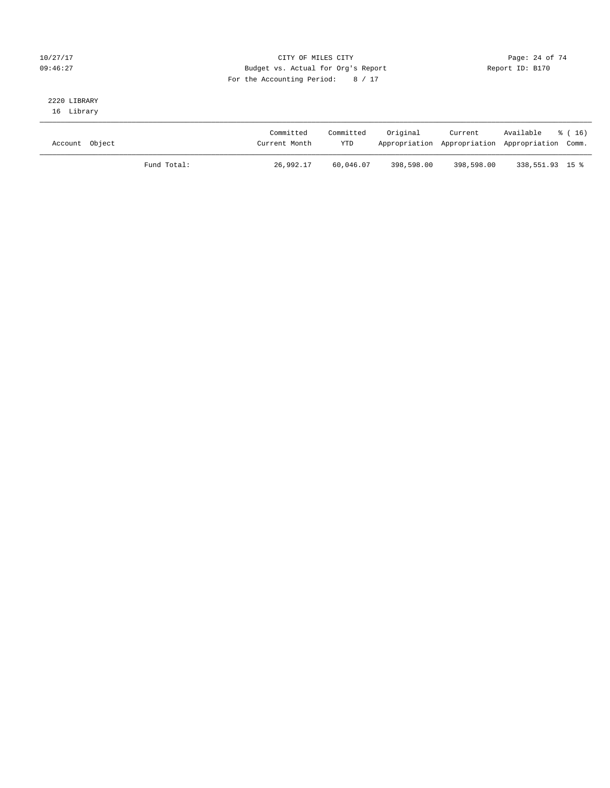### $CITY$  OF MILES  $CITY$  and the contract of  $74$ 09:46:27 Budget vs. Actual for Org's Report Communication Report ID: B170 For the Accounting Period: 8 / 17

# 2220 LIBRARY

16 Library

| Account Object |             | Committed<br>Current Month | Committed<br><b>YTD</b> | Original   | Current    | Available<br>Appropriation Appropriation Appropriation Comm. | * (16) |
|----------------|-------------|----------------------------|-------------------------|------------|------------|--------------------------------------------------------------|--------|
|                | Fund Total: | 26,992.17                  | 60,046.07               | 398,598.00 | 398,598.00 | 338,551.93 15 %                                              |        |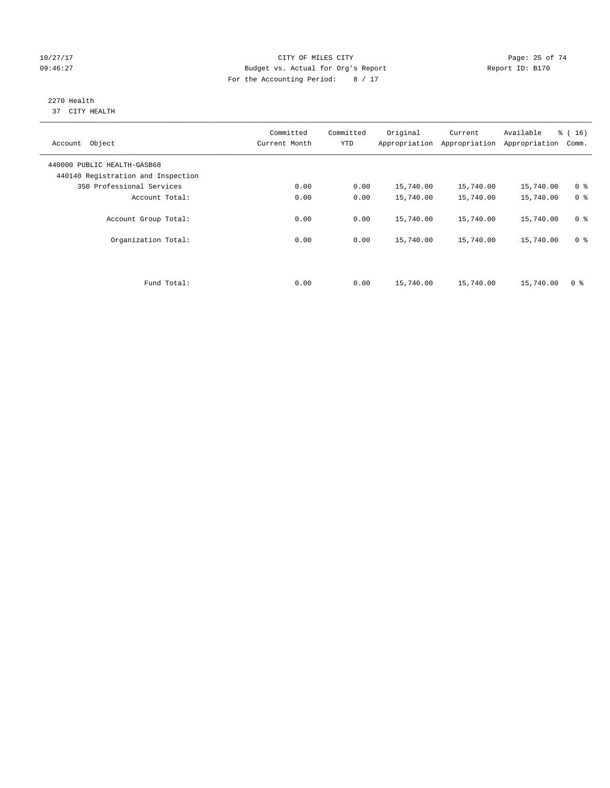#### 10/27/17 Page: 25 of 74 09:46:27 Budget vs. Actual for Org's Report Changer Report ID: B170 For the Accounting Period: 8 / 17

#### 2270 Health 37 CITY HEALTH

| Account Object                                                    | Committed<br>Current Month | Committed<br><b>YTD</b> | Original  | Current<br>Appropriation Appropriation | Available<br>Appropriation | % (16)<br>Comm. |
|-------------------------------------------------------------------|----------------------------|-------------------------|-----------|----------------------------------------|----------------------------|-----------------|
| 440000 PUBLIC HEALTH-GASB68<br>440140 Registration and Inspection |                            |                         |           |                                        |                            |                 |
| 350 Professional Services                                         | 0.00                       | 0.00                    | 15,740.00 | 15,740.00                              | 15,740.00                  | 0 <sup>8</sup>  |
| Account Total:                                                    | 0.00                       | 0.00                    | 15,740.00 | 15,740.00                              | 15,740.00                  | 0 <sup>8</sup>  |
| Account Group Total:                                              | 0.00                       | 0.00                    | 15,740.00 | 15,740.00                              | 15,740.00                  | 0 <sup>8</sup>  |
| Organization Total:                                               | 0.00                       | 0.00                    | 15,740.00 | 15,740.00                              | 15,740.00                  | 0 <sup>8</sup>  |
|                                                                   |                            |                         |           |                                        |                            |                 |
| Fund Total:                                                       | 0.00                       | 0.00                    | 15,740.00 | 15,740.00                              | 15,740.00                  | 0 <sup>8</sup>  |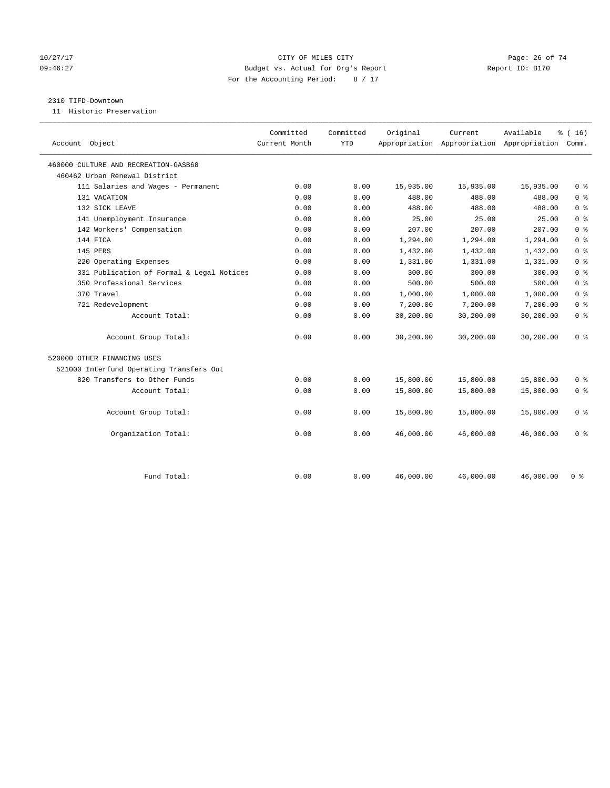#### 10/27/17 Page: 26 of 74 09:46:27 Budget vs. Actual for Org's Report Changer Report ID: B170 For the Accounting Period: 8 / 17

#### 2310 TIFD-Downtown

11 Historic Preservation

|                                           | Committed     | Committed  | Original  | Current   | Available                                 | % (16)         |  |
|-------------------------------------------|---------------|------------|-----------|-----------|-------------------------------------------|----------------|--|
| Account Object                            | Current Month | <b>YTD</b> |           |           | Appropriation Appropriation Appropriation | Comm.          |  |
|                                           |               |            |           |           |                                           |                |  |
| 460000 CULTURE AND RECREATION-GASB68      |               |            |           |           |                                           |                |  |
| 460462 Urban Renewal District             |               |            |           |           |                                           |                |  |
| 111 Salaries and Wages - Permanent        | 0.00          | 0.00       | 15,935.00 | 15,935.00 | 15,935.00                                 | 0 <sup>8</sup> |  |
| 131 VACATION                              | 0.00          | 0.00       | 488.00    | 488.00    | 488.00                                    | 0 <sup>8</sup> |  |
| 132 SICK LEAVE                            | 0.00          | 0.00       | 488.00    | 488.00    | 488.00                                    | 0 <sup>8</sup> |  |
| 141 Unemployment Insurance                | 0.00          | 0.00       | 25.00     | 25.00     | 25.00                                     | 0 <sup>8</sup> |  |
| 142 Workers' Compensation                 | 0.00          | 0.00       | 207.00    | 207.00    | 207.00                                    | 0 <sup>8</sup> |  |
| 144 FICA                                  | 0.00          | 0.00       | 1,294.00  | 1,294.00  | 1,294.00                                  | 0 <sup>8</sup> |  |
| 145 PERS                                  | 0.00          | 0.00       | 1,432.00  | 1,432.00  | 1,432.00                                  | 0 <sup>8</sup> |  |
| 220 Operating Expenses                    | 0.00          | 0.00       | 1,331.00  | 1,331.00  | 1,331.00                                  | 0 <sup>8</sup> |  |
| 331 Publication of Formal & Legal Notices | 0.00          | 0.00       | 300.00    | 300.00    | 300.00                                    | 0 <sup>8</sup> |  |
| 350 Professional Services                 | 0.00          | 0.00       | 500.00    | 500.00    | 500.00                                    | 0 <sup>8</sup> |  |
| 370 Travel                                | 0.00          | 0.00       | 1,000.00  | 1,000.00  | 1,000.00                                  | 0 <sup>8</sup> |  |
| 721 Redevelopment                         | 0.00          | 0.00       | 7,200.00  | 7,200.00  | 7,200.00                                  | 0 <sup>8</sup> |  |
| Account Total:                            | 0.00          | 0.00       | 30,200.00 | 30,200.00 | 30,200.00                                 | 0 <sup>8</sup> |  |
| Account Group Total:                      | 0.00          | 0.00       | 30,200.00 | 30,200.00 | 30,200.00                                 | 0 <sup>8</sup> |  |
| 520000 OTHER FINANCING USES               |               |            |           |           |                                           |                |  |
| 521000 Interfund Operating Transfers Out  |               |            |           |           |                                           |                |  |
| 820 Transfers to Other Funds              | 0.00          | 0.00       | 15,800.00 | 15,800.00 | 15,800.00                                 | 0 <sup>8</sup> |  |
| Account Total:                            | 0.00          | 0.00       | 15,800.00 | 15,800.00 | 15,800.00                                 | 0 <sup>8</sup> |  |
| Account Group Total:                      | 0.00          | 0.00       | 15,800.00 | 15,800.00 | 15,800.00                                 | 0 <sup>8</sup> |  |
| Organization Total:                       | 0.00          | 0.00       | 46,000.00 | 46,000.00 | 46,000.00                                 | 0 <sup>8</sup> |  |
|                                           |               |            |           |           |                                           |                |  |
| Fund Total:                               | 0.00          | 0.00       | 46,000.00 | 46,000.00 | 46,000.00                                 | 0 <sup>8</sup> |  |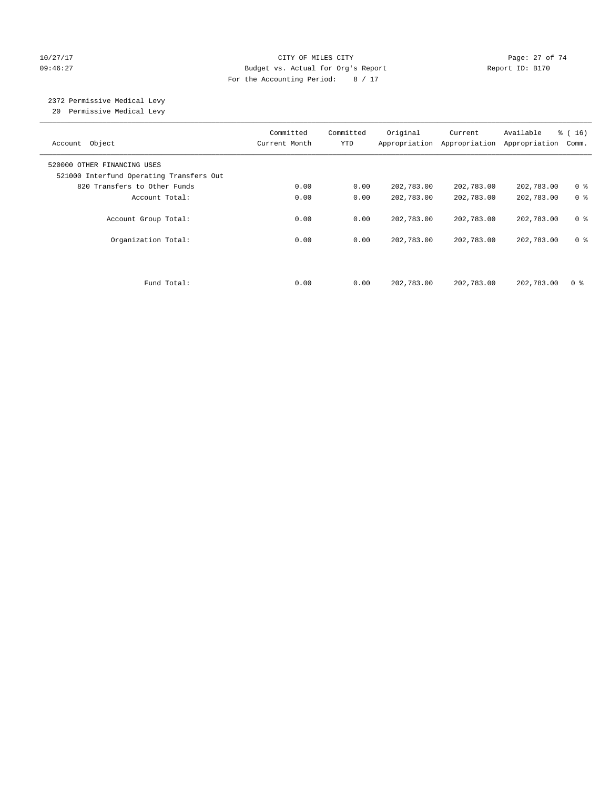#### 10/27/17 Page: 27 of 74 09:46:27 Budget vs. Actual for Org's Report Communication Report ID: B170 For the Accounting Period: 8 / 17

# 2372 Permissive Medical Levy

20 Permissive Medical Levy

| Account Object                                                          | Committed<br>Current Month | Committed<br><b>YTD</b> | Original   | Current<br>Appropriation Appropriation | Available<br>Appropriation | $\frac{1}{6}$ ( 16 )<br>Comm. |
|-------------------------------------------------------------------------|----------------------------|-------------------------|------------|----------------------------------------|----------------------------|-------------------------------|
| 520000 OTHER FINANCING USES<br>521000 Interfund Operating Transfers Out |                            |                         |            |                                        |                            |                               |
| 820 Transfers to Other Funds                                            | 0.00                       | 0.00                    | 202,783.00 | 202,783.00                             | 202,783.00                 | 0 <sup>8</sup>                |
| Account Total:                                                          | 0.00                       | 0.00                    | 202,783.00 | 202,783.00                             | 202,783.00                 | 0 <sup>8</sup>                |
| Account Group Total:                                                    | 0.00                       | 0.00                    | 202,783.00 | 202,783.00                             | 202,783.00                 | 0 <sup>8</sup>                |
| Organization Total:                                                     | 0.00                       | 0.00                    | 202,783.00 | 202,783.00                             | 202,783.00                 | 0 <sup>8</sup>                |
|                                                                         |                            |                         |            |                                        |                            |                               |
| Fund Total:                                                             | 0.00                       | 0.00                    | 202,783.00 | 202,783.00                             | 202,783.00                 | 0 %                           |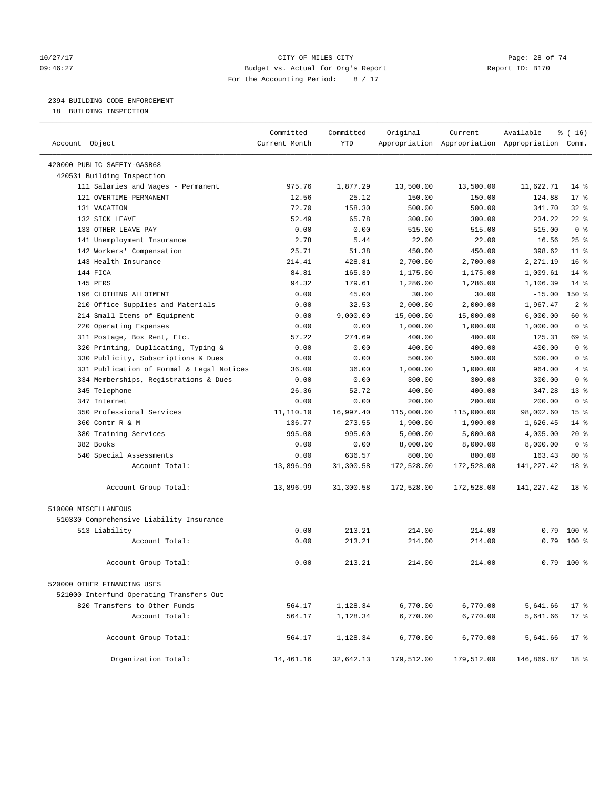#### 10/27/17 Page: 28 of 74 09:46:27 Budget vs. Actual for Org's Report Communication Report ID: B170 For the Accounting Period: 8 / 17

————————————————————————————————————————————————————————————————————————————————————————————————————————————————————————————————————

#### 2394 BUILDING CODE ENFORCEMENT

18 BUILDING INSPECTION

|                                           | Committed     | Committed | Original   | Current                                         | Available   | % (16)          |
|-------------------------------------------|---------------|-----------|------------|-------------------------------------------------|-------------|-----------------|
| Account Object                            | Current Month | YTD       |            | Appropriation Appropriation Appropriation Comm. |             |                 |
| 420000 PUBLIC SAFETY-GASB68               |               |           |            |                                                 |             |                 |
| 420531 Building Inspection                |               |           |            |                                                 |             |                 |
| 111 Salaries and Wages - Permanent        | 975.76        | 1,877.29  | 13,500.00  | 13,500.00                                       | 11,622.71   | $14$ %          |
| 121 OVERTIME-PERMANENT                    | 12.56         | 25.12     | 150.00     | 150.00                                          | 124.88      | $17*$           |
| 131 VACATION                              | 72.70         | 158.30    | 500.00     | 500.00                                          | 341.70      | $32$ $%$        |
| 132 SICK LEAVE                            | 52.49         | 65.78     | 300.00     | 300.00                                          | 234.22      | $22$ %          |
| 133 OTHER LEAVE PAY                       | 0.00          | 0.00      | 515.00     | 515.00                                          | 515.00      | 0 <sup>8</sup>  |
| 141 Unemployment Insurance                | 2.78          | 5.44      | 22.00      | 22.00                                           | 16.56       | 25%             |
| 142 Workers' Compensation                 | 25.71         | 51.38     | 450.00     | 450.00                                          | 398.62      | $11*$           |
| 143 Health Insurance                      | 214.41        | 428.81    | 2,700.00   | 2,700.00                                        | 2,271.19    | 16 <sup>°</sup> |
| 144 FICA                                  | 84.81         | 165.39    | 1,175.00   | 1,175.00                                        | 1,009.61    | $14*$           |
| 145 PERS                                  | 94.32         | 179.61    | 1,286.00   | 1,286.00                                        | 1,106.39    | $14*$           |
| 196 CLOTHING ALLOTMENT                    | 0.00          | 45.00     | 30.00      | 30.00                                           | $-15.00$    | 150 %           |
| 210 Office Supplies and Materials         | 0.00          | 32.53     | 2,000.00   | 2,000.00                                        | 1,967.47    | 2 <sup>°</sup>  |
| 214 Small Items of Equipment              | 0.00          | 9,000.00  | 15,000.00  | 15,000.00                                       | 6,000.00    | 60 %            |
| 220 Operating Expenses                    | 0.00          | 0.00      | 1,000.00   | 1,000.00                                        | 1,000.00    | 0 <sup>8</sup>  |
| 311 Postage, Box Rent, Etc.               | 57.22         | 274.69    | 400.00     | 400.00                                          | 125.31      | 69 %            |
| 320 Printing, Duplicating, Typing &       | 0.00          | 0.00      | 400.00     | 400.00                                          | 400.00      | 0 <sup>8</sup>  |
| 330 Publicity, Subscriptions & Dues       | 0.00          | 0.00      | 500.00     | 500.00                                          | 500.00      | 0 <sup>8</sup>  |
| 331 Publication of Formal & Legal Notices | 36.00         | 36.00     | 1,000.00   | 1,000.00                                        | 964.00      | 4%              |
| 334 Memberships, Registrations & Dues     | 0.00          | 0.00      | 300.00     | 300.00                                          | 300.00      | 0 <sup>8</sup>  |
| 345 Telephone                             | 26.36         | 52.72     | 400.00     | 400.00                                          | 347.28      | $13*$           |
| 347 Internet                              | 0.00          | 0.00      | 200.00     | 200.00                                          | 200.00      | 0 <sup>8</sup>  |
| 350 Professional Services                 | 11,110.10     | 16,997.40 | 115,000.00 | 115,000.00                                      | 98,002.60   | 15 <sup>°</sup> |
| 360 Contr R & M                           | 136.77        | 273.55    | 1,900.00   | 1,900.00                                        | 1,626.45    | $14*$           |
| 380 Training Services                     | 995.00        | 995.00    | 5,000.00   | 5,000.00                                        | 4,005.00    | $20*$           |
| 382 Books                                 | 0.00          | 0.00      | 8,000.00   | 8,000.00                                        | 8,000.00    | 0 <sup>8</sup>  |
| 540 Special Assessments                   | 0.00          | 636.57    | 800.00     | 800.00                                          | 163.43      | $80*$           |
| Account Total:                            | 13,896.99     | 31,300.58 | 172,528.00 | 172,528.00                                      | 141, 227.42 | 18 %            |
| Account Group Total:                      | 13,896.99     | 31,300.58 | 172,528.00 | 172,528.00                                      | 141, 227.42 | 18 %            |
| 510000 MISCELLANEOUS                      |               |           |            |                                                 |             |                 |
| 510330 Comprehensive Liability Insurance  |               |           |            |                                                 |             |                 |
| 513 Liability                             | 0.00          | 213.21    | 214.00     | 214.00                                          |             | $0.79$ 100 %    |
| Account Total:                            | 0.00          | 213.21    | 214.00     | 214.00                                          |             | $0.79$ 100 %    |
| Account Group Total:                      | 0.00          | 213.21    | 214.00     | 214.00                                          | 0.79        | $100*$          |
| 520000 OTHER FINANCING USES               |               |           |            |                                                 |             |                 |
| 521000 Interfund Operating Transfers Out  |               |           |            |                                                 |             |                 |
| 820 Transfers to Other Funds              | 564.17        | 1,128.34  | 6,770.00   | 6,770.00                                        | 5,641.66    | $17*$           |
| Account Total:                            | 564.17        | 1,128.34  | 6,770.00   | 6,770.00                                        | 5,641.66    | $17*$           |
|                                           |               |           |            |                                                 |             |                 |
| Account Group Total:                      | 564.17        | 1,128.34  | 6,770.00   | 6,770.00                                        | 5,641.66    | $17*$           |
| Organization Total:                       | 14,461.16     | 32,642.13 | 179,512.00 | 179,512.00                                      | 146,869.87  | 18 %            |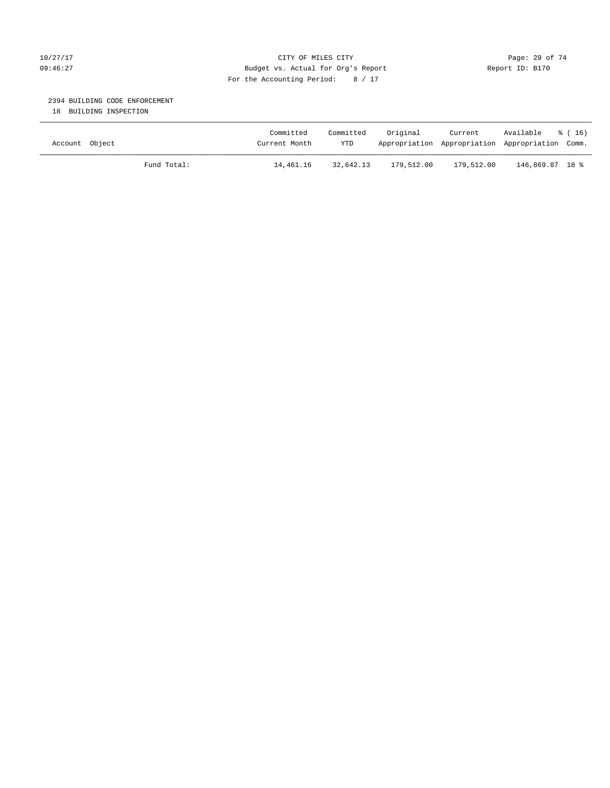#### 10/27/17 Page: 29 of 74 09:46:27 Budget vs. Actual for Org's Report Communication Report ID: B170 For the Accounting Period: 8 / 17

#### 2394 BUILDING CODE ENFORCEMENT

18 BUILDING INSPECTION

| Account Object |             | Committed<br>Current Month | Committed<br><b>YTD</b> | Original   | Current<br>Appropriation Appropriation Appropriation Comm. | Available       | - 8 ( 16 ) |
|----------------|-------------|----------------------------|-------------------------|------------|------------------------------------------------------------|-----------------|------------|
|                | Fund Total: | 14,461.16                  | 32,642.13               | 179,512.00 | 179,512.00                                                 | 146,869.87 18 % |            |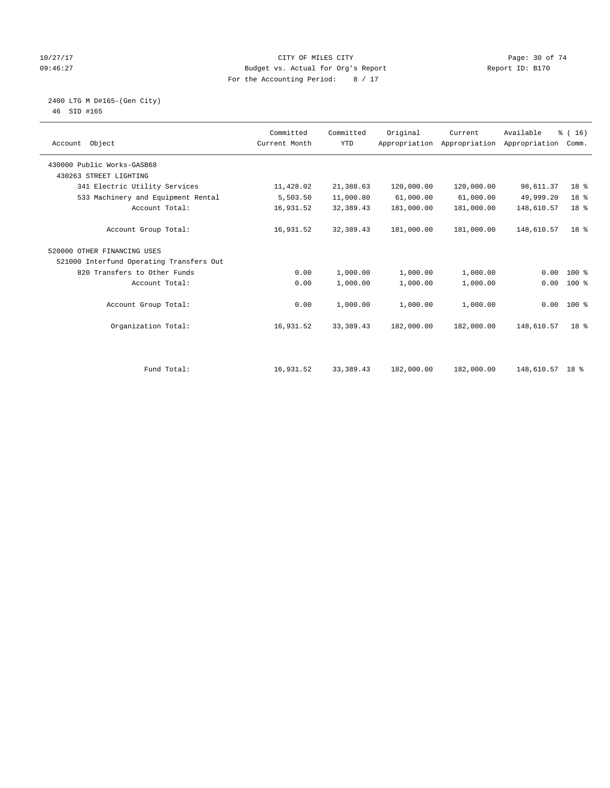#### 10/27/17 Page: 30 of 74 09:46:27 Budget vs. Actual for Org's Report Communication Report ID: B170 For the Accounting Period: 8 / 17

 2400 LTG M D#165-(Gen City) 46 SID #165

| Account Object                           | Committed<br>Current Month | Committed<br><b>YTD</b> | Original   | Current<br>Appropriation Appropriation Appropriation | Available       | % (16)<br>Comm. |  |
|------------------------------------------|----------------------------|-------------------------|------------|------------------------------------------------------|-----------------|-----------------|--|
| 430000 Public Works-GASB68               |                            |                         |            |                                                      |                 |                 |  |
| 430263 STREET LIGHTING                   |                            |                         |            |                                                      |                 |                 |  |
| 341 Electric Utility Services            | 11,428.02                  | 21,388.63               | 120,000.00 | 120,000.00                                           | 98,611.37       | 18 %            |  |
| 533 Machinery and Equipment Rental       | 5,503.50                   | 11,000.80               | 61,000.00  | 61,000.00                                            | 49,999.20       | 18 %            |  |
| Account Total:                           | 16,931.52                  | 32,389.43               | 181,000.00 | 181,000.00                                           | 148,610.57      | 18 <sup>8</sup> |  |
| Account Group Total:                     | 16,931.52                  | 32, 389.43              | 181,000.00 | 181,000.00                                           | 148,610.57      | 18 <sup>8</sup> |  |
| 520000 OTHER FINANCING USES              |                            |                         |            |                                                      |                 |                 |  |
| 521000 Interfund Operating Transfers Out |                            |                         |            |                                                      |                 |                 |  |
| 820 Transfers to Other Funds             | 0.00                       | 1,000.00                | 1,000.00   | 1,000.00                                             | 0.00            | $100*$          |  |
| Account Total:                           | 0.00                       | 1,000.00                | 1,000.00   | 1,000.00                                             | 0.00            | $100*$          |  |
| Account Group Total:                     | 0.00                       | 1,000.00                | 1,000.00   | 1,000.00                                             |                 | $0.00$ 100 %    |  |
| Organization Total:                      | 16,931.52                  | 33, 389.43              | 182,000.00 | 182,000.00                                           | 148,610.57      | 18 <sup>8</sup> |  |
|                                          |                            |                         |            |                                                      |                 |                 |  |
| Fund Total:                              | 16,931.52                  | 33, 389.43              | 182,000.00 | 182,000.00                                           | 148,610.57 18 % |                 |  |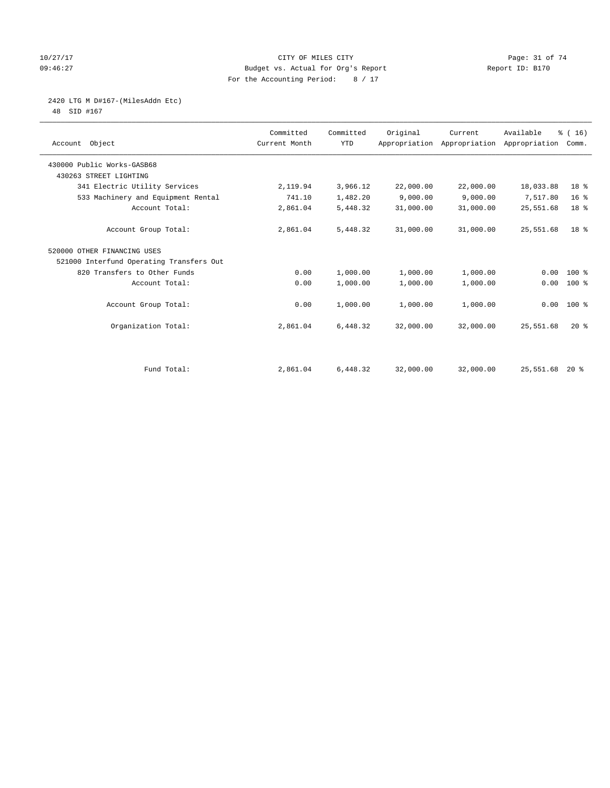#### 10/27/17 Page: 31 of 74 09:46:27 Budget vs. Actual for Org's Report Communication Report ID: B170 For the Accounting Period: 8 / 17

# 2420 LTG M D#167-(MilesAddn Etc)

48 SID #167

| Account Object                           | Committed<br>Current Month | Committed<br><b>YTD</b> | Original  | Current<br>Appropriation Appropriation Appropriation | Available | % (16)<br>Comm. |  |
|------------------------------------------|----------------------------|-------------------------|-----------|------------------------------------------------------|-----------|-----------------|--|
| 430000 Public Works-GASB68               |                            |                         |           |                                                      |           |                 |  |
| 430263 STREET LIGHTING                   |                            |                         |           |                                                      |           |                 |  |
| 341 Electric Utility Services            | 2,119.94                   | 3,966.12                | 22,000.00 | 22,000.00                                            | 18,033.88 | 18 %            |  |
| 533 Machinery and Equipment Rental       | 741.10                     | 1,482.20                | 9,000.00  | 9,000.00                                             | 7,517.80  | 16 <sup>°</sup> |  |
| Account Total:                           | 2,861.04                   | 5,448.32                | 31,000.00 | 31,000.00                                            | 25,551.68 | 18 %            |  |
| Account Group Total:                     | 2,861.04                   | 5,448.32                | 31,000.00 | 31,000.00                                            | 25,551.68 | 18 <sup>8</sup> |  |
| 520000 OTHER FINANCING USES              |                            |                         |           |                                                      |           |                 |  |
| 521000 Interfund Operating Transfers Out |                            |                         |           |                                                      |           |                 |  |
| 820 Transfers to Other Funds             | 0.00                       | 1,000.00                | 1,000.00  | 1,000.00                                             | 0.00      | $100*$          |  |
| Account Total:                           | 0.00                       | 1,000.00                | 1,000.00  | 1,000.00                                             | 0.00      | 100 %           |  |
| Account Group Total:                     | 0.00                       | 1,000.00                | 1,000.00  | 1,000.00                                             |           | $0.00 100$ %    |  |
| Organization Total:                      | 2,861.04                   | 6,448.32                | 32,000.00 | 32,000.00                                            | 25,551.68 | $20*$           |  |
|                                          |                            |                         |           |                                                      |           |                 |  |
| Fund Total:                              | 2,861.04                   | 6,448.32                | 32,000.00 | 32,000.00                                            | 25,551.68 | $20*$           |  |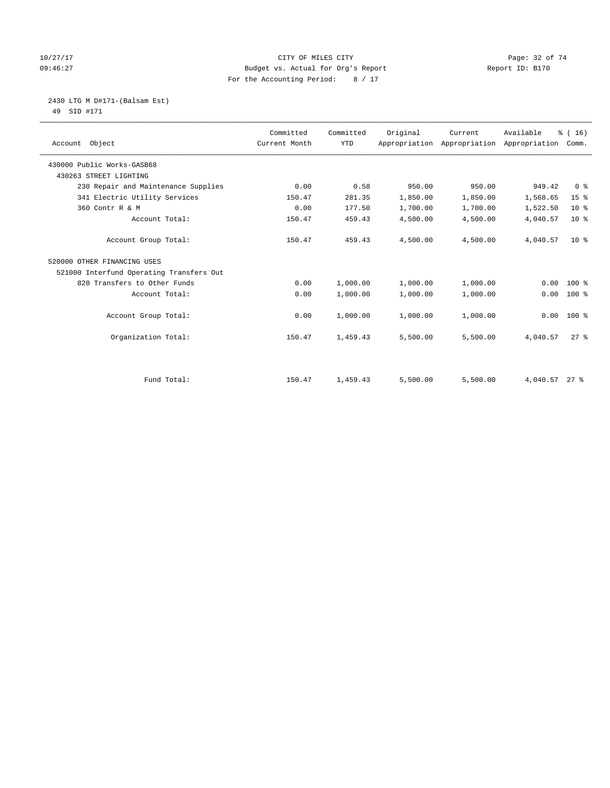#### 10/27/17 Page: 32 of 74 09:46:27 Budget vs. Actual for Org's Report Communication Report ID: B170 For the Accounting Period: 8 / 17

 2430 LTG M D#171-(Balsam Est) 49 SID #171

| Account Object                           | Committed<br>Current Month | Committed<br><b>YTD</b> | Original | Current<br>Appropriation Appropriation Appropriation | Available     | % (16)<br>Comm. |
|------------------------------------------|----------------------------|-------------------------|----------|------------------------------------------------------|---------------|-----------------|
| 430000 Public Works-GASB68               |                            |                         |          |                                                      |               |                 |
| 430263 STREET LIGHTING                   |                            |                         |          |                                                      |               |                 |
| 230 Repair and Maintenance Supplies      | 0.00                       | 0.58                    | 950.00   | 950.00                                               | 949.42        | 0 <sup>8</sup>  |
| 341 Electric Utility Services            | 150.47                     | 281.35                  | 1,850.00 | 1,850.00                                             | 1,568.65      | 15 <sup>°</sup> |
| 360 Contr R & M                          | 0.00                       | 177.50                  | 1,700.00 | 1,700.00                                             | 1,522.50      | $10*$           |
| Account Total:                           | 150.47                     | 459.43                  | 4,500.00 | 4,500.00                                             | 4,040.57      | $10*$           |
| Account Group Total:                     | 150.47                     | 459.43                  | 4,500.00 | 4,500.00                                             | 4,040.57      | 10 <sup>8</sup> |
| 520000 OTHER FINANCING USES              |                            |                         |          |                                                      |               |                 |
| 521000 Interfund Operating Transfers Out |                            |                         |          |                                                      |               |                 |
| 820 Transfers to Other Funds             | 0.00                       | 1,000.00                | 1,000.00 | 1,000.00                                             | 0.00          | $100*$          |
| Account Total:                           | 0.00                       | 1,000.00                | 1,000.00 | 1,000.00                                             | 0.00          | $100*$          |
| Account Group Total:                     | 0.00                       | 1,000.00                | 1,000.00 | 1,000.00                                             | 0.00          | $100*$          |
| Organization Total:                      | 150.47                     | 1,459.43                | 5,500.00 | 5,500.00                                             | 4,040.57      | $27$ $%$        |
|                                          |                            |                         |          |                                                      |               |                 |
| Fund Total:                              | 150.47                     | 1,459.43                | 5,500.00 | 5,500.00                                             | 4,040.57 27 % |                 |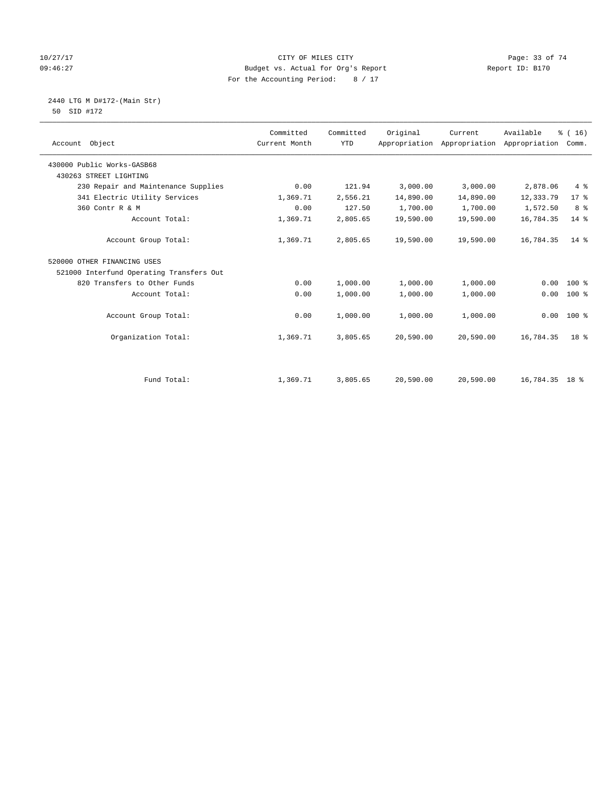### 10/27/17 CITY OF MILES CITY CHERE CITY CONSUMING THE PAGE: 33 OF 74<br>109:46:27 Budget vs. Actual for Org's Report Consumer Seport ID: B170 09:46:27 Budget vs. Actual for Org's Report Report ID: B170 For the Accounting Period: 8 / 17

 2440 LTG M D#172-(Main Str) 50 SID #172

| Account Object                           | Committed<br>Current Month | Committed<br><b>YTD</b> | Original  | Current<br>Appropriation Appropriation | Available<br>Appropriation | % (16)<br>Comm. |
|------------------------------------------|----------------------------|-------------------------|-----------|----------------------------------------|----------------------------|-----------------|
| 430000 Public Works-GASB68               |                            |                         |           |                                        |                            |                 |
| 430263 STREET LIGHTING                   |                            |                         |           |                                        |                            |                 |
| 230 Repair and Maintenance Supplies      | 0.00                       | 121.94                  | 3,000.00  | 3,000.00                               | 2,878.06                   | 4%              |
| 341 Electric Utility Services            | 1,369.71                   | 2,556.21                | 14,890.00 | 14,890.00                              | 12,333.79                  | $17*$           |
| 360 Contr R & M                          | 0.00                       | 127.50                  | 1,700.00  | 1,700.00                               | 1,572.50                   | 8 %             |
| Account Total:                           | 1,369.71                   | 2,805.65                | 19,590.00 | 19,590.00                              | 16,784.35                  | 14 %            |
| Account Group Total:                     | 1,369.71                   | 2,805.65                | 19,590.00 | 19,590.00                              | 16,784.35                  | $14*$           |
| 520000 OTHER FINANCING USES              |                            |                         |           |                                        |                            |                 |
| 521000 Interfund Operating Transfers Out |                            |                         |           |                                        |                            |                 |
| 820 Transfers to Other Funds             | 0.00                       | 1,000.00                | 1,000.00  | 1,000.00                               | 0.00                       | $100$ %         |
| Account Total:                           | 0.00                       | 1,000.00                | 1,000.00  | 1,000.00                               | 0.00                       | $100$ %         |
| Account Group Total:                     | 0.00                       | 1,000.00                | 1,000.00  | 1,000.00                               | 0.00                       | $100*$          |
| Organization Total:                      | 1,369.71                   | 3,805.65                | 20,590.00 | 20,590.00                              | 16,784.35                  | 18 <sup>8</sup> |
|                                          |                            |                         |           |                                        |                            |                 |
| Fund Total:                              | 1,369.71                   | 3,805.65                | 20,590.00 | 20,590.00                              | 16,784.35 18 %             |                 |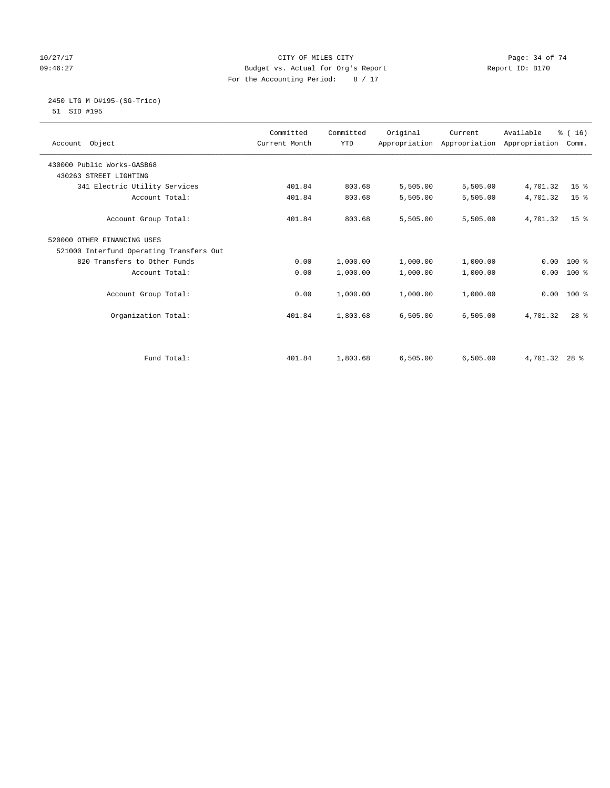#### 10/27/17 Page: 34 of 74 09:46:27 Budget vs. Actual for Org's Report Communication Report ID: B170 For the Accounting Period: 8 / 17

#### 2450 LTG M D#195-(SG-Trico) 51 SID #195

| Account Object                           | Committed<br>Current Month | Committed<br><b>YTD</b> | Original | Current<br>Appropriation Appropriation Appropriation | Available     | % (16)<br>Comm. |  |
|------------------------------------------|----------------------------|-------------------------|----------|------------------------------------------------------|---------------|-----------------|--|
|                                          |                            |                         |          |                                                      |               |                 |  |
| 430000 Public Works-GASB68               |                            |                         |          |                                                      |               |                 |  |
| 430263 STREET LIGHTING                   |                            |                         |          |                                                      |               |                 |  |
| 341 Electric Utility Services            | 401.84                     | 803.68                  | 5,505.00 | 5,505.00                                             | 4,701.32      | 15 <sup>8</sup> |  |
| Account Total:                           | 401.84                     | 803.68                  | 5,505.00 | 5,505.00                                             | 4,701.32      | 15 <sup>°</sup> |  |
|                                          |                            |                         |          |                                                      |               |                 |  |
| Account Group Total:                     | 401.84                     | 803.68                  | 5,505.00 | 5,505.00                                             | 4,701.32      | 15 <sup>8</sup> |  |
| 520000 OTHER FINANCING USES              |                            |                         |          |                                                      |               |                 |  |
| 521000 Interfund Operating Transfers Out |                            |                         |          |                                                      |               |                 |  |
| 820 Transfers to Other Funds             | 0.00                       | 1,000.00                | 1,000.00 | 1,000.00                                             | 0.00          | $100*$          |  |
| Account Total:                           | 0.00                       | 1,000.00                | 1,000.00 | 1,000.00                                             | 0.00          | $100*$          |  |
|                                          |                            |                         |          |                                                      |               |                 |  |
| Account Group Total:                     | 0.00                       | 1,000.00                | 1,000.00 | 1,000.00                                             | 0.00          | $100*$          |  |
|                                          |                            |                         |          |                                                      |               |                 |  |
| Organization Total:                      | 401.84                     | 1,803.68                | 6,505.00 | 6,505.00                                             | 4,701.32      | $28$ $%$        |  |
|                                          |                            |                         |          |                                                      |               |                 |  |
|                                          |                            |                         |          |                                                      |               |                 |  |
|                                          |                            |                         |          |                                                      |               |                 |  |
| Fund Total:                              | 401.84                     | 1,803.68                | 6,505.00 | 6,505.00                                             | 4,701.32 28 % |                 |  |
|                                          |                            |                         |          |                                                      |               |                 |  |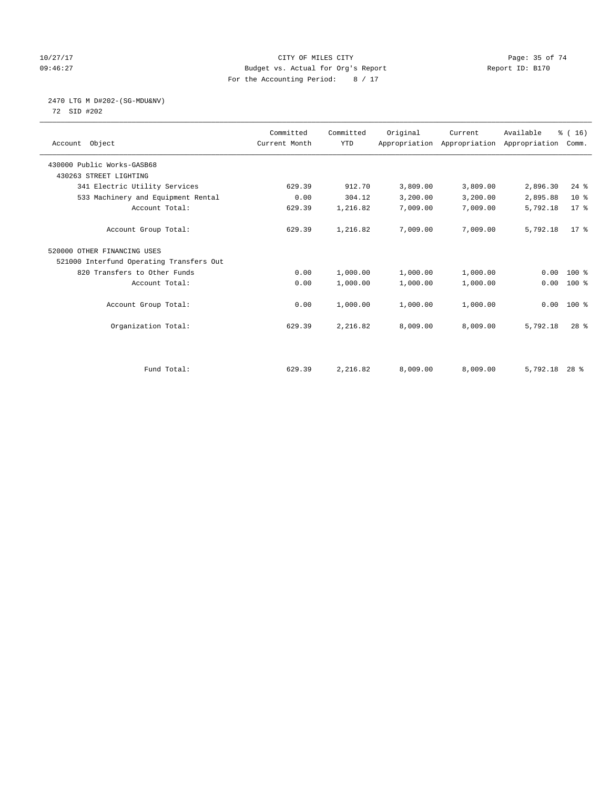#### 10/27/17 Page: 35 of 74 09:46:27 Budget vs. Actual for Org's Report Communication Report ID: B170 For the Accounting Period: 8 / 17

# 2470 LTG M D#202-(SG-MDU&NV)

72 SID #202

| Account Object                           | Committed<br>Current Month | Committed<br><b>YTD</b> | Original | Current<br>Appropriation Appropriation Appropriation | Available | % (16)<br>Comm. |
|------------------------------------------|----------------------------|-------------------------|----------|------------------------------------------------------|-----------|-----------------|
| 430000 Public Works-GASB68               |                            |                         |          |                                                      |           |                 |
| 430263 STREET LIGHTING                   |                            |                         |          |                                                      |           |                 |
| 341 Electric Utility Services            | 629.39                     | 912.70                  | 3,809.00 | 3,809.00                                             | 2,896.30  | $24$ $%$        |
| 533 Machinery and Equipment Rental       | 0.00                       | 304.12                  | 3,200.00 | 3,200.00                                             | 2,895.88  | $10*$           |
| Account Total:                           | 629.39                     | 1,216.82                | 7,009.00 | 7,009.00                                             | 5,792.18  | 17.8            |
| Account Group Total:                     | 629.39                     | 1,216.82                | 7,009.00 | 7,009.00                                             | 5,792.18  | $17*$           |
| 520000 OTHER FINANCING USES              |                            |                         |          |                                                      |           |                 |
| 521000 Interfund Operating Transfers Out |                            |                         |          |                                                      |           |                 |
| 820 Transfers to Other Funds             | 0.00                       | 1,000.00                | 1,000.00 | 1,000.00                                             | 0.00      | $100*$          |
| Account Total:                           | 0.00                       | 1,000.00                | 1,000.00 | 1,000.00                                             | 0.00      | $100$ %         |
| Account Group Total:                     | 0.00                       | 1,000.00                | 1,000.00 | 1,000.00                                             |           | $0.00 100$ %    |
| Organization Total:                      | 629.39                     | 2,216.82                | 8,009.00 | 8,009.00                                             | 5,792.18  | $28$ $%$        |
|                                          |                            |                         |          |                                                      |           |                 |
| Fund Total:                              | 629.39                     | 2,216.82                | 8,009.00 | 8,009.00                                             | 5,792.18  | $28$ %          |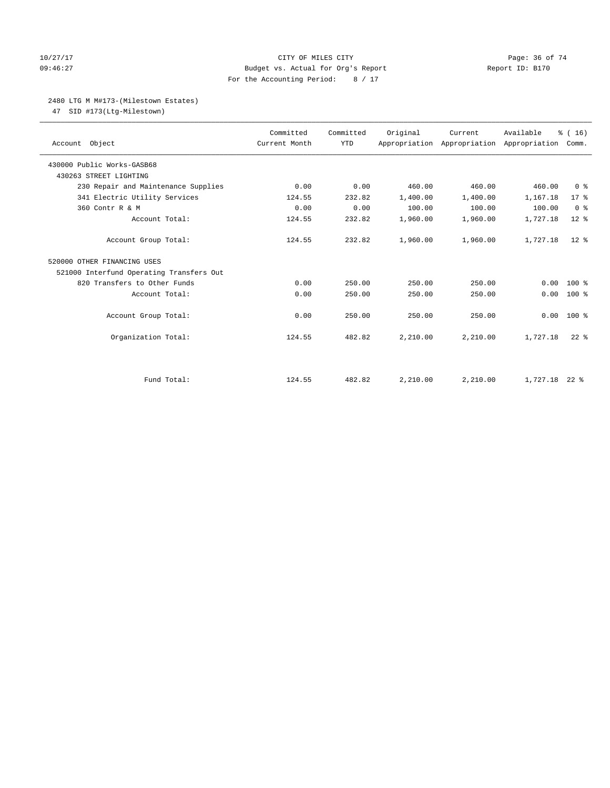#### 10/27/17 Page: 36 of 74 09:46:27 Budget vs. Actual for Org's Report Communication Report ID: B170 For the Accounting Period: 8 / 17

## 2480 LTG M M#173-(Milestown Estates)

47 SID #173(Ltg-Milestown)

| Account Object                           | Committed<br>Current Month | Committed<br><b>YTD</b> | Original | Current<br>Appropriation Appropriation Appropriation | Available       | % (16)<br>Comm. |
|------------------------------------------|----------------------------|-------------------------|----------|------------------------------------------------------|-----------------|-----------------|
| 430000 Public Works-GASB68               |                            |                         |          |                                                      |                 |                 |
| 430263 STREET LIGHTING                   |                            |                         |          |                                                      |                 |                 |
| 230 Repair and Maintenance Supplies      | 0.00                       | 0.00                    | 460.00   | 460.00                                               | 460.00          | 0 <sup>8</sup>  |
| 341 Electric Utility Services            | 124.55                     | 232.82                  | 1,400.00 | 1,400.00                                             | 1,167.18        | $17*$           |
| 360 Contr R & M                          | 0.00                       | 0.00                    | 100.00   | 100.00                                               | 100.00          | 0 <sup>8</sup>  |
| Account Total:                           | 124.55                     | 232.82                  | 1,960.00 | 1,960.00                                             | 1,727.18        | $12*$           |
| Account Group Total:                     | 124.55                     | 232.82                  | 1,960.00 | 1,960.00                                             | 1,727.18        | $12*$           |
| 520000 OTHER FINANCING USES              |                            |                         |          |                                                      |                 |                 |
| 521000 Interfund Operating Transfers Out |                            |                         |          |                                                      |                 |                 |
| 820 Transfers to Other Funds             | 0.00                       | 250.00                  | 250.00   | 250.00                                               | 0.00            | $100*$          |
| Account Total:                           | 0.00                       | 250.00                  | 250.00   | 250.00                                               | 0.00            | $100*$          |
| Account Group Total:                     | 0.00                       | 250.00                  | 250.00   | 250.00                                               | 0.00            | $100*$          |
| Organization Total:                      | 124.55                     | 482.82                  | 2,210.00 | 2,210.00                                             | 1,727.18        | $22$ $%$        |
|                                          |                            |                         |          |                                                      |                 |                 |
| Fund Total:                              | 124.55                     | 482.82                  | 2,210.00 | 2,210.00                                             | $1,727.18$ 22 % |                 |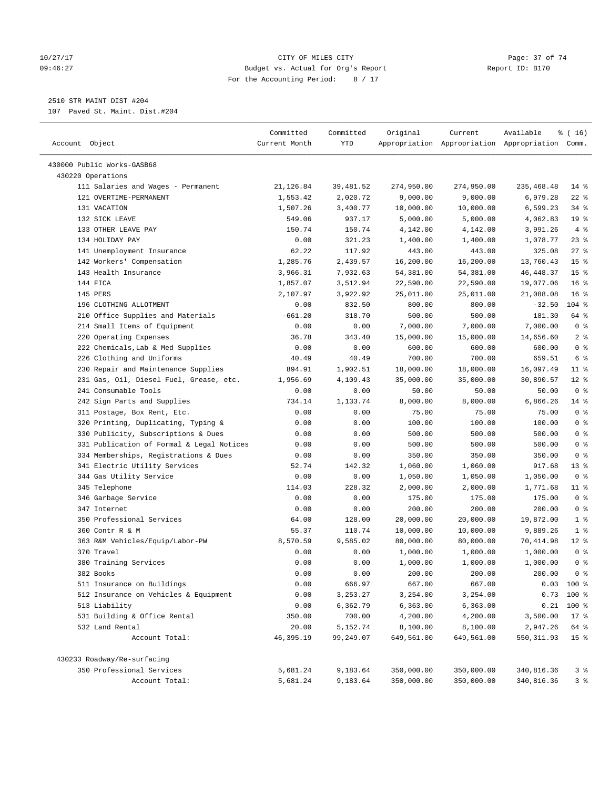#### 10/27/17 Page: 37 of 74 09:46:27 Budget vs. Actual for Org's Report Report ID: B170 For the Accounting Period: 8 / 17

————————————————————————————————————————————————————————————————————————————————————————————————————————————————————————————————————

# 2510 STR MAINT DIST #204

107 Paved St. Maint. Dist.#204

|                                           | Committed     | Committed  | Original   | Current    | Available                                       | ៖ ( 16)         |
|-------------------------------------------|---------------|------------|------------|------------|-------------------------------------------------|-----------------|
| Account Object                            | Current Month | YTD        |            |            | Appropriation Appropriation Appropriation Comm. |                 |
| 430000 Public Works-GASB68                |               |            |            |            |                                                 |                 |
| 430220 Operations                         |               |            |            |            |                                                 |                 |
| 111 Salaries and Wages - Permanent        | 21, 126.84    | 39,481.52  | 274,950.00 | 274,950.00 | 235,468.48                                      | $14$ %          |
| 121 OVERTIME-PERMANENT                    | 1,553.42      | 2,020.72   | 9,000.00   | 9,000.00   | 6,979.28                                        | $22$ %          |
| 131 VACATION                              | 1,507.26      | 3,400.77   | 10,000.00  | 10,000.00  | 6,599.23                                        | 34 %            |
| 132 SICK LEAVE                            | 549.06        | 937.17     | 5,000.00   | 5,000.00   | 4,062.83                                        | 19 <sup>°</sup> |
| 133 OTHER LEAVE PAY                       | 150.74        | 150.74     | 4,142.00   | 4,142.00   | 3,991.26                                        | 4%              |
| 134 HOLIDAY PAY                           | 0.00          | 321.23     | 1,400.00   | 1,400.00   | 1,078.77                                        | $23$ $%$        |
| 141 Unemployment Insurance                | 62.22         | 117.92     | 443.00     | 443.00     | 325.08                                          | $27$ %          |
| 142 Workers' Compensation                 | 1,285.76      | 2,439.57   | 16,200.00  | 16,200.00  | 13,760.43                                       | 15 <sup>°</sup> |
| 143 Health Insurance                      | 3,966.31      | 7,932.63   | 54,381.00  | 54,381.00  | 46, 448.37                                      | 15 <sup>°</sup> |
| 144 FICA                                  | 1,857.07      | 3,512.94   | 22,590.00  | 22,590.00  | 19,077.06                                       | 16 <sup>°</sup> |
| 145 PERS                                  | 2,107.97      | 3,922.92   | 25,011.00  | 25,011.00  | 21,088.08                                       | 16 <sup>8</sup> |
| 196 CLOTHING ALLOTMENT                    | 0.00          | 832.50     | 800.00     | 800.00     | $-32.50$                                        | 104 %           |
| 210 Office Supplies and Materials         | $-661.20$     | 318.70     | 500.00     | 500.00     | 181.30                                          | 64 %            |
| 214 Small Items of Equipment              | 0.00          | 0.00       | 7,000.00   | 7,000.00   | 7,000.00                                        | 0 <sup>8</sup>  |
| 220 Operating Expenses                    | 36.78         | 343.40     | 15,000.00  | 15,000.00  | 14,656.60                                       | 2 <sup>°</sup>  |
| 222 Chemicals, Lab & Med Supplies         | 0.00          | 0.00       | 600.00     | 600.00     | 600.00                                          | 0 <sup>8</sup>  |
| 226 Clothing and Uniforms                 | 40.49         | 40.49      | 700.00     | 700.00     | 659.51                                          | $6\degree$      |
| 230 Repair and Maintenance Supplies       | 894.91        | 1,902.51   | 18,000.00  | 18,000.00  | 16,097.49                                       | $11$ %          |
| 231 Gas, Oil, Diesel Fuel, Grease, etc.   | 1,956.69      | 4,109.43   | 35,000.00  | 35,000.00  | 30,890.57                                       | $12*$           |
| 241 Consumable Tools                      | 0.00          | 0.00       | 50.00      | 50.00      | 50.00                                           | 0 <sup>8</sup>  |
| 242 Sign Parts and Supplies               | 734.14        | 1,133.74   | 8,000.00   | 8,000.00   | 6,866.26                                        | $14$ %          |
| 311 Postage, Box Rent, Etc.               | 0.00          | 0.00       | 75.00      | 75.00      | 75.00                                           | 0 <sup>°</sup>  |
| 320 Printing, Duplicating, Typing &       | 0.00          | 0.00       | 100.00     | 100.00     | 100.00                                          | 0 <sup>8</sup>  |
| 330 Publicity, Subscriptions & Dues       | 0.00          | 0.00       | 500.00     | 500.00     | 500.00                                          | 0 <sup>8</sup>  |
| 331 Publication of Formal & Legal Notices | 0.00          | 0.00       | 500.00     | 500.00     | 500.00                                          | 0 <sup>8</sup>  |
| 334 Memberships, Registrations & Dues     | 0.00          | 0.00       | 350.00     | 350.00     | 350.00                                          | 0 <sup>8</sup>  |
| 341 Electric Utility Services             | 52.74         | 142.32     | 1,060.00   | 1,060.00   | 917.68                                          | 13 <sup>8</sup> |
| 344 Gas Utility Service                   | 0.00          | 0.00       | 1,050.00   | 1,050.00   | 1,050.00                                        | 0 <sup>8</sup>  |
| 345 Telephone                             | 114.03        | 228.32     | 2,000.00   | 2,000.00   | 1,771.68                                        | 11 %            |
| 346 Garbage Service                       | 0.00          | 0.00       | 175.00     | 175.00     | 175.00                                          | 0 <sup>8</sup>  |
| 347 Internet                              | 0.00          | 0.00       | 200.00     | 200.00     | 200.00                                          | 0 <sup>8</sup>  |
| 350 Professional Services                 | 64.00         | 128.00     | 20,000.00  | 20,000.00  | 19,872.00                                       | 1 <sup>8</sup>  |
| 360 Contr R & M                           | 55.37         | 110.74     | 10,000.00  | 10,000.00  | 9,889.26                                        | 1 <sup>°</sup>  |
| 363 R&M Vehicles/Equip/Labor-PW           | 8,570.59      | 9,585.02   | 80,000.00  | 80,000.00  | 70,414.98                                       | $12*$           |
| 370 Travel                                | 0.00          | 0.00       | 1,000.00   | 1,000.00   | 1,000.00                                        | 0 <sup>°</sup>  |
| 380 Training Services                     | 0.00          | 0.00       | 1,000.00   | 1,000.00   | 1,000.00                                        | 0 <sup>8</sup>  |
| 382 Books                                 | 0.00          | 0.00       | 200.00     | 200.00     | 200.00                                          | 0 <sup>8</sup>  |
| 511 Insurance on Buildings                | 0.00          | 666.97     | 667.00     | 667.00     |                                                 | $0.03$ 100 %    |
| 512 Insurance on Vehicles & Equipment     | 0.00          | 3, 253. 27 | 3,254.00   | 3,254.00   | 0.73                                            | 100 %           |
| 513 Liability                             | 0.00          | 6,362.79   | 6,363.00   | 6,363.00   | 0.21                                            | $100*$          |
| 531 Building & Office Rental              | 350.00        | 700.00     | 4,200.00   | 4,200.00   | 3,500.00                                        | $17*$           |
| 532 Land Rental                           | 20.00         | 5,152.74   | 8,100.00   | 8,100.00   | 2,947.26                                        | 64 %            |
| Account Total:                            | 46,395.19     | 99,249.07  | 649,561.00 | 649,561.00 | 550, 311.93                                     | 15 <sup>8</sup> |
| 430233 Roadway/Re-surfacing               |               |            |            |            |                                                 |                 |
| 350 Professional Services                 | 5,681.24      | 9,183.64   | 350,000.00 | 350,000.00 | 340,816.36                                      | 3%              |
| Account Total:                            | 5,681.24      | 9,183.64   | 350,000.00 | 350,000.00 | 340,816.36                                      | 3%              |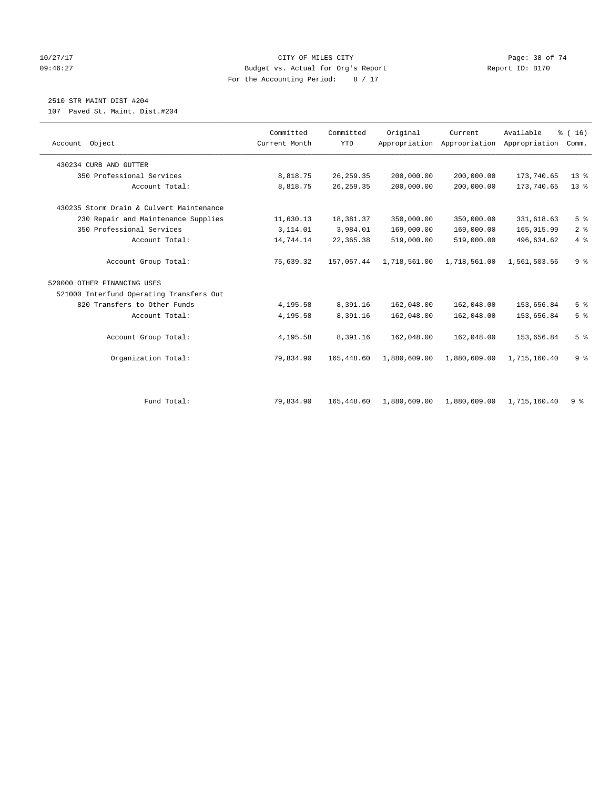#### 10/27/17 Page: 38 of 74 09:46:27 Budget vs. Actual for Org's Report Communication Report ID: B170 For the Accounting Period: 8 / 17

# 2510 STR MAINT DIST #204

107 Paved St. Maint. Dist.#204

| Account Object                           | Committed<br>Current Month | Committed<br><b>YTD</b> | Original     | Current<br>Appropriation Appropriation | Available<br>Appropriation | % (16)<br>Comm. |
|------------------------------------------|----------------------------|-------------------------|--------------|----------------------------------------|----------------------------|-----------------|
|                                          |                            |                         |              |                                        |                            |                 |
| 430234 CURB AND GUTTER                   |                            |                         |              |                                        |                            |                 |
| 350 Professional Services                | 8,818.75                   | 26, 259.35              | 200,000.00   | 200,000.00                             | 173,740.65                 | $13*$           |
| Account Total:                           | 8,818.75                   | 26, 259.35              | 200,000.00   | 200,000.00                             | 173,740.65                 | $13*$           |
| 430235 Storm Drain & Culvert Maintenance |                            |                         |              |                                        |                            |                 |
| 230 Repair and Maintenance Supplies      | 11,630.13                  | 18,381.37               | 350,000.00   | 350,000.00                             | 331,618.63                 | 5 <sup>°</sup>  |
| 350 Professional Services                | 3,114.01                   | 3,984.01                | 169,000.00   | 169,000.00                             | 165,015.99                 | 2 <sup>°</sup>  |
| Account Total:                           | 14,744.14                  | 22, 365.38              | 519,000.00   | 519,000.00                             | 496,634.62                 | 4%              |
| Account Group Total:                     | 75,639.32                  | 157,057.44              | 1,718,561.00 | 1,718,561.00                           | 1,561,503.56               | 9 <sup>°</sup>  |
| 520000 OTHER FINANCING USES              |                            |                         |              |                                        |                            |                 |
| 521000 Interfund Operating Transfers Out |                            |                         |              |                                        |                            |                 |
| 820 Transfers to Other Funds             | 4,195.58                   | 8,391.16                | 162,048.00   | 162,048.00                             | 153,656.84                 | 5 <sup>°</sup>  |
| Account Total:                           | 4,195.58                   | 8,391.16                | 162,048.00   | 162,048.00                             | 153,656.84                 | 5 <sup>°</sup>  |
| Account Group Total:                     | 4,195.58                   | 8,391.16                | 162,048.00   | 162,048.00                             | 153,656.84                 | 5 <sup>°</sup>  |
| Organization Total:                      | 79,834.90                  | 165,448.60              | 1,880,609.00 | 1,880,609.00                           | 1,715,160.40               | 9 <sup>°</sup>  |
|                                          |                            |                         |              |                                        |                            |                 |
| Fund Total:                              | 79,834.90                  | 165,448.60              | 1,880,609.00 | 1,880,609.00                           | 1,715,160.40               | 9%              |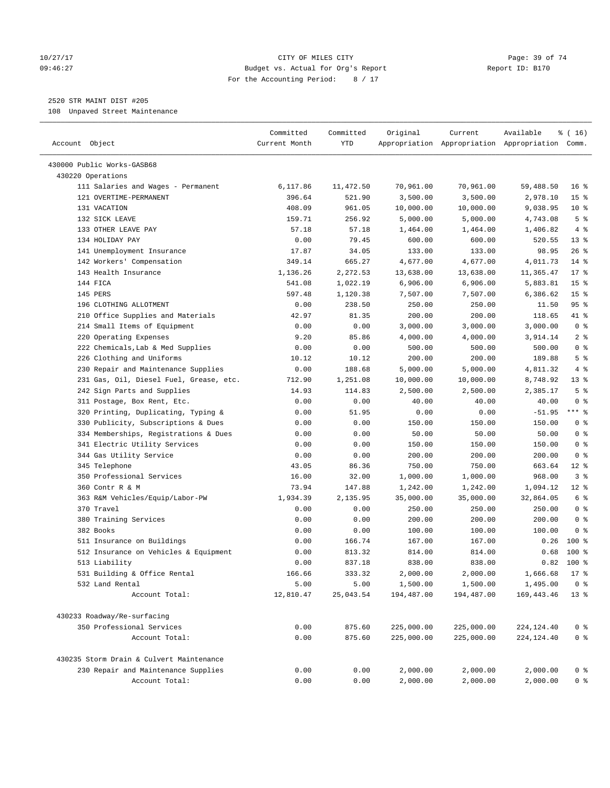#### 10/27/17 Page: 39 of 74 09:46:27 Budget vs. Actual for Org's Report Communication Report ID: B170 For the Accounting Period: 8 / 17

————————————————————————————————————————————————————————————————————————————————————————————————————————————————————————————————————

## 2520 STR MAINT DIST #205

108 Unpaved Street Maintenance

|                                                         | Committed     | Committed | Original              | Current               | Available                                       | % ( 16)         |
|---------------------------------------------------------|---------------|-----------|-----------------------|-----------------------|-------------------------------------------------|-----------------|
| Account Object                                          | Current Month | YTD       |                       |                       | Appropriation Appropriation Appropriation Comm. |                 |
|                                                         |               |           |                       |                       |                                                 |                 |
| 430000 Public Works-GASB68                              |               |           |                       |                       |                                                 |                 |
| 430220 Operations<br>111 Salaries and Wages - Permanent | 6,117.86      | 11,472.50 | 70,961.00             | 70,961.00             | 59,488.50                                       | 16 <sup>°</sup> |
| 121 OVERTIME-PERMANENT                                  | 396.64        | 521.90    | 3,500.00              |                       | 2,978.10                                        | 15 <sup>°</sup> |
| 131 VACATION                                            | 408.09        | 961.05    |                       | 3,500.00              |                                                 | $10*$           |
| 132 SICK LEAVE                                          | 159.71        | 256.92    | 10,000.00<br>5,000.00 | 10,000.00<br>5,000.00 | 9,038.95                                        | 5 <sup>°</sup>  |
| 133 OTHER LEAVE PAY                                     | 57.18         | 57.18     |                       |                       | 4,743.08<br>1,406.82                            | 4%              |
| 134 HOLIDAY PAY                                         | 0.00          | 79.45     | 1,464.00<br>600.00    | 1,464.00<br>600.00    | 520.55                                          | $13*$           |
| 141 Unemployment Insurance                              | 17.87         | 34.05     | 133.00                | 133.00                | 98.95                                           | 26%             |
| 142 Workers' Compensation                               | 349.14        | 665.27    | 4,677.00              | 4,677.00              | 4,011.73                                        | $14*$           |
| 143 Health Insurance                                    | 1,136.26      | 2,272.53  | 13,638.00             | 13,638.00             | 11,365.47                                       | $17*$           |
| 144 FICA                                                | 541.08        | 1,022.19  | 6,906.00              | 6,906.00              | 5,883.81                                        | 15 <sup>°</sup> |
| 145 PERS                                                | 597.48        | 1,120.38  | 7,507.00              | 7,507.00              | 6,386.62                                        | 15 <sup>°</sup> |
| 196 CLOTHING ALLOTMENT                                  | 0.00          | 238.50    | 250.00                | 250.00                | 11.50                                           | 95%             |
| 210 Office Supplies and Materials                       | 42.97         | 81.35     | 200.00                | 200.00                | 118.65                                          | 41 %            |
| 214 Small Items of Equipment                            | 0.00          | 0.00      | 3,000.00              | 3,000.00              | 3,000.00                                        | 0 <sup>8</sup>  |
| 220 Operating Expenses                                  | 9.20          | 85.86     | 4,000.00              | 4,000.00              | 3,914.14                                        | 2 <sup>°</sup>  |
| 222 Chemicals, Lab & Med Supplies                       | 0.00          | 0.00      | 500.00                | 500.00                | 500.00                                          | 0 <sup>8</sup>  |
| 226 Clothing and Uniforms                               | 10.12         | 10.12     | 200.00                | 200.00                | 189.88                                          | 5 <sup>°</sup>  |
| 230 Repair and Maintenance Supplies                     | 0.00          | 188.68    | 5,000.00              | 5,000.00              | 4,811.32                                        | 4%              |
| 231 Gas, Oil, Diesel Fuel, Grease, etc.                 | 712.90        | 1,251.08  | 10,000.00             | 10,000.00             | 8,748.92                                        | $13*$           |
| 242 Sign Parts and Supplies                             | 14.93         | 114.83    |                       | 2,500.00              | 2,385.17                                        | 5 <sup>°</sup>  |
| 311 Postage, Box Rent, Etc.                             | 0.00          | 0.00      | 2,500.00<br>40.00     | 40.00                 | 40.00                                           | 0 <sup>8</sup>  |
| 320 Printing, Duplicating, Typing &                     | 0.00          | 51.95     | 0.00                  | 0.00                  | $-51.95$                                        | $***$ $%$       |
| 330 Publicity, Subscriptions & Dues                     |               | 0.00      | 150.00                | 150.00                | 150.00                                          | 0 <sup>8</sup>  |
| 334 Memberships, Registrations & Dues                   | 0.00<br>0.00  | 0.00      | 50.00                 | 50.00                 | 50.00                                           | 0 <sup>8</sup>  |
| 341 Electric Utility Services                           | 0.00          | 0.00      | 150.00                | 150.00                | 150.00                                          | 0 <sup>8</sup>  |
| 344 Gas Utility Service                                 | 0.00          | 0.00      | 200.00                | 200.00                | 200.00                                          | 0 <sup>8</sup>  |
| 345 Telephone                                           | 43.05         | 86.36     | 750.00                | 750.00                | 663.64                                          | $12*$           |
| 350 Professional Services                               | 16.00         | 32.00     | 1,000.00              | 1,000.00              | 968.00                                          | 3 <sup>°</sup>  |
| 360 Contr R & M                                         | 73.94         | 147.88    | 1,242.00              | 1,242.00              | 1,094.12                                        | $12*$           |
| 363 R&M Vehicles/Equip/Labor-PW                         | 1,934.39      | 2,135.95  | 35,000.00             | 35,000.00             | 32,864.05                                       | 6 <sup>°</sup>  |
| 370 Travel                                              | 0.00          | 0.00      | 250.00                | 250.00                | 250.00                                          | 0 <sup>8</sup>  |
| 380 Training Services                                   | 0.00          | 0.00      | 200.00                | 200.00                | 200.00                                          | 0 <sup>8</sup>  |
| 382 Books                                               | 0.00          | 0.00      | 100.00                | 100.00                | 100.00                                          | 0 <sup>8</sup>  |
| 511 Insurance on Buildings                              | 0.00          | 166.74    | 167.00                | 167.00                | 0.26                                            | $100*$          |
| 512 Insurance on Vehicles & Equipment                   | 0.00          | 813.32    | 814.00                | 814.00                | 0.68                                            | $100*$          |
| 513 Liability                                           | 0.00          | 837.18    | 838.00                | 838.00                | 0.82                                            | $100*$          |
| 531 Building & Office Rental                            | 166.66        | 333.32    | 2,000.00              | 2,000.00              | 1,666.68                                        | $17*$           |
| 532 Land Rental                                         | 5.00          | 5.00      | 1,500.00              | 1,500.00              | 1,495.00                                        | 0 <sup>8</sup>  |
| Account Total:                                          | 12,810.47     | 25,043.54 | 194,487.00            | 194,487.00            | 169, 443. 46                                    | $13*$           |
|                                                         |               |           |                       |                       |                                                 |                 |
| 430233 Roadway/Re-surfacing                             |               |           |                       |                       |                                                 |                 |
| 350 Professional Services                               | 0.00          | 875.60    | 225,000.00            | 225,000.00            | 224, 124. 40                                    | 0 <sup>8</sup>  |
| Account Total:                                          | 0.00          | 875.60    | 225,000.00            | 225,000.00            | 224, 124.40                                     | 0 <sup>°</sup>  |
| 430235 Storm Drain & Culvert Maintenance                |               |           |                       |                       |                                                 |                 |
| 230 Repair and Maintenance Supplies                     | 0.00          | 0.00      | 2,000.00              | 2,000.00              | 2,000.00                                        | 0 <sup>8</sup>  |
| Account Total:                                          | 0.00          | 0.00      | 2,000.00              | 2,000.00              | 2,000.00                                        | 0 <sup>°</sup>  |
|                                                         |               |           |                       |                       |                                                 |                 |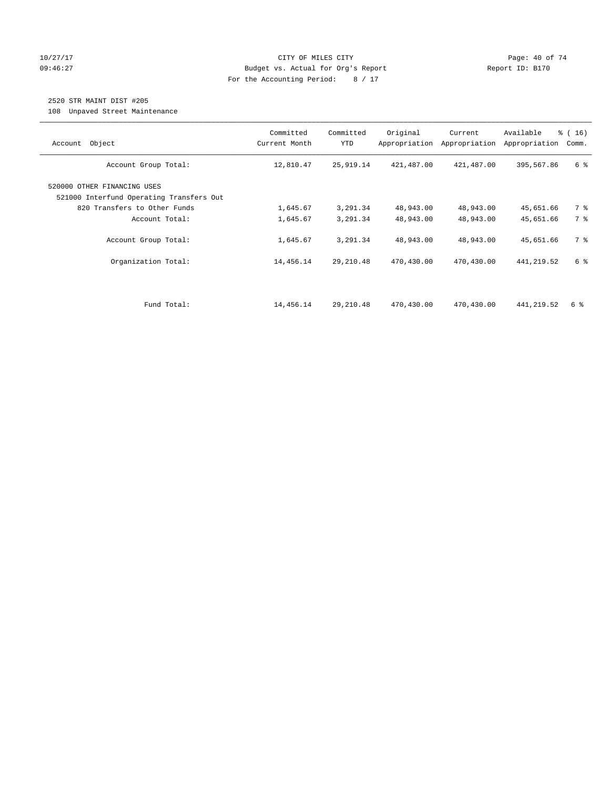#### 10/27/17 Page: 40 of 74 09:46:27 Budget vs. Actual for Org's Report Communication Report ID: B170 For the Accounting Period: 8 / 17

### 2520 STR MAINT DIST #205

108 Unpaved Street Maintenance

| Object<br>Account                                                       | Committed<br>Current Month | Committed<br><b>YTD</b> | Original<br>Appropriation | Current<br>Appropriation | Available<br>Appropriation | % (16)<br>Comm. |
|-------------------------------------------------------------------------|----------------------------|-------------------------|---------------------------|--------------------------|----------------------------|-----------------|
| Account Group Total:                                                    | 12,810.47                  | 25,919.14               | 421,487.00                | 421,487.00               | 395,567.86                 | 6 %             |
| 520000 OTHER FINANCING USES<br>521000 Interfund Operating Transfers Out |                            |                         |                           |                          |                            |                 |
| 820 Transfers to Other Funds                                            | 1,645.67                   | 3,291.34                | 48,943.00                 | 48,943.00                | 45,651.66                  | 7 %             |
| Account Total:                                                          | 1,645.67                   | 3,291.34                | 48,943.00                 | 48,943.00                | 45,651.66                  | 7 %             |
| Account Group Total:                                                    | 1,645.67                   | 3,291.34                | 48,943.00                 | 48,943.00                | 45,651.66                  | 7 %             |
| Organization Total:                                                     | 14,456.14                  | 29,210.48               | 470,430.00                | 470,430.00               | 441, 219.52                | 6 %             |
|                                                                         |                            |                         |                           |                          |                            |                 |
| Fund Total:                                                             | 14,456.14                  | 29,210.48               | 470,430.00                | 470,430.00               | 441, 219.52                | 6 %             |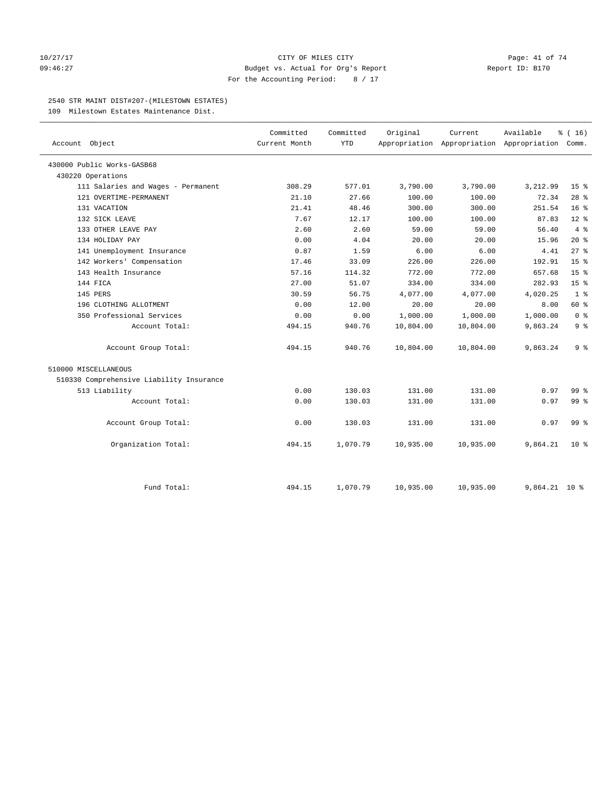#### 10/27/17 Page: 41 of 74 09:46:27 Budget vs. Actual for Org's Report Communication Report ID: B170 For the Accounting Period: 8 / 17

#### 2540 STR MAINT DIST#207-(MILESTOWN ESTATES)

109 Milestown Estates Maintenance Dist.

| Account Object                           | Committed<br>Current Month | Committed<br>YTD | Original  | Current   | Available<br>Appropriation Appropriation Appropriation Comm. | % (16)          |
|------------------------------------------|----------------------------|------------------|-----------|-----------|--------------------------------------------------------------|-----------------|
|                                          |                            |                  |           |           |                                                              |                 |
| 430000 Public Works-GASB68               |                            |                  |           |           |                                                              |                 |
| 430220 Operations                        |                            |                  |           |           |                                                              |                 |
| 111 Salaries and Wages - Permanent       | 308.29                     | 577.01           | 3,790.00  | 3,790.00  | 3,212.99                                                     | 15 <sup>8</sup> |
| 121 OVERTIME-PERMANENT                   | 21.10                      | 27.66            | 100.00    | 100.00    | 72.34                                                        | $28$ %          |
| 131 VACATION                             | 21.41                      | 48.46            | 300.00    | 300.00    | 251.54                                                       | 16 <sup>8</sup> |
| 132 SICK LEAVE                           | 7.67                       | 12.17            | 100.00    | 100.00    | 87.83                                                        | $12*$           |
| 133 OTHER LEAVE PAY                      | 2.60                       | 2.60             | 59.00     | 59.00     | 56.40                                                        | 4%              |
| 134 HOLIDAY PAY                          | 0.00                       | 4.04             | 20.00     | 20.00     | 15.96                                                        | $20*$           |
| 141 Unemployment Insurance               | 0.87                       | 1.59             | 6.00      | 6.00      | 4.41                                                         | $27$ $%$        |
| 142 Workers' Compensation                | 17.46                      | 33.09            | 226.00    | 226.00    | 192.91                                                       | 15 <sup>°</sup> |
| 143 Health Insurance                     | 57.16                      | 114.32           | 772.00    | 772.00    | 657.68                                                       | 15 <sup>8</sup> |
| 144 FICA                                 | 27.00                      | 51.07            | 334.00    | 334.00    | 282.93                                                       | 15 <sup>8</sup> |
| 145 PERS                                 | 30.59                      | 56.75            | 4,077.00  | 4,077.00  | 4,020.25                                                     | 1 <sup>8</sup>  |
| 196 CLOTHING ALLOTMENT                   | 0.00                       | 12.00            | 20.00     | 20.00     | 8.00                                                         | $60*$           |
| 350 Professional Services                | 0.00                       | 0.00             | 1,000.00  | 1,000.00  | 1,000.00                                                     | 0 <sup>8</sup>  |
| Account Total:                           | 494.15                     | 940.76           | 10,804.00 | 10,804.00 | 9,863.24                                                     | 9 <sup>°</sup>  |
| Account Group Total:                     | 494.15                     | 940.76           | 10,804.00 | 10,804.00 | 9,863.24                                                     | 9 <sup>°</sup>  |
| 510000 MISCELLANEOUS                     |                            |                  |           |           |                                                              |                 |
| 510330 Comprehensive Liability Insurance |                            |                  |           |           |                                                              |                 |
| 513 Liability                            | 0.00                       | 130.03           | 131.00    | 131.00    | 0.97                                                         | 99 %            |
| Account Total:                           | 0.00                       | 130.03           | 131.00    | 131.00    | 0.97                                                         | 99 %            |
| Account Group Total:                     | 0.00                       | 130.03           | 131.00    | 131.00    | 0.97                                                         | 99 <sub>8</sub> |
| Organization Total:                      | 494.15                     | 1,070.79         | 10,935.00 | 10,935.00 | 9,864.21                                                     | 10 <sup>8</sup> |
| Fund Total:                              | 494.15                     | 1,070.79         | 10,935.00 | 10,935.00 | 9,864.21                                                     | 10 <sup>8</sup> |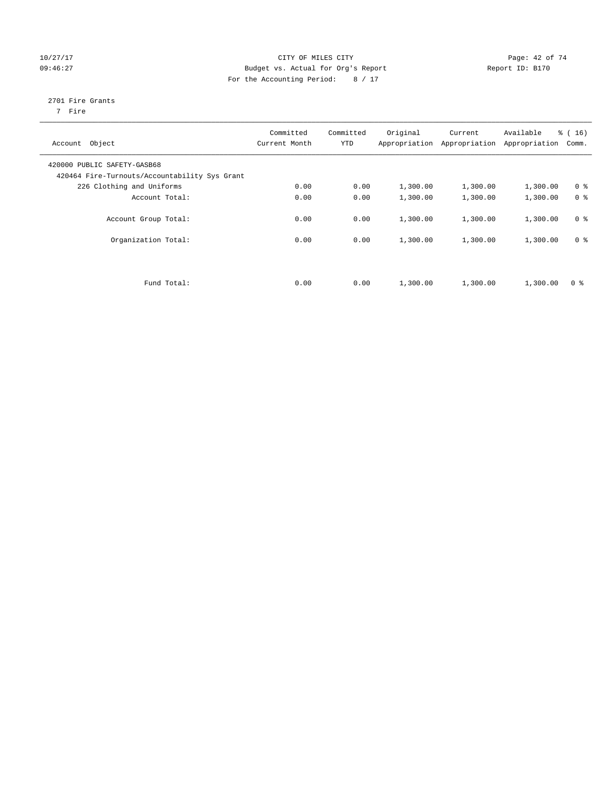#### $CITY$  OF MILES  $CITY$  and the contract of  $74$ 09:46:27 Budget vs. Actual for Org's Report Communication Report ID: B170 For the Accounting Period: 8 / 17

# 2701 Fire Grants

7 Fire

| Account Object                                                               | Committed<br>Current Month | Committed<br><b>YTD</b> | Original | Current<br>Appropriation Appropriation | Available<br>Appropriation | % (16)<br>Comm. |
|------------------------------------------------------------------------------|----------------------------|-------------------------|----------|----------------------------------------|----------------------------|-----------------|
| 420000 PUBLIC SAFETY-GASB68<br>420464 Fire-Turnouts/Accountability Sys Grant |                            |                         |          |                                        |                            |                 |
| 226 Clothing and Uniforms                                                    | 0.00                       | 0.00                    | 1,300.00 | 1,300.00                               | 1,300.00                   | 0 <sup>8</sup>  |
| Account Total:                                                               | 0.00                       | 0.00                    | 1,300.00 | 1,300.00                               | 1,300.00                   | 0 <sup>8</sup>  |
| Account Group Total:                                                         | 0.00                       | 0.00                    | 1,300.00 | 1,300.00                               | 1,300.00                   | 0 <sup>8</sup>  |
| Organization Total:                                                          | 0.00                       | 0.00                    | 1,300.00 | 1,300.00                               | 1,300.00                   | 0 <sup>8</sup>  |
|                                                                              |                            |                         |          |                                        |                            |                 |
| Fund Total:                                                                  | 0.00                       | 0.00                    | 1,300.00 | 1,300.00                               | 1,300.00                   | 0 <sup>8</sup>  |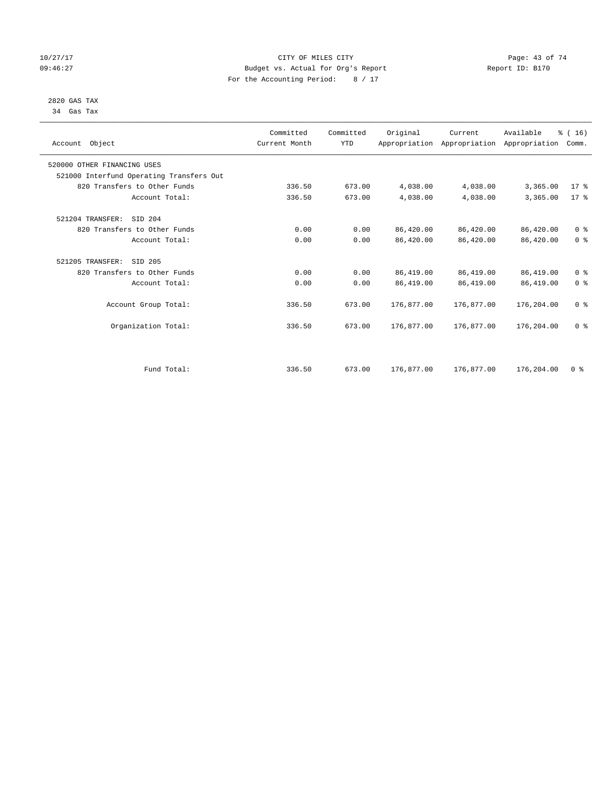#### 10/27/17 Page: 43 of 74 09:46:27 Budget vs. Actual for Org's Report Communication Report ID: B170 For the Accounting Period: 8 / 17

 2820 GAS TAX 34 Gas Tax

| Account Object                           | Committed<br>Current Month | Committed<br><b>YTD</b> | Original   | Current    | Available<br>Appropriation Appropriation Appropriation | % (16)<br>Comm. |
|------------------------------------------|----------------------------|-------------------------|------------|------------|--------------------------------------------------------|-----------------|
| 520000 OTHER FINANCING USES              |                            |                         |            |            |                                                        |                 |
| 521000 Interfund Operating Transfers Out |                            |                         |            |            |                                                        |                 |
| 820 Transfers to Other Funds             | 336.50                     | 673.00                  | 4,038.00   | 4,038.00   | 3,365.00                                               | $17*$           |
| Account Total:                           | 336.50                     | 673.00                  | 4,038.00   | 4,038.00   | 3,365.00                                               | $17*$           |
| 521204 TRANSFER:<br>STD 204              |                            |                         |            |            |                                                        |                 |
| 820 Transfers to Other Funds             | 0.00                       | 0.00                    | 86,420.00  | 86,420.00  | 86,420.00                                              | 0 <sup>8</sup>  |
| Account Total:                           | 0.00                       | 0.00                    | 86,420.00  | 86,420.00  | 86,420.00                                              | 0 <sup>8</sup>  |
| 521205 TRANSFER:<br>SID 205              |                            |                         |            |            |                                                        |                 |
| 820 Transfers to Other Funds             | 0.00                       | 0.00                    | 86,419.00  | 86,419.00  | 86,419.00                                              | 0 <sup>8</sup>  |
| Account Total:                           | 0.00                       | 0.00                    | 86,419.00  | 86,419.00  | 86, 419.00                                             | 0 <sup>8</sup>  |
| Account Group Total:                     | 336.50                     | 673.00                  | 176,877.00 | 176,877.00 | 176,204.00                                             | 0 <sup>8</sup>  |
| Organization Total:                      | 336.50                     | 673.00                  | 176,877.00 | 176,877.00 | 176,204.00                                             | 0 <sup>8</sup>  |
|                                          |                            |                         |            |            |                                                        |                 |
| Fund Total:                              | 336.50                     | 673.00                  | 176,877.00 | 176,877.00 | 176,204.00                                             | 0 <sup>8</sup>  |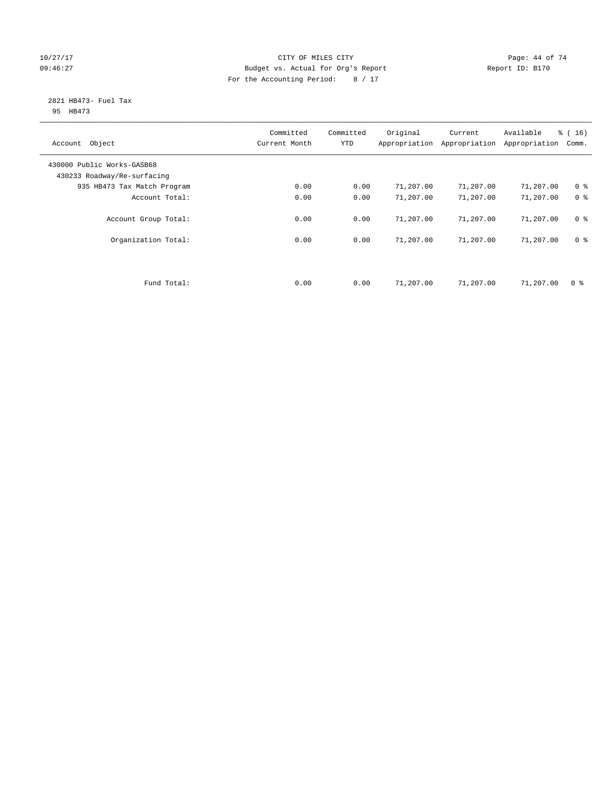#### 10/27/17 Page: 44 of 74 09:46:27 Budget vs. Actual for Org's Report Changer Report ID: B170 For the Accounting Period: 8 / 17

#### 2821 HB473- Fuel Tax 95 HB473

| Account Object                                            | Committed<br>Current Month | Committed<br><b>YTD</b> | Original  | Current<br>Appropriation Appropriation | Available<br>Appropriation | % (16)<br>Comm. |
|-----------------------------------------------------------|----------------------------|-------------------------|-----------|----------------------------------------|----------------------------|-----------------|
| 430000 Public Works-GASB68<br>430233 Roadway/Re-surfacing |                            |                         |           |                                        |                            |                 |
| 935 HB473 Tax Match Program                               | 0.00                       | 0.00                    | 71,207.00 | 71,207.00                              | 71,207.00                  | 0 <sup>8</sup>  |
| Account Total:                                            | 0.00                       | 0.00                    | 71,207.00 | 71,207.00                              | 71,207.00                  | 0 <sup>8</sup>  |
| Account Group Total:                                      | 0.00                       | 0.00                    | 71,207.00 | 71,207.00                              | 71,207.00                  | 0 <sup>8</sup>  |
| Organization Total:                                       | 0.00                       | 0.00                    | 71,207.00 | 71,207.00                              | 71,207.00                  | 0 <sup>8</sup>  |
|                                                           |                            |                         |           |                                        |                            |                 |
| Fund Total:                                               | 0.00                       | 0.00                    | 71,207.00 | 71,207.00                              | 71,207.00                  | 0 %             |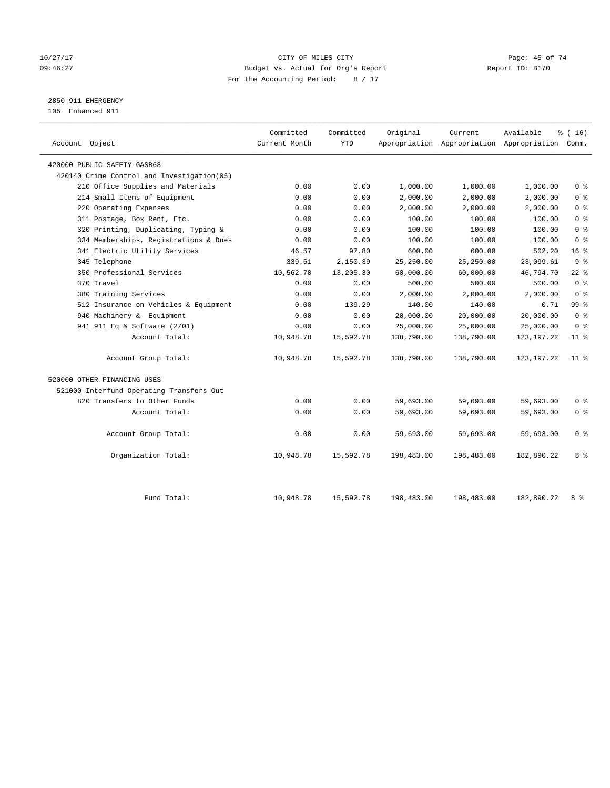#### 10/27/17 Page: 45 of 74 09:46:27 Budget vs. Actual for Org's Report Communication Report ID: B170 For the Accounting Period: 8 / 17

# 2850 911 EMERGENCY

105 Enhanced 911

| Account Object                              | Committed<br>Current Month | Committed<br><b>YTD</b> | Original   | Current    | Available<br>Appropriation Appropriation Appropriation Comm. | % (16)          |
|---------------------------------------------|----------------------------|-------------------------|------------|------------|--------------------------------------------------------------|-----------------|
| 420000 PUBLIC SAFETY-GASB68                 |                            |                         |            |            |                                                              |                 |
| 420140 Crime Control and Investigation (05) |                            |                         |            |            |                                                              |                 |
| 210 Office Supplies and Materials           | 0.00                       | 0.00                    | 1,000.00   | 1,000.00   | 1,000.00                                                     | 0 <sup>8</sup>  |
| 214 Small Items of Equipment                | 0.00                       | 0.00                    | 2,000.00   | 2,000.00   | 2,000.00                                                     | 0 <sup>8</sup>  |
| 220 Operating Expenses                      | 0.00                       | 0.00                    | 2,000.00   | 2,000.00   | 2,000.00                                                     | 0 <sup>8</sup>  |
| 311 Postage, Box Rent, Etc.                 | 0.00                       | 0.00                    | 100.00     | 100.00     | 100.00                                                       | 0 <sup>8</sup>  |
| 320 Printing, Duplicating, Typing &         | 0.00                       | 0.00                    | 100.00     | 100.00     | 100.00                                                       | 0 <sup>8</sup>  |
| 334 Memberships, Registrations & Dues       | 0.00                       | 0.00                    | 100.00     | 100.00     | 100.00                                                       | 0 <sup>8</sup>  |
| 341 Electric Utility Services               | 46.57                      | 97.80                   | 600.00     | 600.00     | 502.20                                                       | 16 <sup>8</sup> |
| 345 Telephone                               | 339.51                     | 2,150.39                | 25,250.00  | 25,250.00  | 23,099.61                                                    | 9 <sup>°</sup>  |
| 350 Professional Services                   | 10,562.70                  | 13,205.30               | 60,000.00  | 60,000.00  | 46,794.70                                                    | $22$ %          |
| 370 Travel                                  | 0.00                       | 0.00                    | 500.00     | 500.00     | 500.00                                                       | 0 <sup>8</sup>  |
| 380 Training Services                       | 0.00                       | 0.00                    | 2,000.00   | 2,000.00   | 2,000.00                                                     | 0 <sup>8</sup>  |
| 512 Insurance on Vehicles & Equipment       | 0.00                       | 139.29                  | 140.00     | 140.00     | 0.71                                                         | 99 <sub>8</sub> |
| 940 Machinery & Equipment                   | 0.00                       | 0.00                    | 20,000.00  | 20,000.00  | 20,000.00                                                    | 0 <sup>8</sup>  |
| 941 911 Eq & Software (2/01)                | 0.00                       | 0.00                    | 25,000.00  | 25,000.00  | 25,000.00                                                    | 0 <sup>8</sup>  |
| Account Total:                              | 10,948.78                  | 15,592.78               | 138,790.00 | 138,790.00 | 123, 197. 22                                                 | $11*$           |
| Account Group Total:                        | 10,948.78                  | 15,592.78               | 138,790.00 | 138,790.00 | 123, 197. 22                                                 | $11$ %          |
| 520000 OTHER FINANCING USES                 |                            |                         |            |            |                                                              |                 |
| 521000 Interfund Operating Transfers Out    |                            |                         |            |            |                                                              |                 |
| 820 Transfers to Other Funds                | 0.00                       | 0.00                    | 59,693.00  | 59,693.00  | 59,693.00                                                    | 0 <sup>8</sup>  |
| Account Total:                              | 0.00                       | 0.00                    | 59,693.00  | 59,693.00  | 59,693.00                                                    | 0 <sup>8</sup>  |
| Account Group Total:                        | 0.00                       | 0.00                    | 59,693.00  | 59,693.00  | 59,693.00                                                    | 0 <sup>8</sup>  |
| Organization Total:                         | 10,948.78                  | 15,592.78               | 198,483.00 | 198,483.00 | 182,890.22                                                   | 8 %             |
| Fund Total:                                 | 10,948.78                  | 15,592.78               | 198,483.00 | 198,483.00 | 182,890.22                                                   | 8 %             |
|                                             |                            |                         |            |            |                                                              |                 |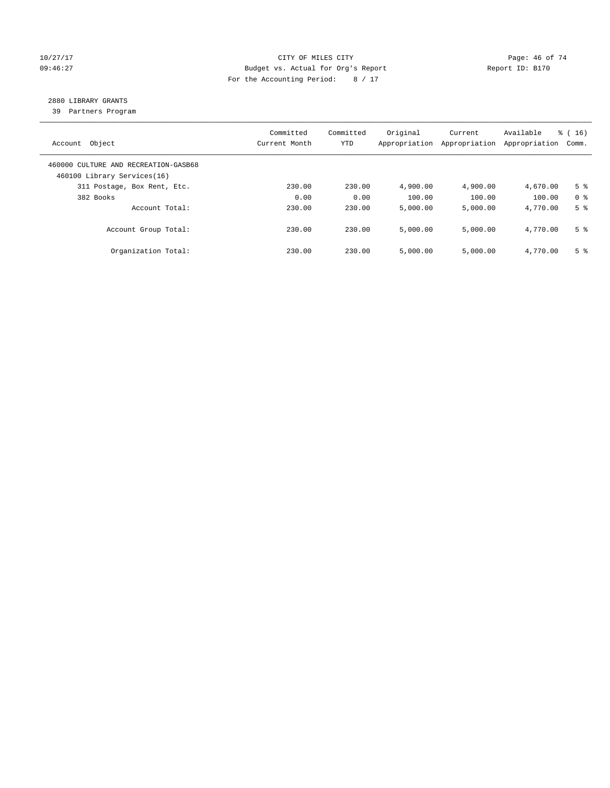#### 10/27/17 Page: 46 of 74 09:46:27 Budget vs. Actual for Org's Report Changer Report ID: B170 For the Accounting Period: 8 / 17

# 2880 LIBRARY GRANTS

39 Partners Program

| Object<br>Account                                                   | Committed<br>Current Month | Committed<br><b>YTD</b> | Original<br>Appropriation | Current<br>Appropriation | Available<br>Appropriation | % (16)<br>Comm. |
|---------------------------------------------------------------------|----------------------------|-------------------------|---------------------------|--------------------------|----------------------------|-----------------|
| 460000 CULTURE AND RECREATION-GASB68<br>460100 Library Services(16) |                            |                         |                           |                          |                            |                 |
| 311 Postage, Box Rent, Etc.                                         | 230.00                     | 230.00                  | 4,900.00                  | 4,900.00                 | 4,670.00                   | 5 <sup>8</sup>  |
| 382 Books                                                           | 0.00                       | 0.00                    | 100.00                    | 100.00                   | 100.00                     | 0 <sup>8</sup>  |
| Account Total:                                                      | 230.00                     | 230.00                  | 5,000.00                  | 5,000.00                 | 4,770.00                   | 5 <sup>8</sup>  |
| Account Group Total:                                                | 230.00                     | 230.00                  | 5.000.00                  | 5.000.00                 | 4,770.00                   | 5 <sup>8</sup>  |
| Organization Total:                                                 | 230.00                     | 230.00                  | 5.000.00                  | 5,000.00                 | 4,770.00                   | 5 <sup>8</sup>  |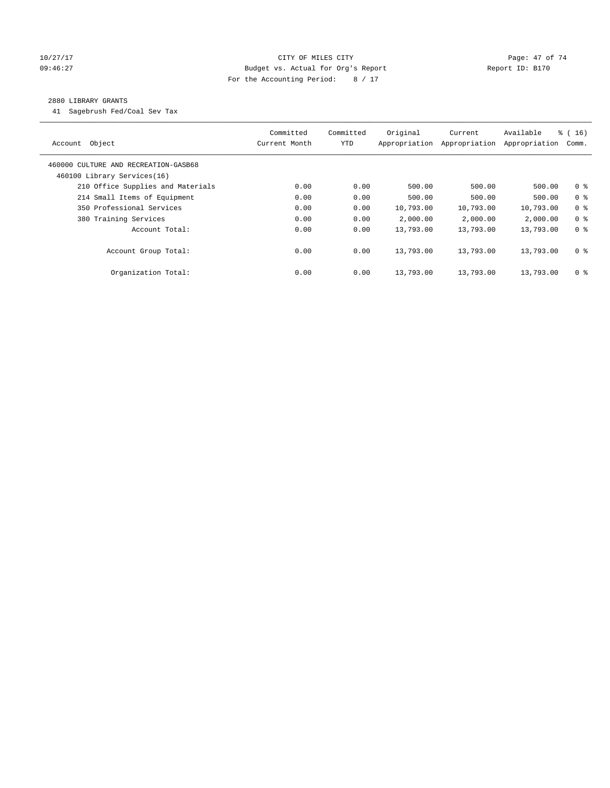#### 10/27/17 Page: 47 of 74 09:46:27 Budget vs. Actual for Org's Report Communication Report ID: B170 For the Accounting Period: 8 / 17

#### 2880 LIBRARY GRANTS

41 Sagebrush Fed/Coal Sev Tax

| Account Object                                                      | Committed<br>Current Month | Committed<br><b>YTD</b> | Original<br>Appropriation | Current<br>Appropriation | Available<br>Appropriation | $\frac{1}{6}$ ( 16 )<br>Comm. |
|---------------------------------------------------------------------|----------------------------|-------------------------|---------------------------|--------------------------|----------------------------|-------------------------------|
| 460000 CULTURE AND RECREATION-GASB68<br>460100 Library Services(16) |                            |                         |                           |                          |                            |                               |
| 210 Office Supplies and Materials                                   | 0.00                       | 0.00                    | 500.00                    | 500.00                   | 500.00                     | 0 <sup>8</sup>                |
| 214 Small Items of Equipment                                        | 0.00                       | 0.00                    | 500.00                    | 500.00                   | 500.00                     | 0 <sup>8</sup>                |
| 350 Professional Services                                           | 0.00                       | 0.00                    | 10,793.00                 | 10,793.00                | 10,793.00                  | 0 <sup>8</sup>                |
| 380 Training Services                                               | 0.00                       | 0.00                    | 2,000.00                  | 2,000.00                 | 2,000.00                   | 0 <sup>8</sup>                |
| Account Total:                                                      | 0.00                       | 0.00                    | 13,793.00                 | 13,793.00                | 13,793.00                  | 0 <sup>8</sup>                |
| Account Group Total:                                                | 0.00                       | 0.00                    | 13,793.00                 | 13,793.00                | 13,793.00                  | 0 <sup>8</sup>                |
| Organization Total:                                                 | 0.00                       | 0.00                    | 13,793.00                 | 13,793.00                | 13,793.00                  | 0 <sup>8</sup>                |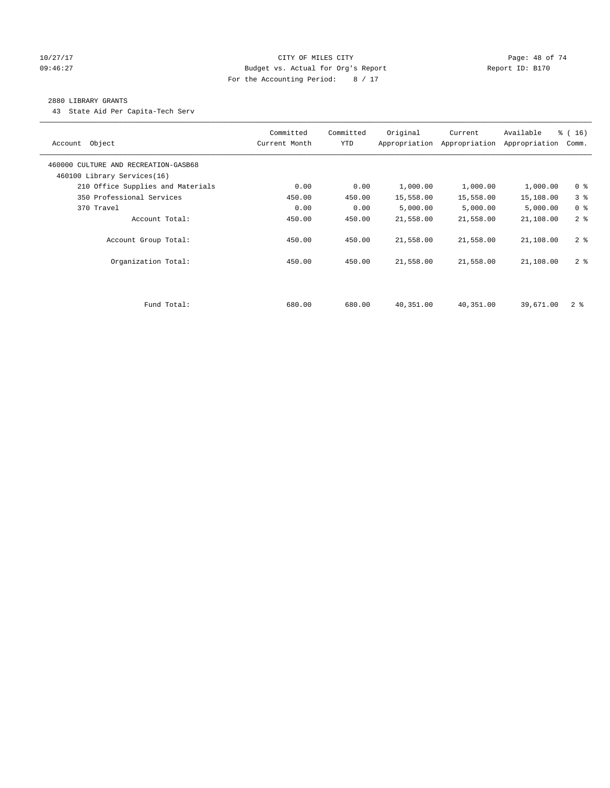#### 10/27/17 Page: 48 of 74 09:46:27 Budget vs. Actual for Org's Report Communication Report ID: B170 For the Accounting Period: 8 / 17

#### 2880 LIBRARY GRANTS

43 State Aid Per Capita-Tech Serv

| Object<br>Account                                                   | Committed<br>Current Month | Committed<br><b>YTD</b> | Original  | Current<br>Appropriation Appropriation | Available<br>Appropriation | % (16)<br>Comm. |
|---------------------------------------------------------------------|----------------------------|-------------------------|-----------|----------------------------------------|----------------------------|-----------------|
| 460000 CULTURE AND RECREATION-GASB68<br>460100 Library Services(16) |                            |                         |           |                                        |                            |                 |
| 210 Office Supplies and Materials                                   | 0.00                       | 0.00                    | 1,000.00  | 1,000.00                               | 1,000.00                   | 0 <sup>8</sup>  |
| 350 Professional Services                                           | 450.00                     | 450.00                  | 15,558.00 | 15,558.00                              | 15,108.00                  | 3%              |
| 370 Travel                                                          | 0.00                       | 0.00                    | 5,000.00  | 5,000.00                               | 5,000.00                   | 0 <sup>8</sup>  |
| Account Total:                                                      | 450.00                     | 450.00                  | 21,558.00 | 21,558.00                              | 21,108.00                  | 2 <sup>8</sup>  |
| Account Group Total:                                                | 450.00                     | 450.00                  | 21,558.00 | 21,558.00                              | 21,108.00                  | 2 <sup>8</sup>  |
| Organization Total:                                                 | 450.00                     | 450.00                  | 21,558.00 | 21,558.00                              | 21,108.00                  | 2 <sup>8</sup>  |
|                                                                     |                            |                         |           |                                        |                            |                 |
| Fund Total:                                                         | 680.00                     | 680.00                  | 40,351.00 | 40,351.00                              | 39,671.00                  | 2 <sup>8</sup>  |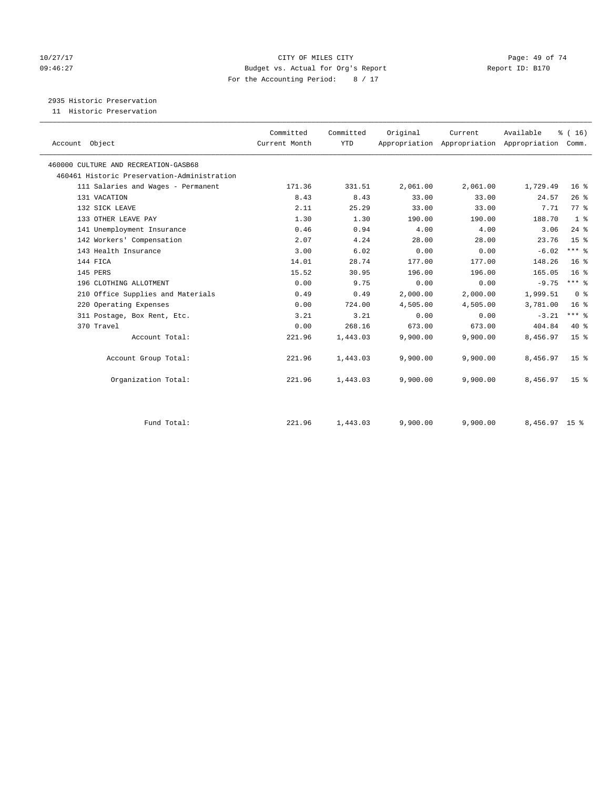#### 10/27/17 Page: 49 of 74 09:46:27 Budget vs. Actual for Org's Report Communication Report ID: B170 For the Accounting Period: 8 / 17

# 2935 Historic Preservation

11 Historic Preservation

|                                             | Committed     | Committed  | Original | Current                                   | Available     | % (16)              |  |
|---------------------------------------------|---------------|------------|----------|-------------------------------------------|---------------|---------------------|--|
| Account Object                              | Current Month | <b>YTD</b> |          | Appropriation Appropriation Appropriation |               | Comm.               |  |
| 460000 CULTURE AND RECREATION-GASB68        |               |            |          |                                           |               |                     |  |
|                                             |               |            |          |                                           |               |                     |  |
| 460461 Historic Preservation-Administration |               |            |          |                                           |               |                     |  |
| 111 Salaries and Wages - Permanent          | 171.36        | 331.51     | 2,061.00 | 2,061.00                                  | 1,729.49      | 16 <sup>8</sup>     |  |
| 131 VACATION                                | 8.43          | 8.43       | 33.00    | 33.00                                     | 24.57         | 26%                 |  |
| 132 SICK LEAVE                              | 2.11          | 25.29      | 33.00    | 33.00                                     | 7.71          | $77*$               |  |
| 133 OTHER LEAVE PAY                         | 1.30          | 1.30       | 190.00   | 190.00                                    | 188.70        | 1 <sup>8</sup>      |  |
| 141 Unemployment Insurance                  | 0.46          | 0.94       | 4.00     | 4.00                                      | 3.06          | $24$ $%$            |  |
| 142 Workers' Compensation                   | 2.07          | 4.24       | 28.00    | 28.00                                     | 23.76         | 15 <sup>8</sup>     |  |
| 143 Health Insurance                        | 3.00          | 6.02       | 0.00     | 0.00                                      | $-6.02$       | $***$ $%$           |  |
| 144 FICA                                    | 14.01         | 28.74      | 177.00   | 177.00                                    | 148.26        | 16 <sup>8</sup>     |  |
| 145 PERS                                    | 15.52         | 30.95      | 196.00   | 196.00                                    | 165.05        | 16 <sup>8</sup>     |  |
| 196 CLOTHING ALLOTMENT                      | 0.00          | 9.75       | 0.00     | 0.00                                      | $-9.75$       | $***$ $\frac{6}{5}$ |  |
| 210 Office Supplies and Materials           | 0.49          | 0.49       | 2,000.00 | 2,000.00                                  | 1,999.51      | 0 <sup>8</sup>      |  |
| 220 Operating Expenses                      | 0.00          | 724.00     | 4,505.00 | 4,505.00                                  | 3,781.00      | 16 <sup>8</sup>     |  |
| 311 Postage, Box Rent, Etc.                 | 3.21          | 3.21       | 0.00     | 0.00                                      | $-3.21$       | $***$ $-$           |  |
| 370 Travel                                  | 0.00          | 268.16     | 673.00   | 673.00                                    | 404.84        | $40*$               |  |
| Account Total:                              | 221.96        | 1,443.03   | 9,900.00 | 9,900.00                                  | 8,456.97      | 15 <sup>8</sup>     |  |
| Account Group Total:                        | 221.96        | 1,443.03   | 9,900.00 | 9,900.00                                  | 8,456.97      | 15 <sup>8</sup>     |  |
| Organization Total:                         | 221.96        | 1,443.03   | 9,900.00 | 9,900.00                                  | 8,456.97      | 15 <sup>8</sup>     |  |
|                                             |               |            |          |                                           |               |                     |  |
| Fund Total:                                 | 221.96        | 1,443.03   | 9,900.00 | 9,900.00                                  | 8,456.97 15 % |                     |  |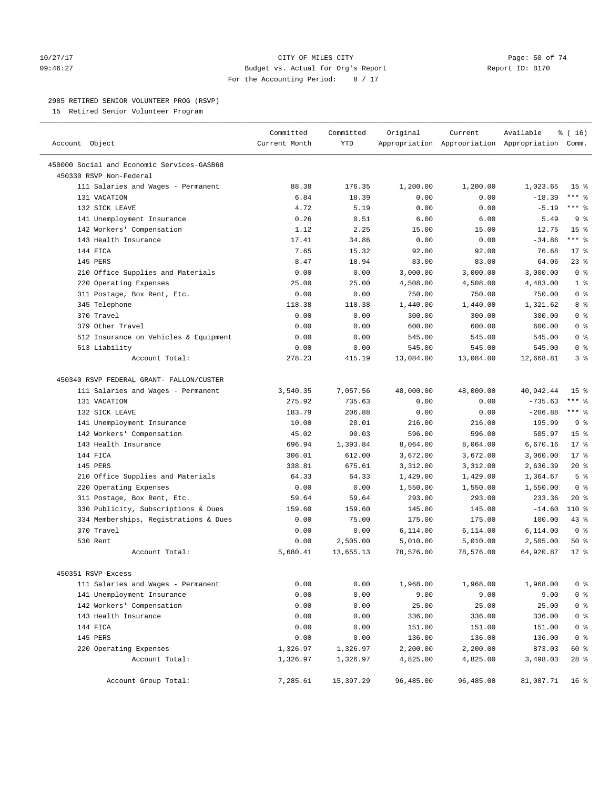#### 10/27/17 Page: 50 of 74 09:46:27 Budget vs. Actual for Org's Report Communication Report ID: B170 For the Accounting Period: 8 / 17

————————————————————————————————————————————————————————————————————————————————————————————————————————————————————————————————————

#### 2985 RETIRED SENIOR VOLUNTEER PROG (RSVP)

15 Retired Senior Volunteer Program

| Account Object                             | Committed<br>Current Month | Committed<br>YTD | Original  | Current   | Available<br>Appropriation Appropriation Appropriation Comm. | % ( 16)         |
|--------------------------------------------|----------------------------|------------------|-----------|-----------|--------------------------------------------------------------|-----------------|
| 450000 Social and Economic Services-GASB68 |                            |                  |           |           |                                                              |                 |
| 450330 RSVP Non-Federal                    |                            |                  |           |           |                                                              |                 |
| 111 Salaries and Wages - Permanent         | 88.38                      | 176.35           | 1,200.00  | 1,200.00  | 1,023.65                                                     | 15 <sup>8</sup> |
| 131 VACATION                               | 6.84                       | 18.39            | 0.00      | 0.00      | $-18.39$                                                     | $***$ $-$       |
| 132 SICK LEAVE                             | 4.72                       | 5.19             | 0.00      | 0.00      | $-5.19$                                                      | *** 응           |
| 141 Unemployment Insurance                 | 0.26                       | 0.51             | 6.00      | 6.00      | 5.49                                                         | 9 <sup>°</sup>  |
| 142 Workers' Compensation                  | 1.12                       | 2.25             | 15.00     | 15.00     | 12.75                                                        | 15 <sup>°</sup> |
| 143 Health Insurance                       | 17.41                      | 34.86            | 0.00      | 0.00      | $-34.86$                                                     | $***$ $_{8}$    |
| 144 FICA                                   | 7.65                       | 15.32            | 92.00     | 92.00     | 76.68                                                        | $17*$           |
| 145 PERS                                   | 8.47                       | 18.94            | 83.00     | 83.00     | 64.06                                                        | $23$ %          |
| 210 Office Supplies and Materials          | 0.00                       | 0.00             | 3,000.00  | 3,000.00  | 3,000.00                                                     | 0 <sup>8</sup>  |
| 220 Operating Expenses                     | 25.00                      | 25.00            | 4,508.00  | 4,508.00  | 4,483.00                                                     | 1 <sup>8</sup>  |
| 311 Postage, Box Rent, Etc.                | 0.00                       | 0.00             | 750.00    | 750.00    | 750.00                                                       | 0 <sup>8</sup>  |
| 345 Telephone                              | 118.38                     | 118.38           | 1,440.00  | 1,440.00  | 1,321.62                                                     | 8 %             |
| 370 Travel                                 | 0.00                       | 0.00             | 300.00    | 300.00    | 300.00                                                       | 0 <sup>8</sup>  |
| 379 Other Travel                           | 0.00                       | 0.00             | 600.00    | 600.00    | 600.00                                                       | 0 <sup>8</sup>  |
| 512 Insurance on Vehicles & Equipment      | 0.00                       | 0.00             | 545.00    | 545.00    | 545.00                                                       | 0 <sup>8</sup>  |
| 513 Liability                              | 0.00                       | 0.00             | 545.00    | 545.00    | 545.00                                                       | 0 <sup>8</sup>  |
| Account Total:                             | 278.23                     | 415.19           | 13,084.00 | 13,084.00 | 12,668.81                                                    | 3%              |
| 450340 RSVP FEDERAL GRANT- FALLON/CUSTER   |                            |                  |           |           |                                                              |                 |
| 111 Salaries and Wages - Permanent         | 3,540.35                   | 7,057.56         | 48,000.00 | 48,000.00 | 40,942.44                                                    | 15 <sup>°</sup> |
| 131 VACATION                               | 275.92                     | 735.63           | 0.00      | 0.00      | $-735.63$                                                    | $***$ $_{8}$    |
| 132 SICK LEAVE                             | 183.79                     | 206.88           | 0.00      | 0.00      | $-206.88$                                                    | $***$ $%$       |
| 141 Unemployment Insurance                 | 10.00                      | 20.01            | 216.00    | 216.00    | 195.99                                                       | 9 <sup>8</sup>  |
| 142 Workers' Compensation                  | 45.02                      | 90.03            | 596.00    | 596.00    | 505.97                                                       | 15 <sup>°</sup> |
| 143 Health Insurance                       | 696.94                     | 1,393.84         | 8,064.00  | 8,064.00  | 6,670.16                                                     | $17*$           |
| 144 FICA                                   | 306.01                     | 612.00           | 3,672.00  | 3,672.00  | 3,060.00                                                     | $17*$           |
| 145 PERS                                   | 338.81                     | 675.61           | 3,312.00  | 3,312.00  | 2,636.39                                                     | $20*$           |
| 210 Office Supplies and Materials          | 64.33                      | 64.33            | 1,429.00  | 1,429.00  | 1,364.67                                                     | 5 <sup>°</sup>  |
| 220 Operating Expenses                     | 0.00                       | 0.00             | 1,550.00  | 1,550.00  | 1,550.00                                                     | 0 <sup>8</sup>  |
| 311 Postage, Box Rent, Etc.                | 59.64                      | 59.64            | 293.00    | 293.00    | 233.36                                                       | $20*$           |
| 330 Publicity, Subscriptions & Dues        | 159.60                     | 159.60           | 145.00    | 145.00    | $-14.60$                                                     | 110 %           |
| 334 Memberships, Registrations & Dues      | 0.00                       | 75.00            | 175.00    | 175.00    | 100.00                                                       | $43$ %          |
| 370 Travel                                 | 0.00                       | 0.00             | 6,114.00  | 6,114.00  | 6,114.00                                                     | 0 <sup>8</sup>  |
| 530 Rent                                   | 0.00                       | 2,505.00         | 5,010.00  | 5,010.00  | 2,505.00                                                     | 50%             |
| Account Total:                             | 5,680.41                   | 13,655.13        | 78,576.00 | 78,576.00 | 64,920.87                                                    | $17*$           |
| 450351 RSVP-Excess                         |                            |                  |           |           |                                                              |                 |
| 111 Salaries and Wages - Permanent         | 0.00                       | 0.00             | 1,968.00  | 1,968.00  | 1,968.00                                                     | 0 <sup>8</sup>  |
| 141 Unemployment Insurance                 | 0.00                       | 0.00             | 9.00      | 9.00      | 9.00                                                         | 0 <sup>°</sup>  |
| 142 Workers' Compensation                  | 0.00                       | 0.00             | 25.00     | 25.00     | 25.00                                                        | 0 <sup>8</sup>  |
| 143 Health Insurance                       | 0.00                       | 0.00             | 336.00    | 336.00    | 336.00                                                       | 0 <sup>8</sup>  |
| 144 FICA                                   | 0.00                       | 0.00             | 151.00    | 151.00    | 151.00                                                       | $0$ %           |
| 145 PERS                                   | 0.00                       | 0.00             | 136.00    | 136.00    | 136.00                                                       | $0$ %           |
| 220 Operating Expenses                     | 1,326.97                   | 1,326.97         | 2,200.00  | 2,200.00  | 873.03                                                       | 60 %            |
| Account Total:                             | 1,326.97                   | 1,326.97         | 4,825.00  | 4,825.00  | 3,498.03                                                     | 28 %            |
| Account Group Total:                       | 7,285.61                   | 15,397.29        | 96,485.00 | 96,485.00 | 81,087.71                                                    | 16 <sup>8</sup> |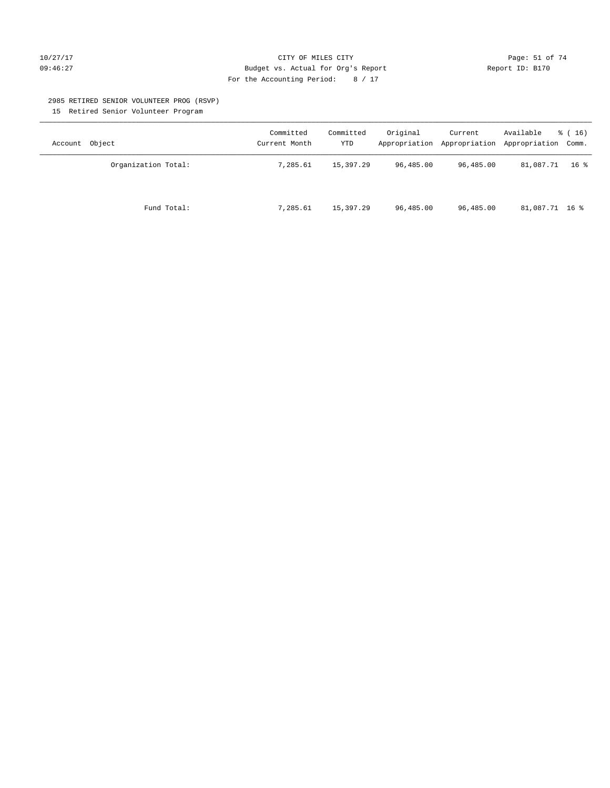#### 10/27/17 Page: 51 of 74 09:46:27 Budget vs. Actual for Org's Report Communication Report ID: B170 For the Accounting Period: 8 / 17

#### 2985 RETIRED SENIOR VOLUNTEER PROG (RSVP)

15 Retired Senior Volunteer Program

| Account Object      | Committed<br>Current Month | Committed<br><b>YTD</b> | Original  | Current<br>Appropriation Appropriation Appropriation Comm. | Available      | $\frac{1}{6}$ (16) |
|---------------------|----------------------------|-------------------------|-----------|------------------------------------------------------------|----------------|--------------------|
| Organization Total: | 7.285.61                   | 15,397.29               | 96,485.00 | 96,485.00                                                  | 81,087.71      | 16 %               |
| Fund Total:         | 7,285.61                   | 15,397.29               | 96,485.00 | 96,485.00                                                  | 81,087.71 16 % |                    |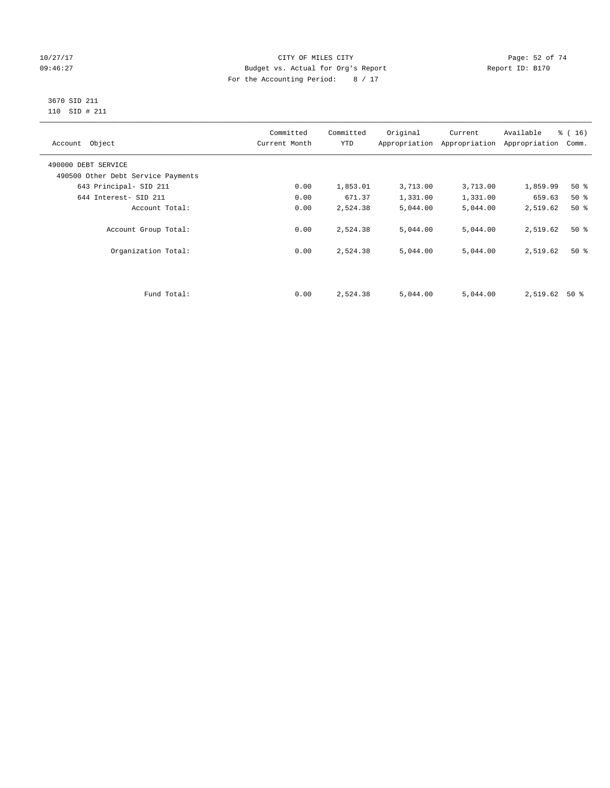#### 10/27/17 Page: 52 of 74 09:46:27 Budget vs. Actual for Org's Report Communication Report ID: B170 For the Accounting Period: 8 / 17

#### 3670 SID 211 110 SID # 211

| Account Object                     | Committed<br>Current Month | Committed<br><b>YTD</b> | Original | Current<br>Appropriation Appropriation | Available<br>Appropriation | % (16)<br>Comm. |
|------------------------------------|----------------------------|-------------------------|----------|----------------------------------------|----------------------------|-----------------|
| 490000 DEBT SERVICE                |                            |                         |          |                                        |                            |                 |
| 490500 Other Debt Service Payments |                            |                         |          |                                        |                            |                 |
| 643 Principal- SID 211             | 0.00                       | 1,853.01                | 3,713.00 | 3,713.00                               | 1,859.99                   | $50*$           |
| 644 Interest- SID 211              | 0.00                       | 671.37                  | 1,331.00 | 1,331.00                               | 659.63                     | $50*$           |
| Account Total:                     | 0.00                       | 2,524.38                | 5,044.00 | 5,044.00                               | 2,519.62                   | $50*$           |
| Account Group Total:               | 0.00                       | 2,524.38                | 5,044.00 | 5,044.00                               | 2,519.62                   | $50*$           |
| Organization Total:                | 0.00                       | 2,524.38                | 5,044.00 | 5,044.00                               | 2,519.62                   | $50*$           |
|                                    |                            |                         |          |                                        |                            |                 |
| Fund Total:                        | 0.00                       | 2,524.38                | 5,044.00 | 5,044.00                               | 2,519.62                   | $50*$           |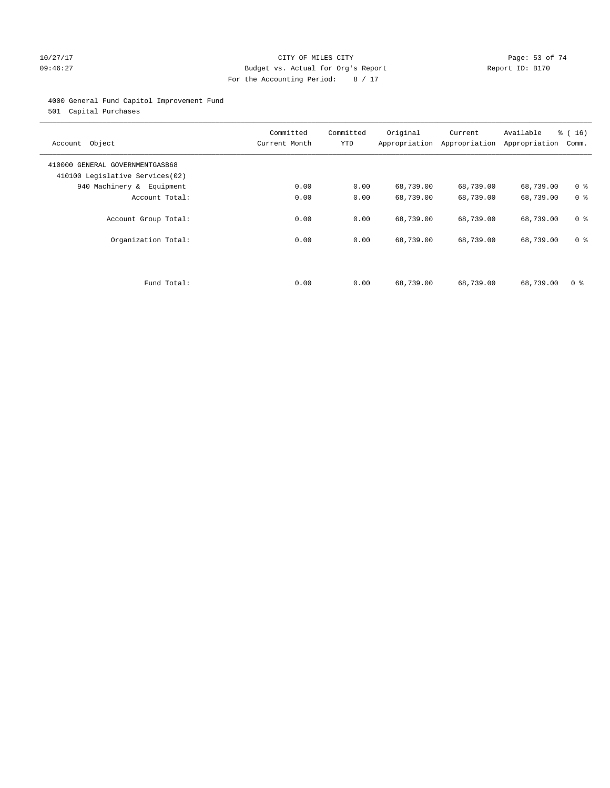#### 10/27/17 Page: 53 of 74 09:46:27 Budget vs. Actual for Org's Report Communication Report ID: B170 For the Accounting Period: 8 / 17

#### 4000 General Fund Capitol Improvement Fund

501 Capital Purchases

| Account Object                                                     | Committed<br>Current Month | Committed<br><b>YTD</b> | Original<br>Appropriation | Current<br>Appropriation | Available<br>Appropriation | % (16)<br>Comm. |
|--------------------------------------------------------------------|----------------------------|-------------------------|---------------------------|--------------------------|----------------------------|-----------------|
| 410000 GENERAL GOVERNMENTGASB68<br>410100 Legislative Services(02) |                            |                         |                           |                          |                            |                 |
| 940 Machinery & Equipment                                          | 0.00                       | 0.00                    | 68,739.00                 | 68,739.00                | 68,739.00                  | 0 <sup>8</sup>  |
| Account Total:                                                     | 0.00                       | 0.00                    | 68,739.00                 | 68,739.00                | 68,739.00                  | 0 <sup>8</sup>  |
| Account Group Total:                                               | 0.00                       | 0.00                    | 68,739.00                 | 68,739.00                | 68,739.00                  | 0 <sup>8</sup>  |
| Organization Total:                                                | 0.00                       | 0.00                    | 68,739.00                 | 68,739.00                | 68,739.00                  | 0 <sup>8</sup>  |
|                                                                    |                            |                         |                           |                          |                            |                 |
| Fund Total:                                                        | 0.00                       | 0.00                    | 68,739.00                 | 68,739.00                | 68,739.00                  | 0 %             |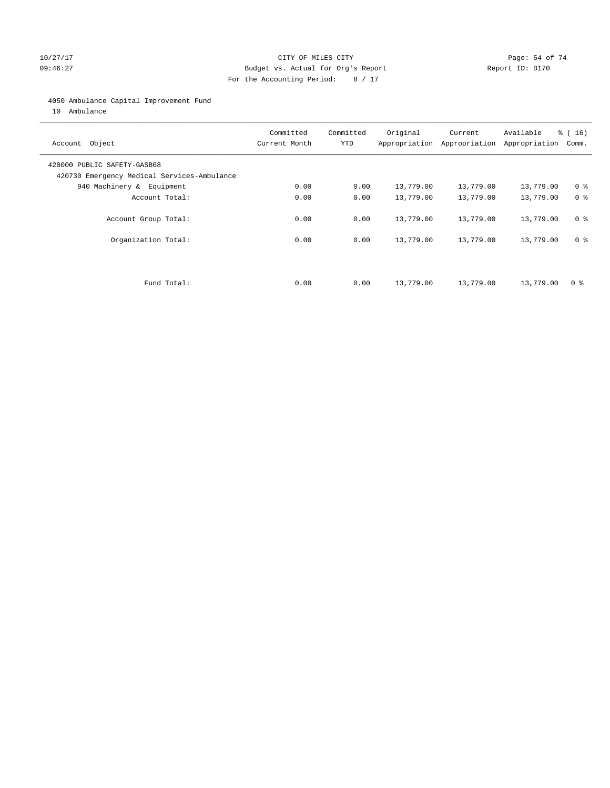#### 10/27/17 Page: 54 of 74 09:46:27 Budget vs. Actual for Org's Report Changer Report ID: B170 For the Accounting Period: 8 / 17

#### 4050 Ambulance Capital Improvement Fund

10 Ambulance

| Account Object                                                             | Committed<br>Current Month | Committed<br><b>YTD</b> | Original  | Current<br>Appropriation Appropriation | Available<br>Appropriation | $\frac{3}{6}$ ( 16 )<br>Comm. |
|----------------------------------------------------------------------------|----------------------------|-------------------------|-----------|----------------------------------------|----------------------------|-------------------------------|
| 420000 PUBLIC SAFETY-GASB68<br>420730 Emergency Medical Services-Ambulance |                            |                         |           |                                        |                            |                               |
| 940 Machinery & Equipment                                                  | 0.00                       | 0.00                    | 13,779.00 | 13,779.00                              | 13,779.00                  | 0 <sup>8</sup>                |
| Account Total:                                                             | 0.00                       | 0.00                    | 13,779.00 | 13,779.00                              | 13,779.00                  | 0 <sup>8</sup>                |
| Account Group Total:                                                       | 0.00                       | 0.00                    | 13,779.00 | 13,779.00                              | 13,779.00                  | 0 <sup>8</sup>                |
| Organization Total:                                                        | 0.00                       | 0.00                    | 13,779.00 | 13,779.00                              | 13,779.00                  | 0 <sup>8</sup>                |
|                                                                            |                            |                         |           |                                        |                            |                               |
| Fund Total:                                                                | 0.00                       | 0.00                    | 13,779.00 | 13,779.00                              | 13,779.00                  | 0 %                           |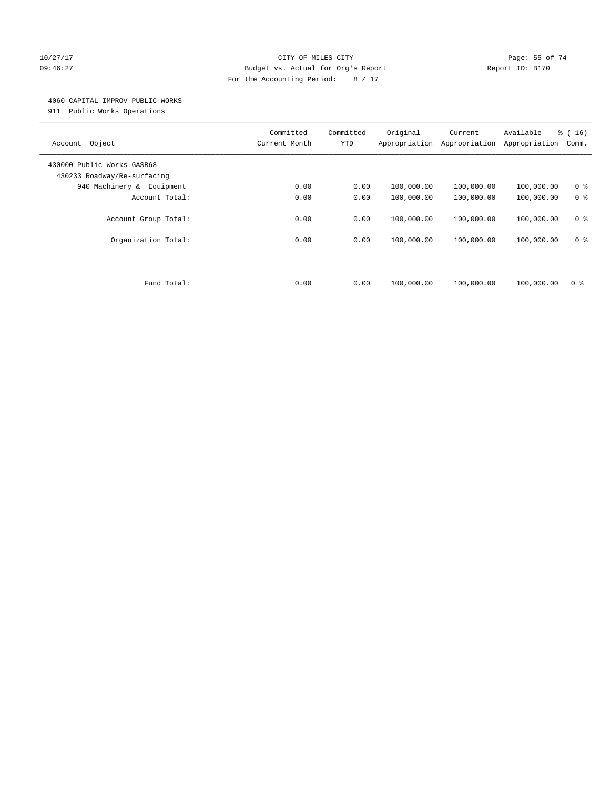#### 10/27/17 Page: 55 of 74 09:46:27 Budget vs. Actual for Org's Report Changer Report ID: B170 For the Accounting Period: 8 / 17

#### 4060 CAPITAL IMPROV-PUBLIC WORKS

911 Public Works Operations

| Object<br>Account                                         | Committed<br>Current Month | Committed<br><b>YTD</b> | Original<br>Appropriation | Current<br>Appropriation | Available<br>Appropriation | % (16)<br>Comm.                  |
|-----------------------------------------------------------|----------------------------|-------------------------|---------------------------|--------------------------|----------------------------|----------------------------------|
| 430000 Public Works-GASB68<br>430233 Roadway/Re-surfacing |                            |                         |                           |                          |                            |                                  |
| 940 Machinery & Equipment                                 | 0.00                       | 0.00                    | 100,000.00                | 100,000.00               | 100,000.00                 | 0 <sup>8</sup>                   |
| Account Total:                                            | 0.00                       | 0.00                    | 100,000.00                | 100,000.00               | 100,000.00                 | 0 <sup>8</sup>                   |
| Account Group Total:<br>Organization Total:               | 0.00<br>0.00               | 0.00<br>0.00            | 100,000.00<br>100,000.00  | 100,000.00<br>100,000.00 | 100,000.00<br>100,000.00   | 0 <sup>8</sup><br>0 <sup>8</sup> |
| Fund Total:                                               | 0.00                       | 0.00                    | 100,000.00                | 100,000.00               | 100,000.00                 | 0 %                              |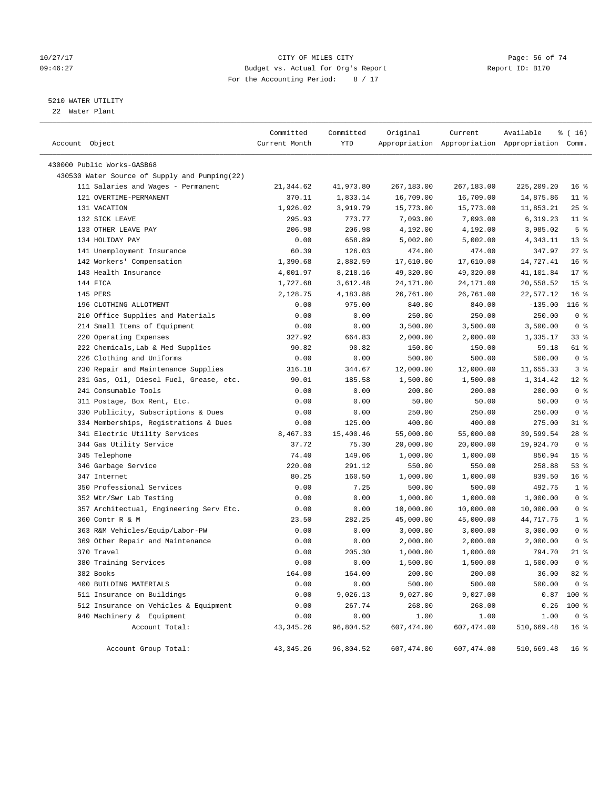#### 10/27/17 Page: 56 of 74 09:46:27 Budget vs. Actual for Org's Report Changer Report ID: B170 For the Accounting Period: 8 / 17

————————————————————————————————————————————————————————————————————————————————————————————————————————————————————————————————————

#### 5210 WATER UTILITY

22 Water Plant

|                                               | Committed     | Committed | Original   | Current    | Available                                       | $\frac{1}{6}$ ( 16 ) |
|-----------------------------------------------|---------------|-----------|------------|------------|-------------------------------------------------|----------------------|
| Account Object                                | Current Month | YTD       |            |            | Appropriation Appropriation Appropriation Comm. |                      |
| 430000 Public Works-GASB68                    |               |           |            |            |                                                 |                      |
| 430530 Water Source of Supply and Pumping(22) |               |           |            |            |                                                 |                      |
| 111 Salaries and Wages - Permanent            | 21,344.62     | 41,973.80 | 267,183.00 | 267,183.00 | 225,209.20                                      | 16 <sup>8</sup>      |
| 121 OVERTIME-PERMANENT                        | 370.11        | 1,833.14  | 16,709.00  | 16,709.00  | 14,875.86                                       | $11$ %               |
| 131 VACATION                                  | 1,926.02      | 3,919.79  | 15,773.00  | 15,773.00  | 11,853.21                                       | $25$ %               |
| 132 SICK LEAVE                                | 295.93        | 773.77    | 7,093.00   | 7,093.00   | 6,319.23                                        | $11$ %               |
| 133 OTHER LEAVE PAY                           | 206.98        | 206.98    | 4,192.00   | 4,192.00   | 3,985.02                                        | 5 <sup>8</sup>       |
| 134 HOLIDAY PAY                               | 0.00          | 658.89    | 5,002.00   | 5,002.00   | 4,343.11                                        | $13*$                |
| 141 Unemployment Insurance                    | 60.39         | 126.03    | 474.00     | 474.00     | 347.97                                          | 27%                  |
| 142 Workers' Compensation                     | 1,390.68      | 2,882.59  | 17,610.00  | 17,610.00  | 14,727.41                                       | 16 <sup>8</sup>      |
| 143 Health Insurance                          | 4,001.97      | 8,218.16  | 49,320.00  | 49,320.00  | 41,101.84                                       | $17*$                |
| 144 FICA                                      | 1,727.68      | 3,612.48  | 24,171.00  | 24,171.00  | 20,558.52                                       | 15 <sup>°</sup>      |
| 145 PERS                                      | 2,128.75      | 4,183.88  | 26,761.00  | 26,761.00  | 22,577.12                                       | 16 <sup>8</sup>      |
| 196 CLOTHING ALLOTMENT                        | 0.00          | 975.00    | 840.00     | 840.00     | $-135.00$                                       | $116$ %              |
| 210 Office Supplies and Materials             | 0.00          | 0.00      | 250.00     | 250.00     | 250.00                                          | 0 <sup>8</sup>       |
| 214 Small Items of Equipment                  | 0.00          | 0.00      | 3,500.00   | 3,500.00   | 3,500.00                                        | 0 <sup>8</sup>       |
| 220 Operating Expenses                        | 327.92        | 664.83    | 2,000.00   | 2,000.00   | 1,335.17                                        | 33%                  |
| 222 Chemicals, Lab & Med Supplies             | 90.82         | 90.82     | 150.00     | 150.00     | 59.18                                           | 61 %                 |
| 226 Clothing and Uniforms                     | 0.00          | 0.00      | 500.00     | 500.00     | 500.00                                          | 0 <sup>8</sup>       |
| 230 Repair and Maintenance Supplies           | 316.18        | 344.67    | 12,000.00  | 12,000.00  | 11,655.33                                       | 3 <sup>8</sup>       |
| 231 Gas, Oil, Diesel Fuel, Grease, etc.       | 90.01         | 185.58    | 1,500.00   | 1,500.00   | 1,314.42                                        | $12$ %               |
| 241 Consumable Tools                          | 0.00          | 0.00      | 200.00     | 200.00     | 200.00                                          | 0 <sup>8</sup>       |
| 311 Postage, Box Rent, Etc.                   | 0.00          | 0.00      | 50.00      | 50.00      | 50.00                                           | 0 <sup>8</sup>       |
| 330 Publicity, Subscriptions & Dues           | 0.00          | 0.00      | 250.00     | 250.00     | 250.00                                          | 0 <sup>8</sup>       |
| 334 Memberships, Registrations & Dues         | 0.00          | 125.00    | 400.00     | 400.00     | 275.00                                          | $31$ %               |
| 341 Electric Utility Services                 | 8,467.33      | 15,400.46 | 55,000.00  | 55,000.00  | 39,599.54                                       | $28$ %               |
| 344 Gas Utility Service                       | 37.72         | 75.30     | 20,000.00  | 20,000.00  | 19,924.70                                       | 0 <sup>8</sup>       |
| 345 Telephone                                 | 74.40         | 149.06    | 1,000.00   | 1,000.00   | 850.94                                          | 15 <sup>°</sup>      |
| 346 Garbage Service                           | 220.00        | 291.12    | 550.00     | 550.00     | 258.88                                          | 53%                  |
| 347 Internet                                  | 80.25         | 160.50    | 1,000.00   | 1,000.00   | 839.50                                          | 16 <sup>8</sup>      |
| 350 Professional Services                     | 0.00          | 7.25      | 500.00     | 500.00     | 492.75                                          | 1 <sup>°</sup>       |
| 352 Wtr/Swr Lab Testing                       | 0.00          | 0.00      | 1,000.00   | 1,000.00   | 1,000.00                                        | 0 <sup>8</sup>       |
| 357 Architectual, Engineering Serv Etc.       | 0.00          | 0.00      | 10,000.00  | 10,000.00  | 10,000.00                                       | 0 <sup>8</sup>       |
| 360 Contr R & M                               | 23.50         | 282.25    | 45,000.00  | 45,000.00  | 44,717.75                                       | 1 <sup>8</sup>       |
| 363 R&M Vehicles/Equip/Labor-PW               | 0.00          | 0.00      | 3,000.00   | 3,000.00   | 3,000.00                                        | 0 <sup>8</sup>       |
| 369 Other Repair and Maintenance              | 0.00          | 0.00      | 2,000.00   | 2,000.00   | 2,000.00                                        | 0 <sup>8</sup>       |
| 370 Travel                                    | 0.00          | 205.30    | 1,000.00   | 1,000.00   | 794.70                                          | $21$ %               |
| 380 Training Services                         | 0.00          | 0.00      | 1,500.00   | 1,500.00   | 1,500.00                                        | 0 <sup>8</sup>       |
| 382 Books                                     | 164.00        | 164.00    | 200.00     | 200.00     | 36.00                                           | $82$ %               |
| 400 BUILDING MATERIALS                        | 0.00          | 0.00      | 500.00     | 500.00     | 500.00                                          | 0 <sup>8</sup>       |
| 511 Insurance on Buildings                    | 0.00          | 9,026.13  | 9,027.00   | 9,027.00   |                                                 | $0.87$ 100 %         |
| 512 Insurance on Vehicles & Equipment         | 0.00          | 267.74    | 268.00     | 268.00     |                                                 | $0.26$ 100 %         |
| 940 Machinery & Equipment                     | 0.00          | 0.00      | 1.00       | 1.00       | 1.00                                            | 0 <sup>8</sup>       |
| Account Total:                                | 43, 345. 26   | 96,804.52 | 607,474.00 | 607,474.00 | 510,669.48                                      | 16 <sup>°</sup>      |
| Account Group Total:                          | 43, 345. 26   | 96,804.52 | 607,474.00 | 607,474.00 | 510,669.48                                      | 16 %                 |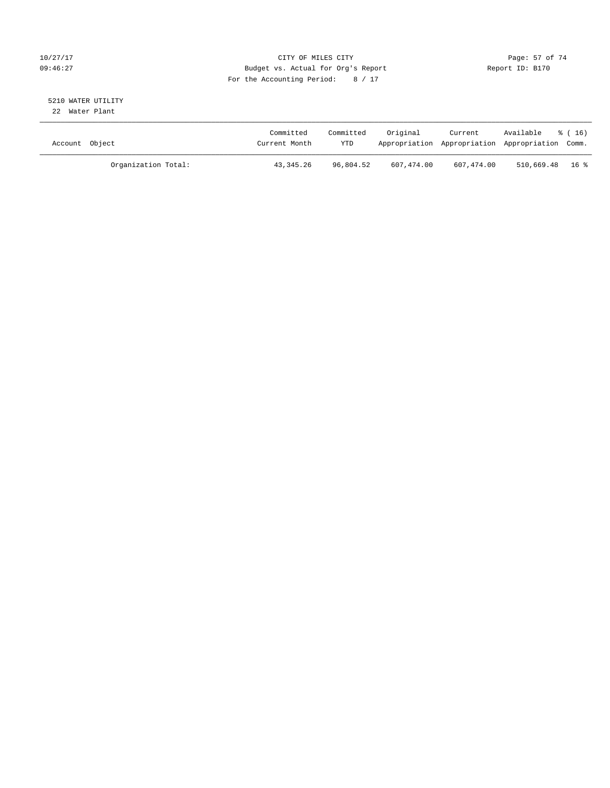#### 10/27/17 Page: 57 of 74 09:46:27 Budget vs. Actual for Org's Report Changer Report ID: B170 For the Accounting Period: 8 / 17

#### 5210 WATER UTILITY 22 Water Plant

| Account Object |                     | Committed<br>Current Month | Committed<br><b>YTD</b> | Original   | Current    | Available<br>Appropriation Appropriation Appropriation Comm. | * (16) |
|----------------|---------------------|----------------------------|-------------------------|------------|------------|--------------------------------------------------------------|--------|
|                | Organization Total: | 43,345.26                  | 96,804.52               | 607,474.00 | 607,474.00 | 510,669.48 16%                                               |        |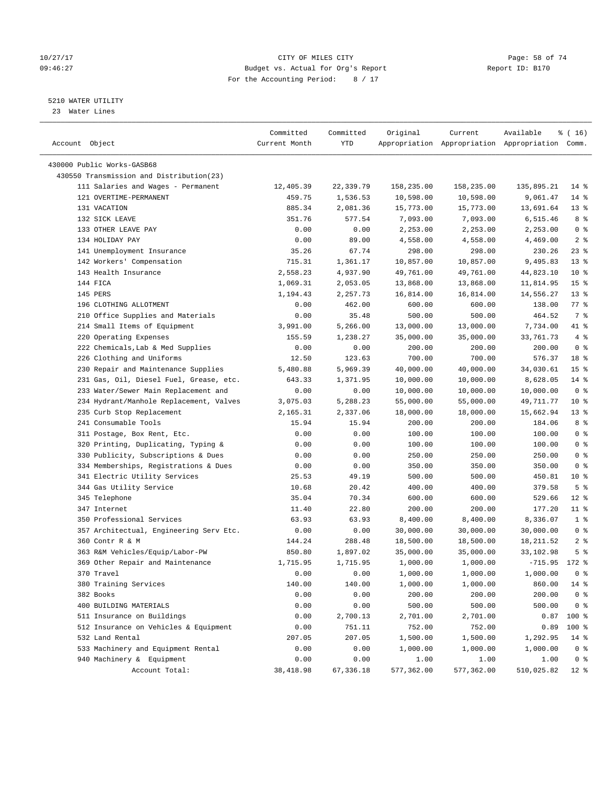#### 10/27/17 Page: 58 of 74 09:46:27 Budget vs. Actual for Org's Report Report ID: B170 For the Accounting Period: 8 / 17

————————————————————————————————————————————————————————————————————————————————————————————————————————————————————————————————————

#### 5210 WATER UTILITY

23 Water Lines

|                                          | Committed     | Committed | Original   | Current    | Available                                       | % (16)          |
|------------------------------------------|---------------|-----------|------------|------------|-------------------------------------------------|-----------------|
| Account Object                           | Current Month | YTD       |            |            | Appropriation Appropriation Appropriation Comm. |                 |
|                                          |               |           |            |            |                                                 |                 |
| 430000 Public Works-GASB68               |               |           |            |            |                                                 |                 |
| 430550 Transmission and Distribution(23) |               |           |            |            |                                                 |                 |
| 111 Salaries and Wages - Permanent       | 12,405.39     | 22,339.79 | 158,235.00 | 158,235.00 | 135,895.21                                      | $14$ %          |
| 121 OVERTIME-PERMANENT                   | 459.75        | 1,536.53  | 10,598.00  | 10,598.00  | 9,061.47                                        | $14$ %          |
| 131 VACATION                             | 885.34        | 2,081.36  | 15,773.00  | 15,773.00  | 13,691.64                                       | 13 <sup>°</sup> |
| 132 SICK LEAVE                           | 351.76        | 577.54    | 7,093.00   | 7,093.00   | 6,515.46                                        | 8 %             |
| 133 OTHER LEAVE PAY                      | 0.00          | 0.00      | 2,253.00   | 2,253.00   | 2,253.00                                        | 0 <sup>8</sup>  |
| 134 HOLIDAY PAY                          | 0.00          | 89.00     | 4,558.00   | 4,558.00   | 4,469.00                                        | 2 <sup>8</sup>  |
| 141 Unemployment Insurance               | 35.26         | 67.74     | 298.00     | 298.00     | 230.26                                          | $23$ %          |
| 142 Workers' Compensation                | 715.31        | 1,361.17  | 10,857.00  | 10,857.00  | 9,495.83                                        | $13*$           |
| 143 Health Insurance                     | 2,558.23      | 4,937.90  | 49,761.00  | 49,761.00  | 44,823.10                                       | $10*$           |
| 144 FICA                                 | 1,069.31      | 2,053.05  | 13,868.00  | 13,868.00  | 11,814.95                                       | 15 <sup>°</sup> |
| 145 PERS                                 | 1,194.43      | 2,257.73  | 16,814.00  | 16,814.00  | 14,556.27                                       | $13*$           |
| 196 CLOTHING ALLOTMENT                   | 0.00          | 462.00    | 600.00     | 600.00     | 138.00                                          | $77$ $%$        |
| 210 Office Supplies and Materials        | 0.00          | 35.48     | 500.00     | 500.00     | 464.52                                          | 7 %             |
| 214 Small Items of Equipment             | 3,991.00      | 5,266.00  | 13,000.00  | 13,000.00  | 7,734.00                                        | 41 %            |
| 220 Operating Expenses                   | 155.59        | 1,238.27  | 35,000.00  | 35,000.00  | 33,761.73                                       | 4%              |
| 222 Chemicals, Lab & Med Supplies        | 0.00          | 0.00      | 200.00     | 200.00     | 200.00                                          | 0 <sup>8</sup>  |
| 226 Clothing and Uniforms                | 12.50         | 123.63    | 700.00     | 700.00     | 576.37                                          | 18 <sup>8</sup> |
| 230 Repair and Maintenance Supplies      | 5,480.88      | 5,969.39  | 40,000.00  | 40,000.00  | 34,030.61                                       | 15 <sup>8</sup> |
| 231 Gas, Oil, Diesel Fuel, Grease, etc.  | 643.33        | 1,371.95  | 10,000.00  | 10,000.00  | 8,628.05                                        | $14*$           |
| 233 Water/Sewer Main Replacement and     | 0.00          | 0.00      | 10,000.00  | 10,000.00  | 10,000.00                                       | 0 <sup>8</sup>  |
| 234 Hydrant/Manhole Replacement, Valves  | 3,075.03      | 5,288.23  | 55,000.00  | 55,000.00  | 49,711.77                                       | $10*$           |
| 235 Curb Stop Replacement                | 2,165.31      | 2,337.06  | 18,000.00  | 18,000.00  | 15,662.94                                       | 13 <sup>°</sup> |
| 241 Consumable Tools                     | 15.94         | 15.94     | 200.00     | 200.00     | 184.06                                          | 8 %             |
| 311 Postage, Box Rent, Etc.              | 0.00          | 0.00      | 100.00     | 100.00     | 100.00                                          | 0 <sup>8</sup>  |
| 320 Printing, Duplicating, Typing &      | 0.00          | 0.00      | 100.00     | 100.00     | 100.00                                          | 0 <sup>8</sup>  |
| 330 Publicity, Subscriptions & Dues      | 0.00          | 0.00      | 250.00     | 250.00     | 250.00                                          | 0 <sup>8</sup>  |
| 334 Memberships, Registrations & Dues    | 0.00          | 0.00      | 350.00     | 350.00     | 350.00                                          | 0 <sup>8</sup>  |
| 341 Electric Utility Services            | 25.53         | 49.19     | 500.00     | 500.00     | 450.81                                          | $10*$           |
| 344 Gas Utility Service                  | 10.68         | 20.42     | 400.00     | 400.00     | 379.58                                          | 5 <sup>°</sup>  |
| 345 Telephone                            | 35.04         | 70.34     | 600.00     | 600.00     | 529.66                                          | $12*$           |
| 347 Internet                             | 11.40         | 22.80     | 200.00     | 200.00     | 177.20                                          | $11$ %          |
| 350 Professional Services                | 63.93         | 63.93     | 8,400.00   | 8,400.00   | 8,336.07                                        | 1 <sup>8</sup>  |
| 357 Architectual, Engineering Serv Etc.  | 0.00          | 0.00      | 30,000.00  | 30,000.00  | 30,000.00                                       | 0 <sup>8</sup>  |
| 360 Contr R & M                          | 144.24        | 288.48    | 18,500.00  | 18,500.00  | 18,211.52                                       | 2 <sup>8</sup>  |
| 363 R&M Vehicles/Equip/Labor-PW          | 850.80        | 1,897.02  | 35,000.00  | 35,000.00  | 33,102.98                                       | 5 <sup>°</sup>  |
| 369 Other Repair and Maintenance         | 1,715.95      | 1,715.95  | 1,000.00   | 1,000.00   | $-715.95$ 172 %                                 |                 |
| 370 Travel                               | 0.00          | 0.00      | 1,000.00   | 1,000.00   | 1,000.00                                        | 0 <sup>8</sup>  |
| 380 Training Services                    | 140.00        | 140.00    | 1,000.00   | 1,000.00   | 860.00                                          | 14 %            |
| 382 Books                                | 0.00          | 0.00      | 200.00     | 200.00     | 200.00                                          | $0$ %           |
| 400 BUILDING MATERIALS                   | 0.00          | 0.00      | 500.00     | 500.00     | 500.00                                          | 0 <sup>8</sup>  |
| 511 Insurance on Buildings               | 0.00          | 2,700.13  | 2,701.00   | 2,701.00   | 0.87                                            | 100 %           |
| 512 Insurance on Vehicles & Equipment    | 0.00          | 751.11    | 752.00     | 752.00     | 0.89                                            | 100 %           |
| 532 Land Rental                          | 207.05        | 207.05    | 1,500.00   | 1,500.00   | 1,292.95                                        | $14*$           |
| 533 Machinery and Equipment Rental       | 0.00          | 0.00      | 1,000.00   | 1,000.00   | 1,000.00                                        | $0$ %           |
| 940 Machinery & Equipment                | 0.00          | 0.00      | 1.00       | 1.00       | 1.00                                            | 0 <sup>8</sup>  |
| Account Total:                           | 38,418.98     | 67,336.18 | 577,362.00 | 577,362.00 | 510,025.82                                      | $12$ %          |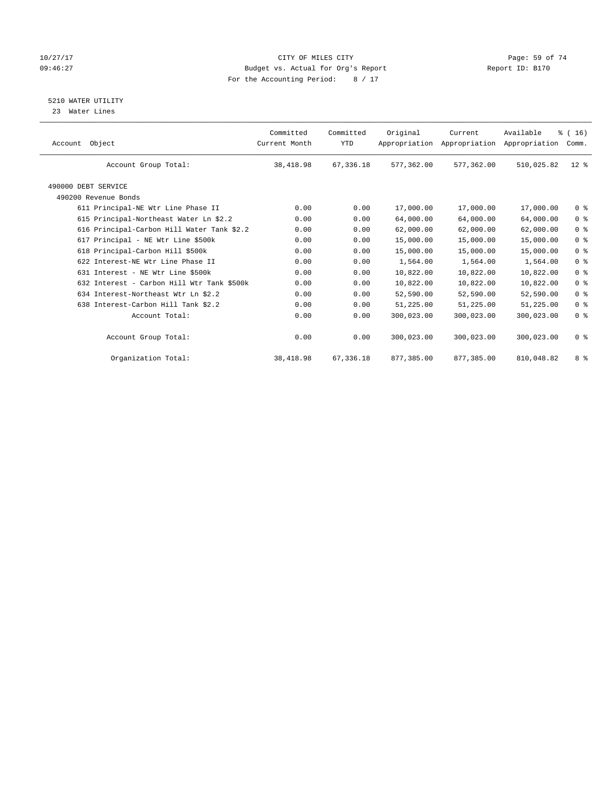#### 10/27/17 Page: 59 of 74 09:46:27 Budget vs. Actual for Org's Report Changer Report ID: B170 For the Accounting Period: 8 / 17

#### 5210 WATER UTILITY

23 Water Lines

|                                            | Committed     | Committed  | Original   | Current                     | Available     | % (16)         |
|--------------------------------------------|---------------|------------|------------|-----------------------------|---------------|----------------|
| Object<br>Account                          | Current Month | <b>YTD</b> |            | Appropriation Appropriation | Appropriation | Comm.          |
| Account Group Total:                       | 38, 418.98    | 67,336.18  | 577,362.00 | 577,362.00                  | 510,025.82    | $12$ %         |
| 490000 DEBT SERVICE                        |               |            |            |                             |               |                |
| 490200 Revenue Bonds                       |               |            |            |                             |               |                |
| 611 Principal-NE Wtr Line Phase II         | 0.00          | 0.00       | 17,000.00  | 17,000.00                   | 17,000.00     | 0 <sup>8</sup> |
| 615 Principal-Northeast Water Ln \$2.2     | 0.00          | 0.00       | 64,000.00  | 64,000.00                   | 64,000.00     | 0 <sup>8</sup> |
| 616 Principal-Carbon Hill Water Tank \$2.2 | 0.00          | 0.00       | 62,000.00  | 62,000.00                   | 62,000.00     | 0 <sup>8</sup> |
| 617 Principal - NE Wtr Line \$500k         | 0.00          | 0.00       | 15,000.00  | 15,000.00                   | 15,000.00     | 0 <sup>8</sup> |
| 618 Principal-Carbon Hill \$500k           | 0.00          | 0.00       | 15,000.00  | 15,000.00                   | 15,000.00     | 0 <sup>8</sup> |
| 622 Interest-NE Wtr Line Phase II          | 0.00          | 0.00       | 1,564.00   | 1,564.00                    | 1,564.00      | 0 <sup>8</sup> |
| 631 Interest - NE Wtr Line \$500k          | 0.00          | 0.00       | 10,822.00  | 10,822.00                   | 10,822.00     | 0 <sup>8</sup> |
| 632 Interest - Carbon Hill Wtr Tank \$500k | 0.00          | 0.00       | 10,822.00  | 10,822.00                   | 10,822.00     | 0 <sup>8</sup> |
| 634 Interest-Northeast Wtr Ln \$2.2        | 0.00          | 0.00       | 52,590.00  | 52,590.00                   | 52,590.00     | 0 <sup>8</sup> |
| 638 Interest-Carbon Hill Tank \$2.2        | 0.00          | 0.00       | 51,225.00  | 51,225.00                   | 51,225.00     | 0 <sup>8</sup> |
| Account Total:                             | 0.00          | 0.00       | 300,023.00 | 300,023.00                  | 300,023.00    | 0 <sup>8</sup> |
| Account Group Total:                       | 0.00          | 0.00       | 300,023.00 | 300,023.00                  | 300,023.00    | 0 <sup>8</sup> |
| Organization Total:                        | 38, 418.98    | 67, 336.18 | 877,385.00 | 877,385.00                  | 810,048.82    | 8 %            |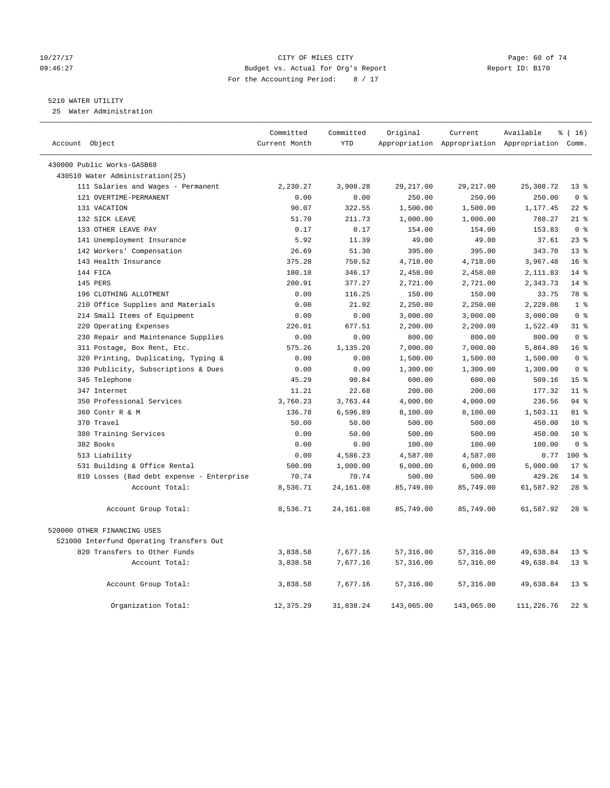#### 10/27/17 Page: 60 of 74 09:46:27 Budget vs. Actual for Org's Report Changer Report ID: B170 For the Accounting Period: 8 / 17

#### 5210 WATER UTILITY

25 Water Administration

| Account Object |                                           | Committed<br>Current Month | Committed<br><b>YTD</b> | Original   | Current    | Available<br>Appropriation Appropriation Appropriation Comm. | % (16)          |
|----------------|-------------------------------------------|----------------------------|-------------------------|------------|------------|--------------------------------------------------------------|-----------------|
|                |                                           |                            |                         |            |            |                                                              |                 |
|                | 430000 Public Works-GASB68                |                            |                         |            |            |                                                              |                 |
|                | 430510 Water Administration(25)           |                            |                         |            |            |                                                              |                 |
|                | 111 Salaries and Wages - Permanent        | 2,230.27                   | 3,908.28                | 29, 217.00 | 29, 217.00 | 25,308.72                                                    | 13 <sup>8</sup> |
|                | 121 OVERTIME-PERMANENT                    | 0.00                       | 0.00                    | 250.00     | 250.00     | 250.00                                                       | 0 <sup>8</sup>  |
|                | 131 VACATION                              | 90.07                      | 322.55                  | 1,500.00   | 1,500.00   | 1,177.45                                                     | $22$ %          |
|                | 132 SICK LEAVE                            | 51.70                      | 211.73                  | 1,000.00   | 1,000.00   | 788.27                                                       | $21$ %          |
|                | 133 OTHER LEAVE PAY                       | 0.17                       | 0.17                    | 154.00     | 154.00     | 153.83                                                       | 0 <sup>8</sup>  |
|                | 141 Unemployment Insurance                | 5.92                       | 11.39                   | 49.00      | 49.00      | 37.61                                                        | $23$ $%$        |
|                | 142 Workers' Compensation                 | 26.69                      | 51.30                   | 395.00     | 395.00     | 343.70                                                       | 13 <sup>8</sup> |
|                | 143 Health Insurance                      | 375.28                     | 750.52                  | 4,718.00   | 4,718.00   | 3,967.48                                                     | 16 <sup>°</sup> |
|                | 144 FICA                                  | 180.18                     | 346.17                  | 2,458.00   | 2,458.00   | 2,111.83                                                     | $14*$           |
|                | 145 PERS                                  | 200.91                     | 377.27                  | 2,721.00   | 2,721.00   | 2,343.73                                                     | $14*$           |
|                | 196 CLOTHING ALLOTMENT                    | 0.00                       | 116.25                  | 150.00     | 150.00     | 33.75                                                        | 78 %            |
|                | 210 Office Supplies and Materials         | 0.00                       | 21.92                   | 2,250.00   | 2,250.00   | 2,228.08                                                     | 1 <sup>8</sup>  |
|                | 214 Small Items of Equipment              | 0.00                       | 0.00                    | 3,000.00   | 3,000.00   | 3,000.00                                                     | 0 <sup>8</sup>  |
|                | 220 Operating Expenses                    | 226.01                     | 677.51                  | 2,200.00   | 2,200.00   | 1,522.49                                                     | 31.8            |
|                | 230 Repair and Maintenance Supplies       | 0.00                       | 0.00                    | 800.00     | 800.00     | 800.00                                                       | 0 <sup>8</sup>  |
|                | 311 Postage, Box Rent, Etc.               | 575.26                     | 1,135.20                | 7,000.00   | 7,000.00   | 5,864.80                                                     | 16 <sup>8</sup> |
|                | 320 Printing, Duplicating, Typing &       | 0.00                       | 0.00                    | 1,500.00   | 1,500.00   | 1,500.00                                                     | 0 <sup>8</sup>  |
|                | 330 Publicity, Subscriptions & Dues       | 0.00                       | 0.00                    | 1,300.00   | 1,300.00   | 1,300.00                                                     | 0 <sup>8</sup>  |
|                | 345 Telephone                             | 45.29                      | 90.84                   | 600.00     | 600.00     | 509.16                                                       | 15 <sup>8</sup> |
|                | 347 Internet                              | 11.21                      | 22.68                   | 200.00     | 200.00     | 177.32                                                       | $11*$           |
|                | 350 Professional Services                 | 3,760.23                   | 3,763.44                | 4,000.00   | 4,000.00   | 236.56                                                       | 94%             |
|                | 360 Contr R & M                           | 136.78                     | 6,596.89                | 8,100.00   | 8,100.00   | 1,503.11                                                     | $81$ %          |
|                | 370 Travel                                | 50.00                      | 50.00                   | 500.00     | 500.00     | 450.00                                                       | $10*$           |
|                | 380 Training Services                     | 0.00                       | 50.00                   | 500.00     | 500.00     | 450.00                                                       | $10*$           |
|                | 382 Books                                 | 0.00                       | 0.00                    | 100.00     | 100.00     | 100.00                                                       | 0 <sup>8</sup>  |
|                | 513 Liability                             | 0.00                       | 4,586.23                | 4,587.00   | 4,587.00   | 0.77                                                         | $100*$          |
|                | 531 Building & Office Rental              | 500.00                     | 1,000.00                | 6,000.00   | 6,000.00   | 5,000.00                                                     | $17*$           |
|                | 810 Losses (Bad debt expense - Enterprise | 70.74                      | 70.74                   | 500.00     | 500.00     | 429.26                                                       | $14*$           |
|                | Account Total:                            | 8,536.71                   | 24, 161.08              | 85,749.00  | 85,749.00  | 61,587.92                                                    | 28 <sup>8</sup> |
|                | Account Group Total:                      | 8,536.71                   | 24, 161.08              | 85,749.00  | 85,749.00  | 61,587.92                                                    | $28$ %          |
|                | 520000 OTHER FINANCING USES               |                            |                         |            |            |                                                              |                 |
|                | 521000 Interfund Operating Transfers Out  |                            |                         |            |            |                                                              |                 |
|                | 820 Transfers to Other Funds              | 3,838.58                   | 7,677.16                | 57,316.00  | 57,316.00  | 49,638.84                                                    | 13 <sup>8</sup> |
|                | Account Total:                            | 3,838.58                   | 7,677.16                | 57,316.00  | 57,316.00  | 49,638.84                                                    | 13 <sup>8</sup> |
|                | Account Group Total:                      | 3,838.58                   | 7,677.16                | 57,316.00  | 57,316.00  | 49,638.84                                                    | $13*$           |
|                | Organization Total:                       | 12,375.29                  | 31,838.24               | 143,065.00 | 143,065.00 | 111,226.76                                                   | $22$ %          |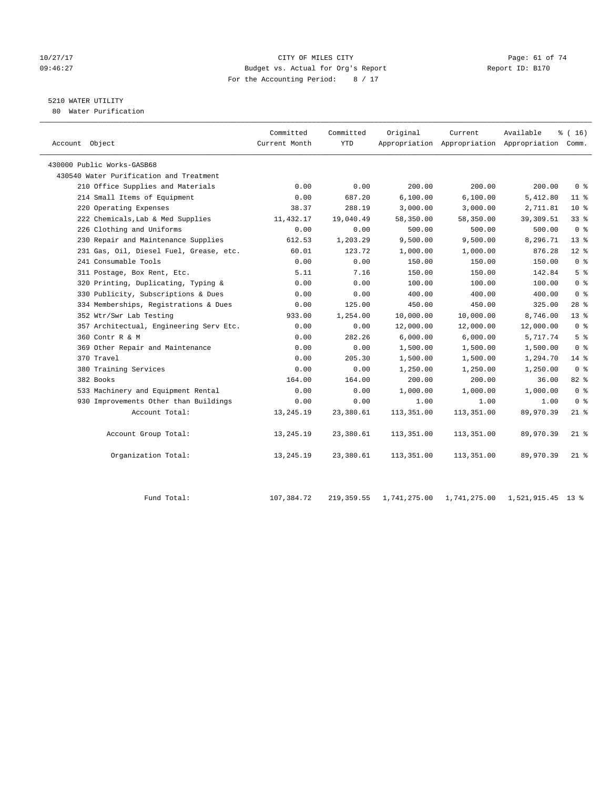#### 10/27/17 Page: 61 of 74 09:46:27 Budget vs. Actual for Org's Report Communication Report ID: B170 For the Accounting Period: 8 / 17

## 5210 WATER UTILITY

80 Water Purification

| Account Object                          | Committed<br>Current Month | Committed<br><b>YTD</b> | Original   | Current    | Available<br>Appropriation Appropriation Appropriation Comm. | % (16)                  |
|-----------------------------------------|----------------------------|-------------------------|------------|------------|--------------------------------------------------------------|-------------------------|
| 430000 Public Works-GASB68              |                            |                         |            |            |                                                              |                         |
| 430540 Water Purification and Treatment |                            |                         |            |            |                                                              |                         |
| 210 Office Supplies and Materials       | 0.00                       | 0.00                    | 200.00     | 200.00     | 200.00                                                       | 0 <sup>8</sup>          |
| 214 Small Items of Equipment            | 0.00                       | 687.20                  | 6,100.00   | 6,100.00   | 5,412.80                                                     | $11$ %                  |
| 220 Operating Expenses                  | 38.37                      | 288.19                  | 3,000.00   | 3,000.00   | 2,711.81                                                     | $10*$                   |
| 222 Chemicals, Lab & Med Supplies       | 11,432.17                  | 19,040.49               | 58,350.00  | 58,350.00  | 39, 309.51                                                   | 33 <sup>8</sup>         |
| 226 Clothing and Uniforms               | 0.00                       | 0.00                    | 500.00     | 500.00     | 500.00                                                       | $0 \text{ }$ $\text{ }$ |
| 230 Repair and Maintenance Supplies     | 612.53                     | 1,203.29                | 9,500.00   | 9,500.00   | 8,296.71                                                     | $13*$                   |
| 231 Gas, Oil, Diesel Fuel, Grease, etc. | 60.01                      | 123.72                  | 1,000.00   | 1,000.00   | 876.28                                                       | $12*$                   |
| 241 Consumable Tools                    | 0.00                       | 0.00                    | 150.00     | 150.00     | 150.00                                                       | 0 <sup>8</sup>          |
| 311 Postage, Box Rent, Etc.             | 5.11                       | 7.16                    | 150.00     | 150.00     | 142.84                                                       | 5 <sup>°</sup>          |
| 320 Printing, Duplicating, Typing &     | 0.00                       | 0.00                    | 100.00     | 100.00     | 100.00                                                       | 0 <sup>8</sup>          |
| 330 Publicity, Subscriptions & Dues     | 0.00                       | 0.00                    | 400.00     | 400.00     | 400.00                                                       | 0 <sup>8</sup>          |
| 334 Memberships, Registrations & Dues   | 0.00                       | 125.00                  | 450.00     | 450.00     | 325.00                                                       | $28$ %                  |
| 352 Wtr/Swr Lab Testing                 | 933.00                     | 1,254.00                | 10,000.00  | 10,000.00  | 8,746.00                                                     | $13*$                   |
| 357 Architectual, Engineering Serv Etc. | 0.00                       | 0.00                    | 12,000.00  | 12,000.00  | 12,000.00                                                    | 0 <sup>8</sup>          |
| 360 Contr R & M                         | 0.00                       | 282.26                  | 6,000.00   | 6,000.00   | 5,717.74                                                     | 5 <sup>°</sup>          |
| 369 Other Repair and Maintenance        | 0.00                       | 0.00                    | 1,500.00   | 1,500.00   | 1,500.00                                                     | 0 <sup>8</sup>          |
| 370 Travel                              | 0.00                       | 205.30                  | 1,500.00   | 1,500.00   | 1,294.70                                                     | $14$ %                  |
| 380 Training Services                   | 0.00                       | 0.00                    | 1,250.00   | 1,250.00   | 1,250.00                                                     | 0 <sup>8</sup>          |
| 382 Books                               | 164.00                     | 164.00                  | 200.00     | 200.00     | 36.00                                                        | 82%                     |
| 533 Machinery and Equipment Rental      | 0.00                       | 0.00                    | 1,000.00   | 1,000.00   | 1,000.00                                                     | 0 <sup>8</sup>          |
| 930 Improvements Other than Buildings   | 0.00                       | 0.00                    | 1.00       | 1.00       | 1.00                                                         | 0 <sup>8</sup>          |
| Account Total:                          | 13,245.19                  | 23,380.61               | 113,351.00 | 113,351.00 | 89,970.39                                                    | $21$ %                  |
| Account Group Total:                    | 13, 245. 19                | 23,380.61               | 113,351.00 | 113,351.00 | 89,970.39                                                    | $21$ %                  |
| Organization Total:                     | 13,245.19                  | 23,380.61               | 113,351.00 | 113,351.00 | 89,970.39                                                    | $21$ %                  |
|                                         |                            |                         |            |            |                                                              |                         |

| Fund Total: |  |  | 107,384.72 219,359.55 1,741,275.00 1,741,275.00 1,521,915.45 13 % |
|-------------|--|--|-------------------------------------------------------------------|
|             |  |  | .                                                                 |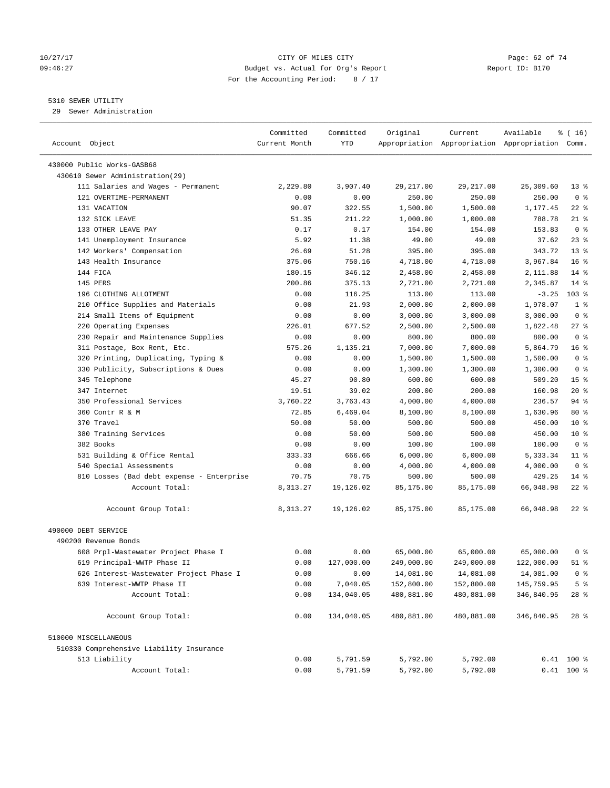#### 10/27/17 Page: 62 of 74 09:46:27 Budget vs. Actual for Org's Report Report ID: B170 For the Accounting Period: 8 / 17

————————————————————————————————————————————————————————————————————————————————————————————————————————————————————————————————————

#### 5310 SEWER UTILITY

29 Sewer Administration

|                                           | Committed     | Committed      | Original        | Current    | Available                                       | % ( 16)                  |
|-------------------------------------------|---------------|----------------|-----------------|------------|-------------------------------------------------|--------------------------|
| Account Object                            | Current Month | YTD            |                 |            | Appropriation Appropriation Appropriation Comm. |                          |
|                                           |               |                |                 |            |                                                 |                          |
| 430000 Public Works-GASB68                |               |                |                 |            |                                                 |                          |
| 430610 Sewer Administration(29)           |               |                | 29, 217.00      |            |                                                 |                          |
| 111 Salaries and Wages - Permanent        | 2,229.80      | 3,907.40       |                 | 29, 217.00 | 25,309.60                                       | 13 <sup>°</sup>          |
| 121 OVERTIME-PERMANENT                    | 0.00          | 0.00           | 250.00          | 250.00     | 250.00                                          | 0 <sup>8</sup>           |
| 131 VACATION                              | 90.07         | 322.55         | 1,500.00        | 1,500.00   | 1,177.45                                        | $22$ %                   |
| 132 SICK LEAVE                            | 51.35         | 211.22         | 1,000.00        | 1,000.00   | 788.78                                          | $21$ %<br>0 <sup>8</sup> |
| 133 OTHER LEAVE PAY                       | 0.17          | 0.17           | 154.00          | 154.00     | 153.83                                          | $23$ $%$                 |
| 141 Unemployment Insurance                | 5.92          | 11.38<br>51.28 | 49.00<br>395.00 | 49.00      | 37.62                                           | $13*$                    |
| 142 Workers' Compensation                 | 26.69         |                |                 | 395.00     | 343.72                                          | 16 <sup>8</sup>          |
| 143 Health Insurance<br>144 FICA          | 375.06        | 750.16         | 4,718.00        | 4,718.00   | 3,967.84                                        |                          |
|                                           | 180.15        | 346.12         | 2,458.00        | 2,458.00   | 2,111.88                                        | $14*$                    |
| 145 PERS                                  | 200.86        | 375.13         | 2,721.00        | 2,721.00   | 2,345.87                                        | $14*$                    |
| 196 CLOTHING ALLOTMENT                    | 0.00          | 116.25         | 113.00          | 113.00     | $-3.25$                                         | $103$ %                  |
| 210 Office Supplies and Materials         | 0.00          | 21.93          | 2,000.00        | 2,000.00   | 1,978.07                                        | 1 <sup>°</sup>           |
| 214 Small Items of Equipment              | 0.00          | 0.00           | 3,000.00        | 3,000.00   | 3,000.00                                        | 0 <sup>8</sup>           |
| 220 Operating Expenses                    | 226.01        | 677.52         | 2,500.00        | 2,500.00   | 1,822.48                                        | $27$ %                   |
| 230 Repair and Maintenance Supplies       | 0.00          | 0.00           | 800.00          | 800.00     | 800.00                                          | 0 <sup>8</sup>           |
| 311 Postage, Box Rent, Etc.               | 575.26        | 1,135.21       | 7,000.00        | 7,000.00   | 5,864.79                                        | 16 <sup>°</sup>          |
| 320 Printing, Duplicating, Typing &       | 0.00          | 0.00           | 1,500.00        | 1,500.00   | 1,500.00                                        | 0 <sup>8</sup>           |
| 330 Publicity, Subscriptions & Dues       | 0.00          | 0.00           | 1,300.00        | 1,300.00   | 1,300.00                                        | 0 <sup>8</sup>           |
| 345 Telephone                             | 45.27         | 90.80          | 600.00          | 600.00     | 509.20                                          | 15 <sup>°</sup>          |
| 347 Internet                              | 19.51         | 39.02          | 200.00          | 200.00     | 160.98                                          | $20*$                    |
| 350 Professional Services                 | 3,760.22      | 3,763.43       | 4,000.00        | 4,000.00   | 236.57                                          | 94 %                     |
| 360 Contr R & M                           | 72.85         | 6,469.04       | 8,100.00        | 8,100.00   | 1,630.96                                        | $80*$                    |
| 370 Travel                                | 50.00         | 50.00          | 500.00          | 500.00     | 450.00                                          | $10*$                    |
| 380 Training Services                     | 0.00          | 50.00          | 500.00          | 500.00     | 450.00                                          | $10*$                    |
| 382 Books                                 | 0.00          | 0.00           | 100.00          | 100.00     | 100.00                                          | 0 <sup>8</sup>           |
| 531 Building & Office Rental              | 333.33        | 666.66         | 6,000.00        | 6,000.00   | 5,333.34                                        | $11$ %                   |
| 540 Special Assessments                   | 0.00          | 0.00           | 4,000.00        | 4,000.00   | 4,000.00                                        | 0 <sup>8</sup>           |
| 810 Losses (Bad debt expense - Enterprise | 70.75         | 70.75          | 500.00          | 500.00     | 429.25                                          | $14*$                    |
| Account Total:                            | 8,313.27      | 19,126.02      | 85,175.00       | 85,175.00  | 66,048.98                                       | $22$ %                   |
| Account Group Total:                      | 8,313.27      | 19,126.02      | 85,175.00       | 85,175.00  | 66,048.98                                       | $22$ %                   |
| 490000 DEBT SERVICE                       |               |                |                 |            |                                                 |                          |
| 490200 Revenue Bonds                      |               |                |                 |            |                                                 |                          |
| 608 Prpl-Wastewater Project Phase I       | 0.00          | 0.00           | 65,000.00       | 65,000.00  | 65,000.00                                       | 0 <sup>8</sup>           |
| 619 Principal-WWTP Phase II               | 0.00          | 127,000.00     | 249,000.00      | 249,000.00 | 122,000.00                                      | $51$ %                   |
| 626 Interest-Wastewater Project Phase I   | 0.00          | 0.00           | 14,081.00       | 14,081.00  | 14,081.00                                       | 0 <sup>8</sup>           |
| 639 Interest-WWTP Phase II                | 0.00          | 7,040.05       | 152,800.00      | 152,800.00 | 145,759.95                                      | 5 <sup>8</sup>           |
| Account Total:                            | 0.00          | 134,040.05     | 480,881.00      | 480,881.00 | 346,840.95                                      | 28 %                     |
|                                           |               |                |                 |            |                                                 |                          |
| Account Group Total:                      | 0.00          | 134,040.05     | 480,881.00      | 480,881.00 | 346,840.95                                      | $28$ %                   |
| 510000 MISCELLANEOUS                      |               |                |                 |            |                                                 |                          |
| 510330 Comprehensive Liability Insurance  |               |                |                 |            |                                                 |                          |
| 513 Liability                             | 0.00          | 5,791.59       | 5,792.00        | 5,792.00   |                                                 | $0.41$ 100 %             |
| Account Total:                            | 0.00          | 5,791.59       | 5,792.00        | 5,792.00   |                                                 | $0.41$ 100 %             |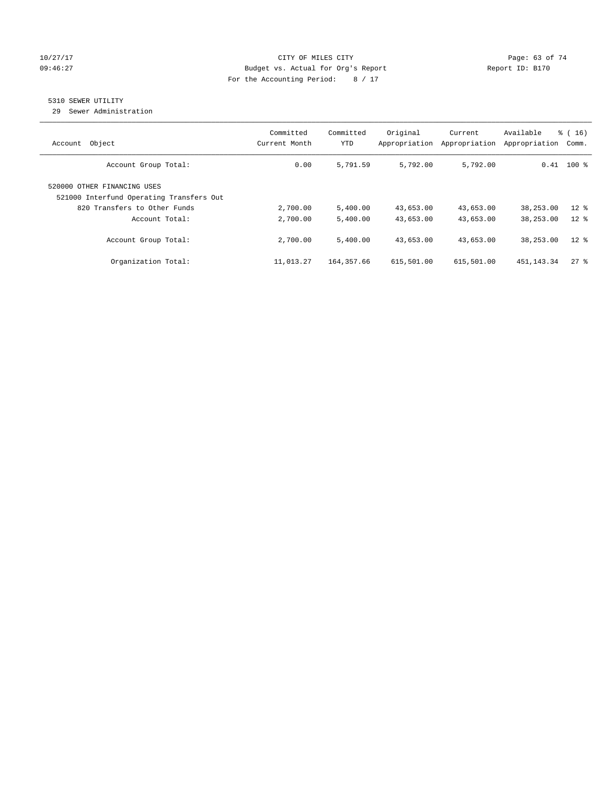#### 10/27/17 Page: 63 of 74 09:46:27 Budget vs. Actual for Org's Report Communication Report ID: B170 For the Accounting Period: 8 / 17

### 5310 SEWER UTILITY

29 Sewer Administration

| Object<br>Account                                                                                       | Committed<br>Current Month | Committed<br><b>YTD</b> | Original<br>Appropriation | Current<br>Appropriation | Available<br>Appropriation | $\frac{1}{6}$ ( 16 )<br>Comm. |
|---------------------------------------------------------------------------------------------------------|----------------------------|-------------------------|---------------------------|--------------------------|----------------------------|-------------------------------|
| Account Group Total:                                                                                    | 0.00                       | 5,791.59                | 5,792.00                  | 5,792.00                 |                            | $0.41$ 100 %                  |
| 520000 OTHER FINANCING USES<br>521000 Interfund Operating Transfers Out<br>820 Transfers to Other Funds | 2,700.00                   | 5.400.00                | 43,653.00                 | 43,653.00                | 38,253.00                  | $12*$                         |
| Account Total:                                                                                          | 2,700.00                   | 5,400.00                | 43,653.00                 | 43,653.00                | 38,253.00                  | $12*$                         |
| Account Group Total:                                                                                    | 2,700.00                   | 5,400.00                | 43,653.00                 | 43,653.00                | 38,253.00                  | $12$ %                        |
| Organization Total:                                                                                     | 11,013.27                  | 164,357.66              | 615,501.00                | 615,501.00               | 451,143.34                 | $27$ $\frac{6}{5}$            |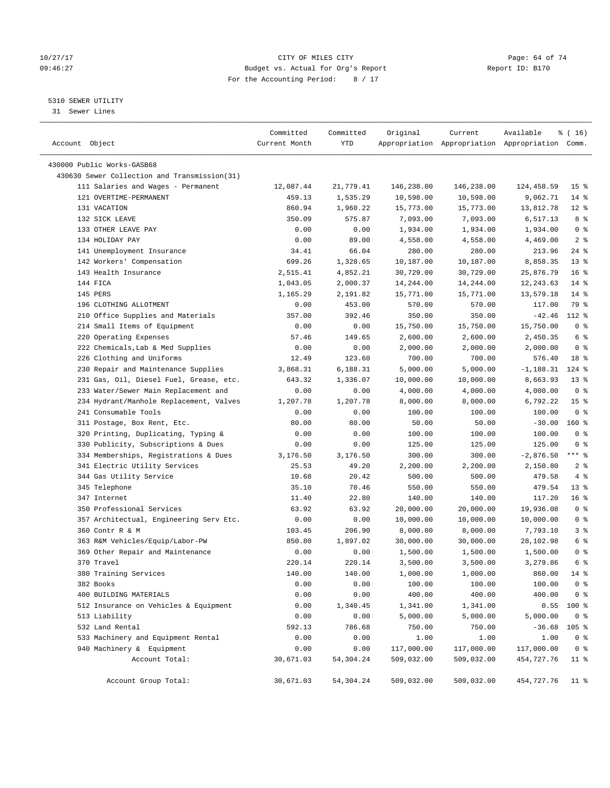#### 10/27/17 Page: 64 of 74 09:46:27 Budget vs. Actual for Org's Report Changer Report ID: B170 For the Accounting Period: 8 / 17

————————————————————————————————————————————————————————————————————————————————————————————————————————————————————————————————————

#### 5310 SEWER UTILITY

31 Sewer Lines

|                                              | Committed     | Committed | Original   | Current    | Available                                       | ៖ ( 16)         |
|----------------------------------------------|---------------|-----------|------------|------------|-------------------------------------------------|-----------------|
| Account Object                               | Current Month | YTD       |            |            | Appropriation Appropriation Appropriation Comm. |                 |
|                                              |               |           |            |            |                                                 |                 |
| 430000 Public Works-GASB68                   |               |           |            |            |                                                 |                 |
| 430630 Sewer Collection and Transmission(31) |               |           |            |            |                                                 |                 |
| 111 Salaries and Wages - Permanent           | 12,087.44     | 21,779.41 | 146,238.00 | 146,238.00 | 124,458.59                                      | 15 <sup>8</sup> |
| 121 OVERTIME-PERMANENT                       | 459.13        | 1,535.29  | 10,598.00  | 10,598.00  | 9,062.71                                        | $14*$           |
| 131 VACATION                                 | 860.94        | 1,960.22  | 15,773.00  | 15,773.00  | 13,812.78                                       | $12$ %          |
| 132 SICK LEAVE                               | 350.09        | 575.87    | 7,093.00   | 7,093.00   | 6,517.13                                        | 8 %             |
| 133 OTHER LEAVE PAY                          | 0.00          | 0.00      | 1,934.00   | 1,934.00   | 1,934.00                                        | 0 <sup>8</sup>  |
| 134 HOLIDAY PAY                              | 0.00          | 89.00     | 4,558.00   | 4,558.00   | 4,469.00                                        | 2 <sup>°</sup>  |
| 141 Unemployment Insurance                   | 34.41         | 66.04     | 280.00     | 280.00     | 213.96                                          | $24$ %          |
| 142 Workers' Compensation                    | 699.26        | 1,328.65  | 10,187.00  | 10,187.00  | 8,858.35                                        | $13*$           |
| 143 Health Insurance                         | 2,515.41      | 4,852.21  | 30,729.00  | 30,729.00  | 25,876.79                                       | 16 <sup>8</sup> |
| 144 FICA                                     | 1,043.05      | 2,000.37  | 14,244.00  | 14,244.00  | 12,243.63                                       | 14 %            |
| 145 PERS                                     | 1,165.29      | 2,191.82  | 15,771.00  | 15,771.00  | 13,579.18                                       | $14*$           |
| 196 CLOTHING ALLOTMENT                       | 0.00          | 453.00    | 570.00     | 570.00     | 117.00                                          | 79 %            |
| 210 Office Supplies and Materials            | 357.00        | 392.46    | 350.00     | 350.00     | $-42.46$                                        | 112 %           |
| 214 Small Items of Equipment                 | 0.00          | 0.00      | 15,750.00  | 15,750.00  | 15,750.00                                       | 0 <sup>8</sup>  |
| 220 Operating Expenses                       | 57.46         | 149.65    | 2,600.00   | 2,600.00   | 2,450.35                                        | 6 %             |
| 222 Chemicals, Lab & Med Supplies            | 0.00          | 0.00      | 2,000.00   | 2,000.00   | 2,000.00                                        | 0 <sup>8</sup>  |
| 226 Clothing and Uniforms                    | 12.49         | 123.60    | 700.00     | 700.00     | 576.40                                          | 18 <sup>°</sup> |
| 230 Repair and Maintenance Supplies          | 3,868.31      | 6,188.31  | 5,000.00   | 5,000.00   | $-1, 188.31$                                    | $124$ %         |
| 231 Gas, Oil, Diesel Fuel, Grease, etc.      | 643.32        | 1,336.07  | 10,000.00  | 10,000.00  | 8,663.93                                        | $13*$           |
| 233 Water/Sewer Main Replacement and         | 0.00          | 0.00      | 4,000.00   | 4,000.00   | 4,000.00                                        | 0 <sup>8</sup>  |
| 234 Hydrant/Manhole Replacement, Valves      | 1,207.78      | 1,207.78  | 8,000.00   | 8,000.00   | 6,792.22                                        | 15 <sup>8</sup> |
| 241 Consumable Tools                         | 0.00          | 0.00      | 100.00     | 100.00     | 100.00                                          | 0 <sup>8</sup>  |
| 311 Postage, Box Rent, Etc.                  | 80.00         | 80.00     | 50.00      | 50.00      | $-30.00$                                        | $160*$          |
| 320 Printing, Duplicating, Typing &          | 0.00          | 0.00      | 100.00     | 100.00     | 100.00                                          | 0 <sup>8</sup>  |
| 330 Publicity, Subscriptions & Dues          | 0.00          | 0.00      | 125.00     | 125.00     | 125.00                                          | 0 <sup>8</sup>  |
| 334 Memberships, Registrations & Dues        | 3,176.50      | 3,176.50  | 300.00     | 300.00     | $-2,876.50$                                     | $***$ $_{8}$    |
| 341 Electric Utility Services                | 25.53         | 49.20     | 2,200.00   | 2,200.00   | 2,150.80                                        | 2 <sup>°</sup>  |
| 344 Gas Utility Service                      | 10.68         | 20.42     | 500.00     | 500.00     | 479.58                                          | 4%              |
| 345 Telephone                                | 35.10         | 70.46     | 550.00     | 550.00     | 479.54                                          | $13*$           |
| 347 Internet                                 | 11.40         | 22.80     | 140.00     | 140.00     | 117.20                                          | 16 <sup>8</sup> |
| 350 Professional Services                    | 63.92         | 63.92     | 20,000.00  | 20,000.00  | 19,936.08                                       | 0 <sup>8</sup>  |
| 357 Architectual, Engineering Serv Etc.      | 0.00          | 0.00      | 10,000.00  | 10,000.00  | 10,000.00                                       | 0 <sup>8</sup>  |
| 360 Contr R & M                              | 103.45        | 206.90    | 8,000.00   | 8,000.00   | 7,793.10                                        | 3 <sup>°</sup>  |
| 363 R&M Vehicles/Equip/Labor-PW              | 850.80        | 1,897.02  | 30,000.00  | 30,000.00  | 28,102.98                                       | 6 %             |
| 369 Other Repair and Maintenance             | 0.00          | 0.00      | 1,500.00   | 1,500.00   | 1,500.00                                        | 0 <sup>8</sup>  |
| 370 Travel                                   | 220.14        | 220.14    | 3,500.00   | 3,500.00   | 3,279.86                                        | 6 <sup>°</sup>  |
| 380 Training Services                        | 140.00        | 140.00    | 1,000.00   | 1,000.00   | 860.00                                          | $14$ %          |
| 382 Books                                    | 0.00          | 0.00      | 100.00     | 100.00     | 100.00                                          | 0 <sup>8</sup>  |
| 400 BUILDING MATERIALS                       | 0.00          | 0.00      | 400.00     | 400.00     | 400.00                                          | $0$ %           |
| 512 Insurance on Vehicles & Equipment        | 0.00          | 1,340.45  | 1,341.00   | 1,341.00   | 0.55                                            | 100 %           |
| 513 Liability                                | 0.00          | 0.00      | 5,000.00   | 5,000.00   | 5,000.00                                        | 0 <sup>8</sup>  |
| 532 Land Rental                              | 592.13        | 786.68    | 750.00     | 750.00     | $-36.68$ 105 %                                  |                 |
| 533 Machinery and Equipment Rental           | 0.00          | 0.00      | 1.00       | 1.00       | 1.00                                            | $0$ %           |
| 940 Machinery & Equipment                    | 0.00          | 0.00      | 117,000.00 | 117,000.00 | 117,000.00                                      | 0 <sup>8</sup>  |
| Account Total:                               | 30,671.03     | 54,304.24 | 509,032.00 | 509,032.00 | 454,727.76                                      | 11 <sup>8</sup> |
| Account Group Total:                         | 30,671.03     | 54,304.24 | 509,032.00 | 509,032.00 | 454,727.76                                      | $11$ %          |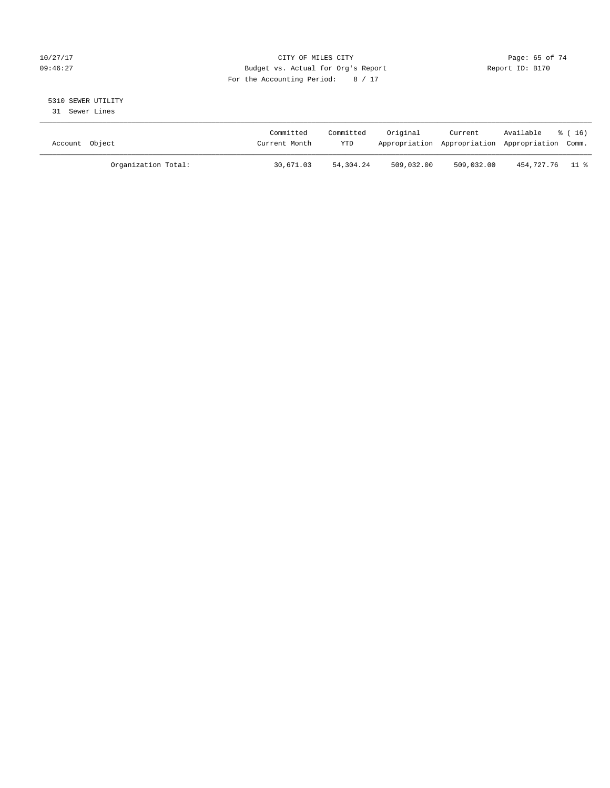#### 10/27/17 Page: 65 of 74 09:46:27 Budget vs. Actual for Org's Report Changer Report ID: B170 For the Accounting Period: 8 / 17

# 5310 SEWER UTILITY

31 Sewer Lines

| Account Object |                     | Committed<br>Current Month | Committed<br>YTD | Original   | Current    | Available<br>Appropriation Appropriation Appropriation Comm. | 8 ( 16 ) |
|----------------|---------------------|----------------------------|------------------|------------|------------|--------------------------------------------------------------|----------|
|                | Organization Total: | 30,671.03                  | 54,304.24        | 509,032.00 | 509,032.00 | 454,727.76 11 %                                              |          |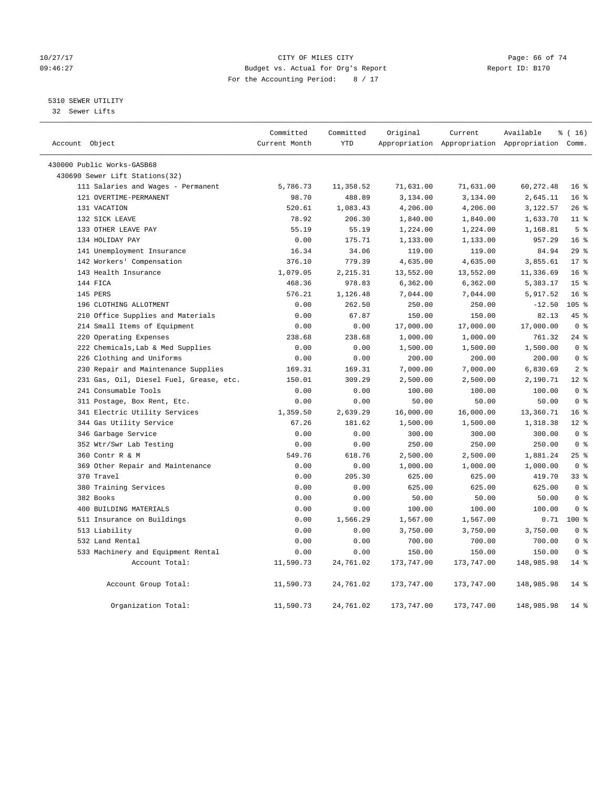#### 10/27/17 Page: 66 of 74 09:46:27 Budget vs. Actual for Org's Report Changer Report ID: B170 For the Accounting Period: 8 / 17

#### 5310 SEWER UTILITY

32 Sewer Lifts

|                |                                         | Committed     | Committed<br><b>YTD</b> | Original   | Current    | Available                                       | % (16)          |
|----------------|-----------------------------------------|---------------|-------------------------|------------|------------|-------------------------------------------------|-----------------|
| Account Object |                                         | Current Month |                         |            |            | Appropriation Appropriation Appropriation Comm. |                 |
|                | 430000 Public Works-GASB68              |               |                         |            |            |                                                 |                 |
|                | 430690 Sewer Lift Stations(32)          |               |                         |            |            |                                                 |                 |
|                | 111 Salaries and Wages - Permanent      | 5,786.73      | 11,358.52               | 71,631.00  | 71,631.00  | 60,272.48                                       | 16 <sup>8</sup> |
|                | 121 OVERTIME-PERMANENT                  | 98.70         | 488.89                  | 3,134.00   | 3,134.00   | 2,645.11                                        | 16 <sup>°</sup> |
|                | 131 VACATION                            | 520.61        | 1,083.43                | 4,206.00   | 4,206.00   | 3,122.57                                        | 26%             |
|                | 132 SICK LEAVE                          | 78.92         | 206.30                  | 1,840.00   | 1,840.00   | 1,633.70                                        | 11 <sup>8</sup> |
|                | 133 OTHER LEAVE PAY                     | 55.19         | 55.19                   | 1,224.00   | 1,224.00   | 1,168.81                                        | 5 <sup>8</sup>  |
|                | 134 HOLIDAY PAY                         | 0.00          | 175.71                  | 1,133.00   | 1,133.00   | 957.29                                          | 16 <sup>8</sup> |
|                | 141 Unemployment Insurance              | 16.34         | 34.06                   | 119.00     | 119.00     | 84.94                                           | 29%             |
|                | 142 Workers' Compensation               | 376.10        | 779.39                  | 4,635.00   | 4,635.00   | 3,855.61                                        | 17 <sup>°</sup> |
|                | 143 Health Insurance                    | 1,079.05      | 2,215.31                | 13,552.00  | 13,552.00  | 11,336.69                                       | 16 <sup>8</sup> |
|                | 144 FICA                                | 468.36        | 978.83                  | 6,362.00   | 6, 362.00  | 5,383.17                                        | 15 <sup>8</sup> |
|                | 145 PERS                                | 576.21        | 1,126.48                | 7,044.00   | 7,044.00   | 5,917.52                                        | 16 <sup>8</sup> |
|                | 196 CLOTHING ALLOTMENT                  | 0.00          | 262.50                  | 250.00     | 250.00     | $-12.50$                                        | $105$ %         |
|                | 210 Office Supplies and Materials       | 0.00          | 67.87                   | 150.00     | 150.00     | 82.13                                           | 45 %            |
|                | 214 Small Items of Equipment            | 0.00          | 0.00                    | 17,000.00  | 17,000.00  | 17,000.00                                       | 0 <sup>8</sup>  |
|                | 220 Operating Expenses                  | 238.68        | 238.68                  | 1,000.00   | 1,000.00   | 761.32                                          | $24$ %          |
|                | 222 Chemicals, Lab & Med Supplies       | 0.00          | 0.00                    | 1,500.00   | 1,500.00   | 1,500.00                                        | 0 <sup>8</sup>  |
|                | 226 Clothing and Uniforms               | 0.00          | 0.00                    | 200.00     | 200.00     | 200.00                                          | 0 <sup>8</sup>  |
|                | 230 Repair and Maintenance Supplies     | 169.31        | 169.31                  | 7,000.00   | 7,000.00   | 6,830.69                                        | 2 <sup>°</sup>  |
|                | 231 Gas, Oil, Diesel Fuel, Grease, etc. | 150.01        | 309.29                  | 2,500.00   | 2,500.00   | 2,190.71                                        | $12*$           |
|                | 241 Consumable Tools                    | 0.00          | 0.00                    | 100.00     | 100.00     | 100.00                                          | 0 <sup>8</sup>  |
|                | 311 Postage, Box Rent, Etc.             | 0.00          | 0.00                    | 50.00      | 50.00      | 50.00                                           | 0 <sup>8</sup>  |
|                | 341 Electric Utility Services           | 1,359.50      | 2,639.29                | 16,000.00  | 16,000.00  | 13,360.71                                       | 16 <sup>8</sup> |
|                | 344 Gas Utility Service                 | 67.26         | 181.62                  | 1,500.00   | 1,500.00   | 1,318.38                                        | $12*$           |
|                | 346 Garbage Service                     | 0.00          | 0.00                    | 300.00     | 300.00     | 300.00                                          | 0 <sup>8</sup>  |
|                | 352 Wtr/Swr Lab Testing                 | 0.00          | 0.00                    | 250.00     | 250.00     | 250.00                                          | 0 <sup>8</sup>  |
|                | 360 Contr R & M                         | 549.76        | 618.76                  | 2,500.00   | 2,500.00   | 1,881.24                                        | 25%             |
|                | 369 Other Repair and Maintenance        | 0.00          | 0.00                    | 1,000.00   | 1,000.00   | 1,000.00                                        | 0 <sup>8</sup>  |
|                | 370 Travel                              | 0.00          | 205.30                  | 625.00     | 625.00     | 419.70                                          | 33 <sup>8</sup> |
|                | 380 Training Services                   | 0.00          | 0.00                    | 625.00     | 625.00     | 625.00                                          | 0 <sup>8</sup>  |
|                | 382 Books                               | 0.00          | 0.00                    | 50.00      | 50.00      | 50.00                                           | 0 <sup>8</sup>  |
|                | 400 BUILDING MATERIALS                  | 0.00          | 0.00                    | 100.00     | 100.00     | 100.00                                          | 0 <sup>8</sup>  |
|                | 511 Insurance on Buildings              | 0.00          | 1,566.29                | 1,567.00   | 1,567.00   |                                                 | $0.71$ 100 %    |
|                | 513 Liability                           | 0.00          | 0.00                    | 3,750.00   | 3,750.00   | 3,750.00                                        | 0 <sup>8</sup>  |
|                | 532 Land Rental                         | 0.00          | 0.00                    | 700.00     | 700.00     | 700.00                                          | 0 <sup>8</sup>  |
|                | 533 Machinery and Equipment Rental      | 0.00          | 0.00                    | 150.00     | 150.00     | 150.00                                          | 0 <sup>8</sup>  |
|                | Account Total:                          | 11,590.73     | 24,761.02               | 173,747.00 | 173,747.00 | 148,985.98                                      | $14*$           |
|                | Account Group Total:                    | 11,590.73     | 24,761.02               | 173,747.00 | 173,747.00 | 148,985.98                                      | 14 %            |
|                | Organization Total:                     | 11,590.73     | 24,761.02               | 173,747.00 | 173,747.00 | 148,985.98                                      | $14*$           |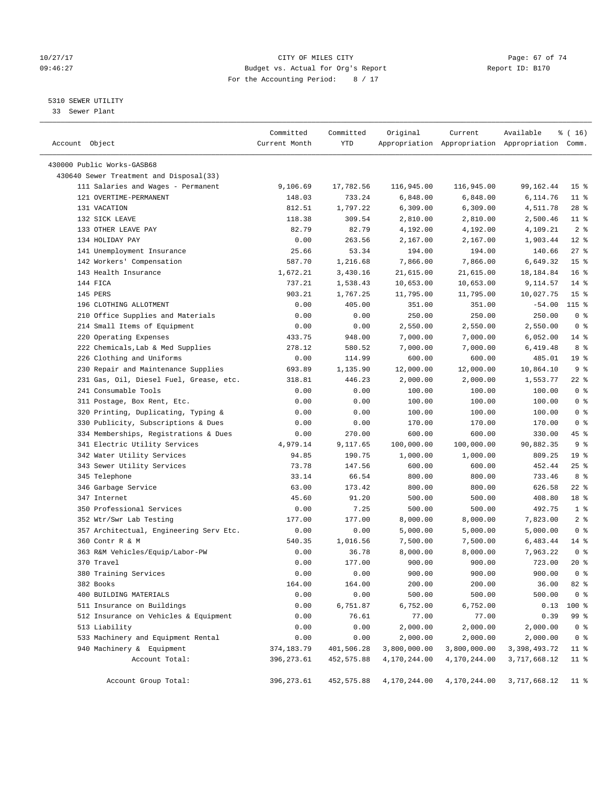#### 10/27/17 Page: 67 of 74 09:46:27 Budget vs. Actual for Org's Report Changer Report ID: B170 For the Accounting Period: 8 / 17

————————————————————————————————————————————————————————————————————————————————————————————————————————————————————————————————————

#### 5310 SEWER UTILITY

33 Sewer Plant

|                                         | Committed     | Committed  | Original     | Current                                         | Available    | % (16)          |
|-----------------------------------------|---------------|------------|--------------|-------------------------------------------------|--------------|-----------------|
| Account Object                          | Current Month | YTD        |              | Appropriation Appropriation Appropriation Comm. |              |                 |
| 430000 Public Works-GASB68              |               |            |              |                                                 |              |                 |
| 430640 Sewer Treatment and Disposal(33) |               |            |              |                                                 |              |                 |
| 111 Salaries and Wages - Permanent      | 9,106.69      | 17,782.56  | 116,945.00   | 116,945.00                                      | 99,162.44    | 15 <sup>8</sup> |
| 121 OVERTIME-PERMANENT                  | 148.03        | 733.24     | 6,848.00     | 6,848.00                                        | 6,114.76     | $11$ %          |
| 131 VACATION                            | 812.51        | 1,797.22   | 6,309.00     | 6,309.00                                        | 4,511.78     | $28$ %          |
| 132 SICK LEAVE                          | 118.38        | 309.54     | 2,810.00     | 2,810.00                                        | 2,500.46     | $11$ %          |
| 133 OTHER LEAVE PAY                     | 82.79         | 82.79      | 4,192.00     | 4,192.00                                        | 4,109.21     | 2 <sup>8</sup>  |
| 134 HOLIDAY PAY                         | 0.00          | 263.56     | 2,167.00     | 2,167.00                                        | 1,903.44     | $12*$           |
| 141 Unemployment Insurance              | 25.66         | 53.34      | 194.00       | 194.00                                          | 140.66       | 27%             |
|                                         | 587.70        | 1,216.68   | 7,866.00     | 7,866.00                                        | 6,649.32     | 15 <sup>°</sup> |
| 142 Workers' Compensation               |               |            |              |                                                 |              | 16 <sup>°</sup> |
| 143 Health Insurance                    | 1,672.21      | 3,430.16   | 21,615.00    | 21,615.00                                       | 18,184.84    |                 |
| 144 FICA                                | 737.21        | 1,538.43   | 10,653.00    | 10,653.00                                       | 9,114.57     | $14*$           |
| 145 PERS                                | 903.21        | 1,767.25   | 11,795.00    | 11,795.00                                       | 10,027.75    | 15 <sup>°</sup> |
| 196 CLOTHING ALLOTMENT                  | 0.00          | 405.00     | 351.00       | 351.00                                          | $-54.00$     | $115$ %         |
| 210 Office Supplies and Materials       | 0.00          | 0.00       | 250.00       | 250.00                                          | 250.00       | 0 <sup>8</sup>  |
| 214 Small Items of Equipment            | 0.00          | 0.00       | 2,550.00     | 2,550.00                                        | 2,550.00     | 0 <sup>8</sup>  |
| 220 Operating Expenses                  | 433.75        | 948.00     | 7,000.00     | 7,000.00                                        | 6,052.00     | $14*$           |
| 222 Chemicals, Lab & Med Supplies       | 278.12        | 580.52     | 7,000.00     | 7,000.00                                        | 6,419.48     | 8 %             |
| 226 Clothing and Uniforms               | 0.00          | 114.99     | 600.00       | 600.00                                          | 485.01       | 19 <sup>°</sup> |
| 230 Repair and Maintenance Supplies     | 693.89        | 1,135.90   | 12,000.00    | 12,000.00                                       | 10,864.10    | 9 <sup>°</sup>  |
| 231 Gas, Oil, Diesel Fuel, Grease, etc. | 318.81        | 446.23     | 2,000.00     | 2,000.00                                        | 1,553.77     | $22$ %          |
| 241 Consumable Tools                    | 0.00          | 0.00       | 100.00       | 100.00                                          | 100.00       | 0 <sup>8</sup>  |
| 311 Postage, Box Rent, Etc.             | 0.00          | 0.00       | 100.00       | 100.00                                          | 100.00       | 0 <sup>8</sup>  |
| 320 Printing, Duplicating, Typing &     | 0.00          | 0.00       | 100.00       | 100.00                                          | 100.00       | 0 <sup>8</sup>  |
| 330 Publicity, Subscriptions & Dues     | 0.00          | 0.00       | 170.00       | 170.00                                          | 170.00       | 0 <sup>8</sup>  |
| 334 Memberships, Registrations & Dues   | 0.00          | 270.00     | 600.00       | 600.00                                          | 330.00       | 45 %            |
| 341 Electric Utility Services           | 4,979.14      | 9,117.65   | 100,000.00   | 100,000.00                                      | 90,882.35    | 9 <sup>°</sup>  |
| 342 Water Utility Services              | 94.85         | 190.75     | 1,000.00     | 1,000.00                                        | 809.25       | 19 <sup>°</sup> |
| 343 Sewer Utility Services              | 73.78         | 147.56     | 600.00       | 600.00                                          | 452.44       | 25%             |
| 345 Telephone                           | 33.14         | 66.54      | 800.00       | 800.00                                          | 733.46       | 8 %             |
| 346 Garbage Service                     | 63.00         | 173.42     | 800.00       | 800.00                                          | 626.58       | $22$ %          |
| 347 Internet                            | 45.60         | 91.20      | 500.00       | 500.00                                          | 408.80       | 18 %            |
| 350 Professional Services               | 0.00          | 7.25       | 500.00       | 500.00                                          | 492.75       | 1 <sup>°</sup>  |
| 352 Wtr/Swr Lab Testing                 | 177.00        | 177.00     | 8,000.00     | 8,000.00                                        | 7,823.00     | 2 <sup>°</sup>  |
| 357 Architectual, Engineering Serv Etc. | 0.00          | 0.00       | 5,000.00     | 5,000.00                                        | 5,000.00     | 0 <sup>8</sup>  |
| 360 Contr R & M                         | 540.35        | 1,016.56   | 7,500.00     | 7,500.00                                        | 6,483.44     | $14*$           |
| 363 R&M Vehicles/Equip/Labor-PW         | 0.00          | 36.78      | 8,000.00     | 8,000.00                                        | 7,963.22     | 0 <sup>8</sup>  |
| 370 Travel                              | 0.00          | 177.00     | 900.00       | 900.00                                          | 723.00       | $20*$           |
| 380 Training Services                   | 0.00          | 0.00       | 900.00       | 900.00                                          | 900.00       | 0 <sup>°</sup>  |
| 382 Books                               | 164.00        | 164.00     | 200.00       | 200.00                                          | 36.00        | 82 %            |
| 400 BUILDING MATERIALS                  | 0.00          | 0.00       | 500.00       | 500.00                                          | 500.00       | $0$ %           |
| 511 Insurance on Buildings              | 0.00          | 6,751.87   | 6,752.00     | 6,752.00                                        | 0.13         | 100 %           |
| 512 Insurance on Vehicles & Equipment   | 0.00          | 76.61      | 77.00        | 77.00                                           | 0.39         | 99 %            |
| 513 Liability                           | 0.00          | 0.00       | 2,000.00     | 2,000.00                                        | 2,000.00     | 0 <sup>8</sup>  |
| 533 Machinery and Equipment Rental      | 0.00          | 0.00       | 2,000.00     | 2,000.00                                        | 2,000.00     | 0 <sup>8</sup>  |
| 940 Machinery & Equipment               | 374,183.79    | 401,506.28 | 3,800,000.00 | 3,800,000.00                                    | 3,398,493.72 | $11*$           |
| Account Total:                          | 396,273.61    | 452,575.88 | 4,170,244.00 | 4,170,244.00                                    | 3,717,668.12 | 11 <sup>8</sup> |
| Account Group Total:                    | 396, 273.61   | 452,575.88 | 4,170,244.00 | 4,170,244.00                                    | 3,717,668.12 | $11$ %          |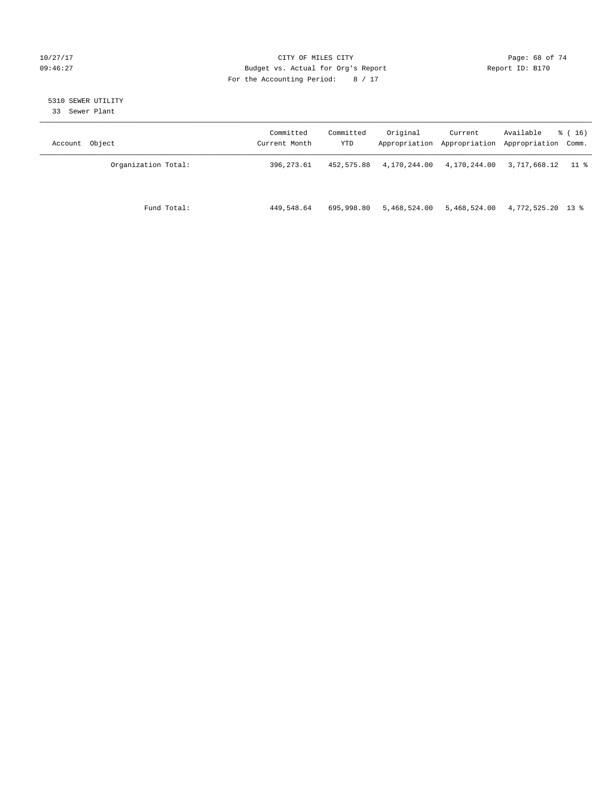#### 10/27/17 Page: 68 of 74 09:46:27 Budget vs. Actual for Org's Report Changer Report ID: B170 For the Accounting Period: 8 / 17

# 5310 SEWER UTILITY

33 Sewer Plant

| Account Object      | Committed<br>Current Month | Committed<br>YTD | Original     | Current      | Available<br>Appropriation Appropriation Appropriation Comm. | $\frac{3}{6}$ ( 16 ) |
|---------------------|----------------------------|------------------|--------------|--------------|--------------------------------------------------------------|----------------------|
| Organization Total: | 396, 273.61                | 452,575.88       | 4,170,244.00 | 4,170,244.00 | 3,717,668.12                                                 | 11 %                 |
| Fund Total:         | 449,548.64                 | 695,998.80       | 5,468,524.00 | 5,468,524.00 | 4,772,525.20 13 %                                            |                      |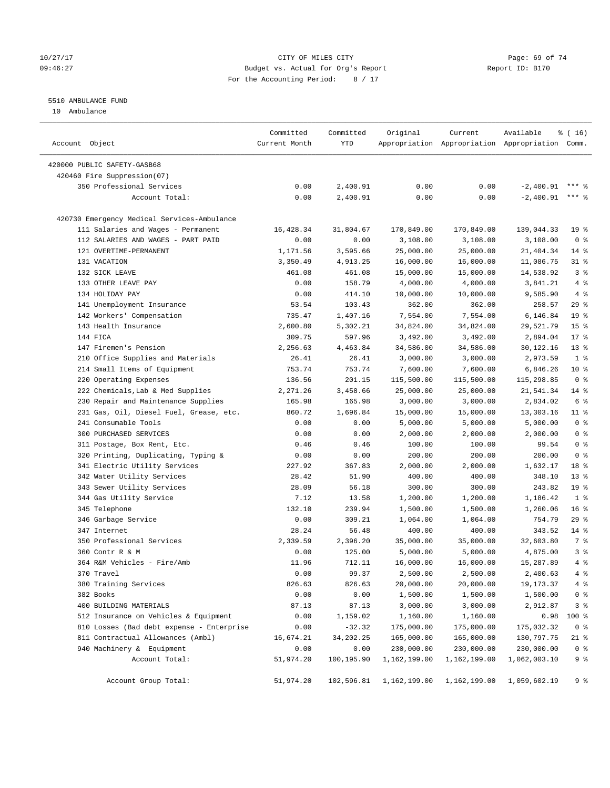#### 10/27/17 Page: 69 of 74 09:46:27 Budget vs. Actual for Org's Report Changer Report ID: B170 For the Accounting Period: 8 / 17

#### 5510 AMBULANCE FUND

10 Ambulance

| Account Object                              | Committed<br>Current Month | Committed<br>YTD | Original     | Current      | Available<br>Appropriation Appropriation Appropriation Comm. | $*(16)$         |
|---------------------------------------------|----------------------------|------------------|--------------|--------------|--------------------------------------------------------------|-----------------|
| 420000 PUBLIC SAFETY-GASB68                 |                            |                  |              |              |                                                              |                 |
| 420460 Fire Suppression(07)                 |                            |                  |              |              |                                                              |                 |
| 350 Professional Services                   | 0.00                       | 2,400.91         | 0.00         | 0.00         | $-2,400.91$                                                  |                 |
| Account Total:                              | 0.00                       | 2,400.91         | 0.00         | 0.00         | $-2,400.91$                                                  | $***$ $%$       |
|                                             |                            |                  |              |              |                                                              |                 |
| 420730 Emergency Medical Services-Ambulance |                            |                  |              |              |                                                              |                 |
| 111 Salaries and Wages - Permanent          | 16,428.34                  | 31,804.67        | 170,849.00   | 170,849.00   | 139,044.33                                                   | 19 <sup>°</sup> |
| 112 SALARIES AND WAGES - PART PAID          | 0.00                       | 0.00             | 3,108.00     | 3,108.00     | 3,108.00                                                     | 0 <sup>8</sup>  |
| 121 OVERTIME-PERMANENT                      | 1,171.56                   | 3,595.66         | 25,000.00    | 25,000.00    | 21,404.34                                                    | $14*$           |
| 131 VACATION                                | 3,350.49                   | 4,913.25         | 16,000.00    | 16,000.00    | 11,086.75                                                    | $31$ %          |
| 132 SICK LEAVE                              | 461.08                     | 461.08           | 15,000.00    | 15,000.00    | 14,538.92                                                    | 3 <sup>8</sup>  |
| 133 OTHER LEAVE PAY                         | 0.00                       | 158.79           | 4,000.00     | 4,000.00     | 3,841.21                                                     | 4%              |
| 134 HOLIDAY PAY                             | 0.00                       | 414.10           | 10,000.00    | 10,000.00    | 9,585.90                                                     | 4%              |
| 141 Unemployment Insurance                  | 53.54                      | 103.43           | 362.00       | 362.00       | 258.57                                                       | 29%             |
| 142 Workers' Compensation                   | 735.47                     | 1,407.16         | 7,554.00     | 7,554.00     | 6,146.84                                                     | 19 <sup>°</sup> |
| 143 Health Insurance                        | 2,600.80                   | 5,302.21         | 34,824.00    | 34,824.00    | 29,521.79                                                    | 15 <sup>°</sup> |
| 144 FICA                                    | 309.75                     | 597.96           | 3,492.00     | 3,492.00     | 2,894.04                                                     | $17*$           |
| 147 Firemen's Pension                       | 2,256.63                   | 4,463.84         | 34,586.00    | 34,586.00    | 30,122.16                                                    | 13 <sup>°</sup> |
| 210 Office Supplies and Materials           | 26.41                      | 26.41            | 3,000.00     | 3,000.00     | 2,973.59                                                     | 1 <sup>°</sup>  |
| 214 Small Items of Equipment                | 753.74                     | 753.74           | 7,600.00     | 7,600.00     | 6,846.26                                                     | $10*$           |
| 220 Operating Expenses                      | 136.56                     | 201.15           | 115,500.00   | 115,500.00   | 115,298.85                                                   | 0 <sup>8</sup>  |
| 222 Chemicals, Lab & Med Supplies           | 2,271.26                   | 3,458.66         | 25,000.00    | 25,000.00    | 21,541.34                                                    | $14*$           |
| 230 Repair and Maintenance Supplies         | 165.98                     | 165.98           | 3,000.00     | 3,000.00     | 2,834.02                                                     | 6 %             |
| 231 Gas, Oil, Diesel Fuel, Grease, etc.     | 860.72                     | 1,696.84         | 15,000.00    | 15,000.00    | 13,303.16                                                    | $11*$           |
| 241 Consumable Tools                        | 0.00                       | 0.00             | 5,000.00     | 5,000.00     | 5,000.00                                                     | 0 <sup>8</sup>  |
| 300 PURCHASED SERVICES                      | 0.00                       | 0.00             | 2,000.00     | 2,000.00     | 2,000.00                                                     | 0 <sup>8</sup>  |
| 311 Postage, Box Rent, Etc.                 | 0.46                       | 0.46             | 100.00       | 100.00       | 99.54                                                        | 0 <sup>8</sup>  |
| 320 Printing, Duplicating, Typing &         | 0.00                       | 0.00             | 200.00       | 200.00       | 200.00                                                       | 0 <sup>8</sup>  |
| 341 Electric Utility Services               | 227.92                     | 367.83           | 2,000.00     | 2,000.00     | 1,632.17                                                     | 18 %            |
| 342 Water Utility Services                  | 28.42                      | 51.90            | 400.00       | 400.00       | 348.10                                                       | $13*$           |
| 343 Sewer Utility Services                  | 28.09                      | 56.18            | 300.00       | 300.00       | 243.82                                                       | 19 <sup>°</sup> |
| 344 Gas Utility Service                     | 7.12                       | 13.58            | 1,200.00     | 1,200.00     | 1,186.42                                                     | 1 <sup>°</sup>  |
| 345 Telephone                               | 132.10                     | 239.94           | 1,500.00     | 1,500.00     | 1,260.06                                                     | 16 <sup>8</sup> |
| 346 Garbage Service                         | 0.00                       | 309.21           | 1,064.00     | 1,064.00     | 754.79                                                       | 29%             |
| 347 Internet                                | 28.24                      | 56.48            | 400.00       | 400.00       | 343.52                                                       | $14*$           |
| 350 Professional Services                   | 2,339.59                   | 2,396.20         | 35,000.00    | 35,000.00    | 32,603.80                                                    | 7 %             |
| 360 Contr R & M                             | 0.00                       | 125.00           | 5,000.00     | 5,000.00     | 4,875.00                                                     | 3 <sup>°</sup>  |
| 364 R&M Vehicles - Fire/Amb                 | 11.96                      | 712.11           | 16,000.00    | 16,000.00    | 15,287.89                                                    | 4%              |
| 370 Travel                                  | 0.00                       | 99.37            | 2,500.00     | 2,500.00     | 2,400.63                                                     | 4%              |
| 380 Training Services                       | 826.63                     | 826.63           | 20,000.00    | 20,000.00    | 19, 173. 37                                                  | $4\degree$      |
| 382 Books                                   | 0.00                       | 0.00             | 1,500.00     | 1,500.00     | 1,500.00                                                     | 0 <sup>8</sup>  |
| 400 BUILDING MATERIALS                      | 87.13                      | 87.13            | 3,000.00     | 3,000.00     | 2,912.87                                                     | 3 <sup>°</sup>  |
| 512 Insurance on Vehicles & Equipment       | 0.00                       | 1,159.02         | 1,160.00     | 1,160.00     | 0.98                                                         | 100 %           |
| 810 Losses (Bad debt expense - Enterprise   | 0.00                       | $-32.32$         | 175,000.00   | 175,000.00   | 175,032.32                                                   | 0 <sup>8</sup>  |
| 811 Contractual Allowances (Ambl)           | 16,674.21                  | 34,202.25        | 165,000.00   | 165,000.00   | 130,797.75                                                   | $21$ %          |
| 940 Machinery & Equipment                   | 0.00                       | 0.00             | 230,000.00   | 230,000.00   | 230,000.00                                                   | 0 <sup>8</sup>  |
| Account Total:                              | 51,974.20                  | 100,195.90       | 1,162,199.00 | 1,162,199.00 | 1,062,003.10                                                 | 9 %             |
| Account Group Total:                        | 51,974.20                  | 102,596.81       | 1,162,199.00 | 1,162,199.00 | 1,059,602.19                                                 | 9 %             |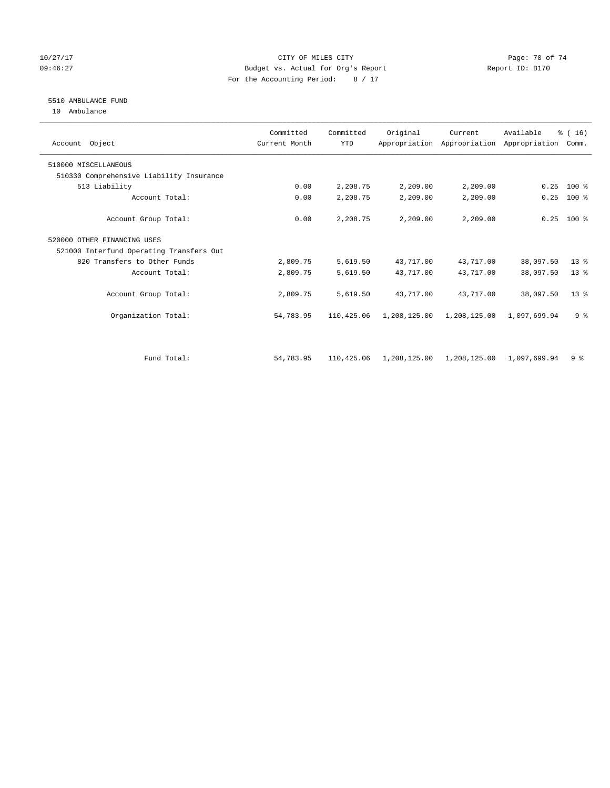#### 10/27/17 Page: 70 of 74 09:46:27 Budget vs. Actual for Org's Report Changer Report ID: B170 For the Accounting Period: 8 / 17

#### 5510 AMBULANCE FUND

10 Ambulance

| Account Object                           | Committed<br>Current Month | Committed<br><b>YTD</b> | Original     | Current      | Available<br>Appropriation Appropriation Appropriation | % (16)<br>Comm. |  |
|------------------------------------------|----------------------------|-------------------------|--------------|--------------|--------------------------------------------------------|-----------------|--|
| 510000 MISCELLANEOUS                     |                            |                         |              |              |                                                        |                 |  |
| 510330 Comprehensive Liability Insurance |                            |                         |              |              |                                                        |                 |  |
| 513 Liability                            | 0.00                       | 2,208.75                | 2,209.00     | 2,209.00     | 0.25                                                   | $100*$          |  |
| Account Total:                           | 0.00                       | 2,208.75                | 2,209.00     | 2,209.00     | 0.25                                                   | $100$ %         |  |
| Account Group Total:                     | 0.00                       | 2,208.75                | 2,209.00     | 2,209.00     | 0.25                                                   | $100*$          |  |
| 520000 OTHER FINANCING USES              |                            |                         |              |              |                                                        |                 |  |
| 521000 Interfund Operating Transfers Out |                            |                         |              |              |                                                        |                 |  |
| 820 Transfers to Other Funds             | 2,809.75                   | 5,619.50                | 43,717.00    | 43,717.00    | 38,097.50                                              | $13*$           |  |
| Account Total:                           | 2,809.75                   | 5,619.50                | 43,717.00    | 43,717.00    | 38,097.50                                              | $13*$           |  |
| Account Group Total:                     | 2,809.75                   | 5,619.50                | 43,717.00    | 43,717.00    | 38,097.50                                              | $13*$           |  |
| Organization Total:                      | 54,783.95                  | 110,425.06              | 1,208,125.00 | 1,208,125.00 | 1,097,699.94                                           | 9 <sup>°</sup>  |  |
|                                          |                            |                         |              |              |                                                        |                 |  |
| Fund Total:                              | 54,783.95                  | 110,425.06              | 1,208,125.00 | 1,208,125.00 | 1,097,699.94                                           | 9%              |  |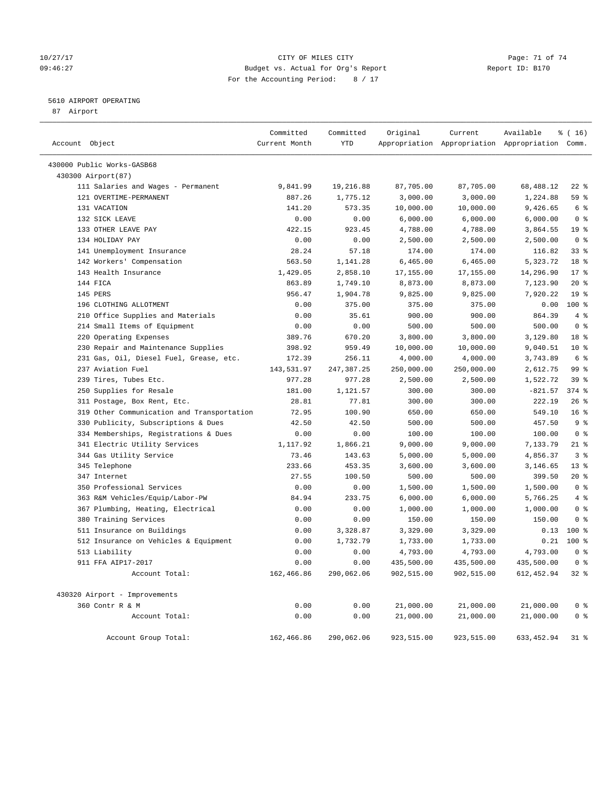#### 10/27/17 Page: 71 of 74 09:46:27 Budget vs. Actual for Org's Report Changer Report ID: B170 For the Accounting Period: 8 / 17

#### 5610 AIRPORT OPERATING

87 Airport

| Account Object |                                            | Committed<br>Current Month | Committed<br>YTD | Original   | Current    | Available<br>Appropriation Appropriation Appropriation Comm. | $*(16)$         |
|----------------|--------------------------------------------|----------------------------|------------------|------------|------------|--------------------------------------------------------------|-----------------|
|                | 430000 Public Works-GASB68                 |                            |                  |            |            |                                                              |                 |
|                | 430300 Airport (87)                        |                            |                  |            |            |                                                              |                 |
|                | 111 Salaries and Wages - Permanent         | 9,841.99                   | 19,216.88        | 87,705.00  | 87,705.00  | 68,488.12                                                    | $22$ %          |
|                | 121 OVERTIME-PERMANENT                     | 887.26                     | 1,775.12         | 3,000.00   | 3,000.00   | 1,224.88                                                     | 59 %            |
|                | 131 VACATION                               | 141.20                     | 573.35           | 10,000.00  | 10,000.00  | 9,426.65                                                     | 6 <sup>°</sup>  |
|                | 132 SICK LEAVE                             | 0.00                       | 0.00             | 6,000.00   | 6,000.00   | 6,000.00                                                     | 0 <sup>8</sup>  |
|                | 133 OTHER LEAVE PAY                        | 422.15                     | 923.45           | 4,788.00   | 4,788.00   | 3,864.55                                                     | 19 <sup>°</sup> |
|                | 134 HOLIDAY PAY                            | 0.00                       | 0.00             | 2,500.00   | 2,500.00   | 2,500.00                                                     | 0 <sup>8</sup>  |
|                | 141 Unemployment Insurance                 | 28.24                      | 57.18            | 174.00     | 174.00     | 116.82                                                       | 33%             |
|                | 142 Workers' Compensation                  | 563.50                     | 1,141.28         | 6,465.00   | 6,465.00   | 5,323.72                                                     | 18 %            |
|                | 143 Health Insurance                       | 1,429.05                   | 2,858.10         | 17,155.00  | 17,155.00  | 14,296.90                                                    | $17*$           |
|                | 144 FICA                                   | 863.89                     | 1,749.10         | 8,873.00   | 8,873.00   | 7,123.90                                                     | $20*$           |
|                | 145 PERS                                   | 956.47                     | 1,904.78         | 9,825.00   | 9,825.00   | 7,920.22                                                     | 19 <sup>°</sup> |
|                | 196 CLOTHING ALLOTMENT                     | 0.00                       | 375.00           | 375.00     | 375.00     | 0.00                                                         | 100 %           |
|                | 210 Office Supplies and Materials          | 0.00                       | 35.61            | 900.00     | 900.00     | 864.39                                                       | 4%              |
|                | 214 Small Items of Equipment               | 0.00                       | 0.00             | 500.00     | 500.00     | 500.00                                                       | 0 <sup>8</sup>  |
|                | 220 Operating Expenses                     | 389.76                     | 670.20           | 3,800.00   | 3,800.00   | 3,129.80                                                     | 18 %            |
|                | 230 Repair and Maintenance Supplies        | 398.92                     | 959.49           | 10,000.00  | 10,000.00  | 9,040.51                                                     | $10*$           |
|                | 231 Gas, Oil, Diesel Fuel, Grease, etc.    | 172.39                     | 256.11           | 4,000.00   | 4,000.00   | 3,743.89                                                     | 6 <sup>°</sup>  |
|                | 237 Aviation Fuel                          | 143,531.97                 | 247,387.25       | 250,000.00 | 250,000.00 | 2,612.75                                                     | 99 %            |
|                | 239 Tires, Tubes Etc.                      | 977.28                     | 977.28           | 2,500.00   | 2,500.00   | 1,522.72                                                     | 39%             |
|                | 250 Supplies for Resale                    | 181.00                     | 1,121.57         | 300.00     | 300.00     | $-821.57$                                                    | $374$ $%$       |
|                | 311 Postage, Box Rent, Etc.                | 28.81                      | 77.81            | 300.00     | 300.00     | 222.19                                                       | $26$ %          |
|                | 319 Other Communication and Transportation | 72.95                      | 100.90           | 650.00     | 650.00     | 549.10                                                       | 16 <sup>°</sup> |
|                | 330 Publicity, Subscriptions & Dues        | 42.50                      | 42.50            | 500.00     | 500.00     | 457.50                                                       | 9 <sup>°</sup>  |
|                | 334 Memberships, Registrations & Dues      | 0.00                       | 0.00             | 100.00     | 100.00     | 100.00                                                       | 0 <sup>8</sup>  |
|                | 341 Electric Utility Services              | 1,117.92                   | 1,866.21         | 9,000.00   | 9,000.00   | 7,133.79                                                     | $21$ %          |
|                | 344 Gas Utility Service                    | 73.46                      | 143.63           | 5,000.00   | 5,000.00   | 4,856.37                                                     | 3 <sup>°</sup>  |
|                | 345 Telephone                              | 233.66                     | 453.35           | 3,600.00   | 3,600.00   | 3,146.65                                                     | $13*$           |
|                | 347 Internet                               | 27.55                      | 100.50           | 500.00     | 500.00     | 399.50                                                       | $20*$           |
|                | 350 Professional Services                  | 0.00                       | 0.00             | 1,500.00   | 1,500.00   | 1,500.00                                                     | 0 <sup>8</sup>  |
|                | 363 R&M Vehicles/Equip/Labor-PW            | 84.94                      | 233.75           | 6,000.00   | 6,000.00   | 5,766.25                                                     | 4%              |
|                | 367 Plumbing, Heating, Electrical          | 0.00                       | 0.00             | 1,000.00   | 1,000.00   | 1,000.00                                                     | 0 <sup>8</sup>  |
|                | 380 Training Services                      | 0.00                       | 0.00             | 150.00     | 150.00     | 150.00                                                       | 0 <sup>8</sup>  |
|                | 511 Insurance on Buildings                 | 0.00                       | 3,328.87         | 3,329.00   | 3,329.00   | 0.13                                                         | 100%            |
|                | 512 Insurance on Vehicles & Equipment      | 0.00                       | 1,732.79         | 1,733.00   | 1,733.00   | 0.21                                                         | $100*$          |
|                | 513 Liability                              | 0.00                       | 0.00             | 4,793.00   | 4,793.00   | 4,793.00                                                     | 0 <sup>8</sup>  |
|                | 911 FFA AIP17-2017                         | 0.00                       | 0.00             | 435,500.00 | 435,500.00 | 435,500.00                                                   | 0 <sup>8</sup>  |
|                | Account Total:                             | 162,466.86                 | 290,062.06       | 902,515.00 | 902,515.00 | 612, 452.94                                                  | $32$ $%$        |
|                | 430320 Airport - Improvements              |                            |                  |            |            |                                                              |                 |
|                | 360 Contr R & M                            | 0.00                       | 0.00             | 21,000.00  | 21,000.00  | 21,000.00                                                    | 0 <sup>8</sup>  |
|                | Account Total:                             | 0.00                       | 0.00             | 21,000.00  | 21,000.00  | 21,000.00                                                    | 0 <sup>8</sup>  |
|                | Account Group Total:                       | 162,466.86                 | 290,062.06       | 923,515.00 | 923,515.00 | 633,452.94                                                   | $31$ %          |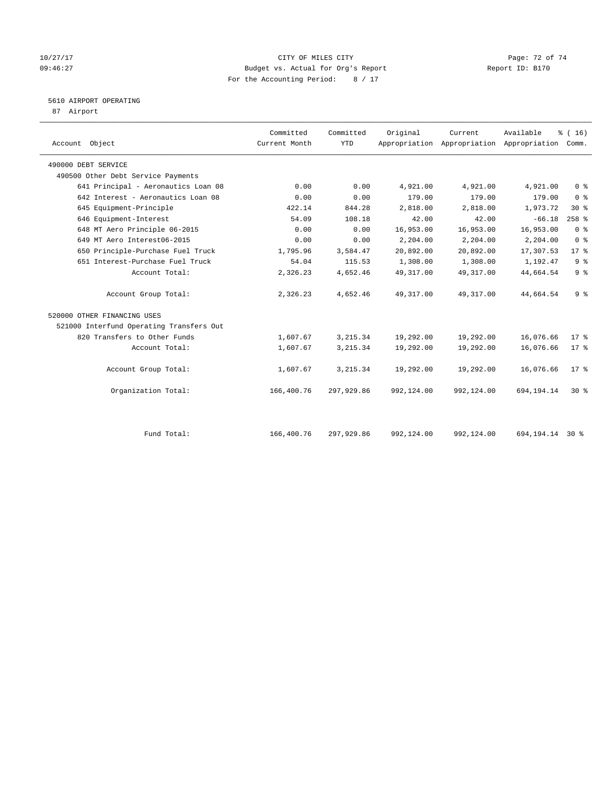#### $CITY$  OF MILES  $CITY$  and the contract of  $P4$ 09:46:27 Budget vs. Actual for Org's Report Changer Report ID: B170 For the Accounting Period: 8 / 17

#### 5610 AIRPORT OPERATING

87 Airport

| Account Object                           | Committed<br>Current Month | Committed<br><b>YTD</b> | Original   | Current<br>Appropriation Appropriation Appropriation Comm. | Available       | % (16)         |
|------------------------------------------|----------------------------|-------------------------|------------|------------------------------------------------------------|-----------------|----------------|
|                                          |                            |                         |            |                                                            |                 |                |
| 490000 DEBT SERVICE                      |                            |                         |            |                                                            |                 |                |
| 490500 Other Debt Service Payments       |                            |                         |            |                                                            |                 |                |
| 641 Principal - Aeronautics Loan 08      | 0.00                       | 0.00                    | 4,921.00   | 4,921.00                                                   | 4,921.00        | 0 <sup>8</sup> |
| 642 Interest - Aeronautics Loan 08       | 0.00                       | 0.00                    | 179.00     | 179.00                                                     | 179.00          | 0 <sup>8</sup> |
| 645 Equipment-Principle                  | 422.14                     | 844.28                  | 2,818.00   | 2,818.00                                                   | 1,973.72        | $30*$          |
| 646 Equipment-Interest                   | 54.09                      | 108.18                  | 42.00      | 42.00                                                      | $-66.18$        | $258$ $%$      |
| 648 MT Aero Principle 06-2015            | 0.00                       | 0.00                    | 16,953.00  | 16,953.00                                                  | 16,953.00       | 0 <sup>8</sup> |
| 649 MT Aero Interest06-2015              | 0.00                       | 0.00                    | 2,204.00   | 2,204.00                                                   | 2,204.00        | 0 <sup>8</sup> |
| 650 Principle-Purchase Fuel Truck        | 1,795.96                   | 3,584.47                | 20,892.00  | 20,892.00                                                  | 17,307.53       | $17*$          |
| 651 Interest-Purchase Fuel Truck         | 54.04                      | 115.53                  | 1,308.00   | 1,308.00                                                   | 1,192.47        | 9 <sup>°</sup> |
| Account Total:                           | 2,326.23                   | 4,652.46                | 49,317.00  | 49, 317.00                                                 | 44,664.54       | 9 <sup>°</sup> |
| Account Group Total:                     | 2,326.23                   | 4,652.46                | 49, 317.00 | 49, 317.00                                                 | 44,664.54       | 9 <sup>°</sup> |
| 520000 OTHER FINANCING USES              |                            |                         |            |                                                            |                 |                |
| 521000 Interfund Operating Transfers Out |                            |                         |            |                                                            |                 |                |
| 820 Transfers to Other Funds             | 1,607.67                   | 3, 215.34               | 19,292.00  | 19,292.00                                                  | 16,076.66       | 17.8           |
| Account Total:                           | 1,607.67                   | 3, 215.34               | 19,292.00  | 19,292.00                                                  | 16,076.66       | 17.8           |
| Account Group Total:                     | 1,607.67                   | 3, 215.34               | 19,292.00  | 19,292.00                                                  | 16,076.66       | $17*$          |
| Organization Total:                      | 166,400.76                 | 297,929.86              | 992,124.00 | 992,124.00                                                 | 694,194.14      | $30*$          |
|                                          |                            |                         |            |                                                            |                 |                |
| Fund Total:                              | 166,400.76                 | 297,929.86              | 992,124.00 | 992,124.00                                                 | 694,194.14 30 % |                |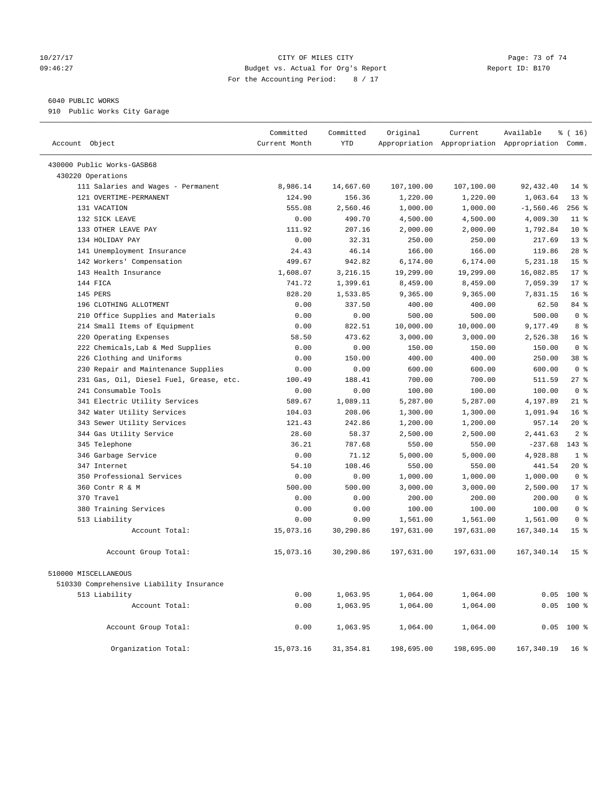## 10/27/17 Page: 73 of 74 09:46:27 Budget vs. Actual for Org's Report Changer Report ID: B170 For the Accounting Period: 8 / 17

## 6040 PUBLIC WORKS

910 Public Works City Garage

| Account Object                           | Committed<br>Current Month | Committed<br><b>YTD</b> | Original   | Current    | Available<br>Appropriation Appropriation Appropriation Comm. | % (16)          |
|------------------------------------------|----------------------------|-------------------------|------------|------------|--------------------------------------------------------------|-----------------|
| 430000 Public Works-GASB68               |                            |                         |            |            |                                                              |                 |
| 430220 Operations                        |                            |                         |            |            |                                                              |                 |
| 111 Salaries and Wages - Permanent       | 8,986.14                   | 14,667.60               | 107,100.00 | 107,100.00 | 92,432.40                                                    | $14*$           |
| 121 OVERTIME-PERMANENT                   | 124.90                     | 156.36                  | 1,220.00   | 1,220.00   | 1,063.64                                                     | $13*$           |
| 131 VACATION                             | 555.08                     | 2,560.46                | 1,000.00   | 1,000.00   | $-1,560.46$                                                  | $256$ %         |
| 132 SICK LEAVE                           | 0.00                       | 490.70                  | 4,500.00   | 4,500.00   | 4,009.30                                                     | $11$ %          |
| 133 OTHER LEAVE PAY                      | 111.92                     | 207.16                  | 2,000.00   | 2,000.00   | 1,792.84                                                     | $10*$           |
| 134 HOLIDAY PAY                          | 0.00                       | 32.31                   | 250.00     | 250.00     | 217.69                                                       | 13 <sup>°</sup> |
| 141 Unemployment Insurance               | 24.43                      | 46.14                   | 166.00     | 166.00     | 119.86                                                       | $28$ %          |
| 142 Workers' Compensation                | 499.67                     | 942.82                  | 6,174.00   | 6,174.00   | 5,231.18                                                     | 15 <sup>°</sup> |
| 143 Health Insurance                     | 1,608.07                   | 3,216.15                | 19,299.00  | 19,299.00  | 16,082.85                                                    | 17 <sup>8</sup> |
| 144 FICA                                 | 741.72                     | 1,399.61                | 8,459.00   | 8,459.00   | 7,059.39                                                     | $17*$           |
| 145 PERS                                 | 828.20                     | 1,533.85                | 9,365.00   | 9,365.00   | 7,831.15                                                     | 16 <sup>8</sup> |
| 196 CLOTHING ALLOTMENT                   | 0.00                       | 337.50                  | 400.00     | 400.00     | 62.50                                                        | 84 %            |
| 210 Office Supplies and Materials        | 0.00                       | 0.00                    | 500.00     | 500.00     | 500.00                                                       | 0 <sup>8</sup>  |
| 214 Small Items of Equipment             | 0.00                       | 822.51                  | 10,000.00  | 10,000.00  | 9,177.49                                                     | 8 %             |
| 220 Operating Expenses                   | 58.50                      | 473.62                  | 3,000.00   | 3,000.00   | 2,526.38                                                     | 16 <sup>°</sup> |
| 222 Chemicals, Lab & Med Supplies        | 0.00                       | 0.00                    | 150.00     | 150.00     | 150.00                                                       | 0 <sup>8</sup>  |
| 226 Clothing and Uniforms                | 0.00                       | 150.00                  | 400.00     | 400.00     | 250.00                                                       | 38 %            |
| 230 Repair and Maintenance Supplies      | 0.00                       | 0.00                    | 600.00     | 600.00     | 600.00                                                       | 0 <sup>8</sup>  |
| 231 Gas, Oil, Diesel Fuel, Grease, etc.  | 100.49                     | 188.41                  | 700.00     | 700.00     | 511.59                                                       | $27$ %          |
| 241 Consumable Tools                     | 0.00                       | 0.00                    | 100.00     | 100.00     | 100.00                                                       | 0 <sup>8</sup>  |
| 341 Electric Utility Services            | 589.67                     | 1,089.11                | 5,287.00   | 5,287.00   | 4,197.89                                                     | $21$ %          |
| 342 Water Utility Services               | 104.03                     | 208.06                  | 1,300.00   | 1,300.00   | 1,091.94                                                     | 16 <sup>°</sup> |
| 343 Sewer Utility Services               | 121.43                     | 242.86                  | 1,200.00   | 1,200.00   | 957.14                                                       | $20*$           |
| 344 Gas Utility Service                  | 28.60                      | 58.37                   | 2,500.00   | 2,500.00   | 2,441.63                                                     | 2 <sup>8</sup>  |
| 345 Telephone                            | 36.21                      | 787.68                  | 550.00     | 550.00     | $-237.68$                                                    | 143 %           |
| 346 Garbage Service                      | 0.00                       | 71.12                   | 5,000.00   | 5,000.00   | 4,928.88                                                     | 1 <sup>8</sup>  |
| 347 Internet                             | 54.10                      | 108.46                  | 550.00     | 550.00     | 441.54                                                       | $20*$           |
| 350 Professional Services                | 0.00                       | 0.00                    | 1,000.00   | 1,000.00   | 1,000.00                                                     | 0 <sup>8</sup>  |
| 360 Contr R & M                          | 500.00                     | 500.00                  | 3,000.00   | 3,000.00   | 2,500.00                                                     | $17*$           |
| 370 Travel                               | 0.00                       | 0.00                    | 200.00     | 200.00     | 200.00                                                       | 0 <sup>8</sup>  |
| 380 Training Services                    | 0.00                       | 0.00                    | 100.00     | 100.00     | 100.00                                                       | 0 <sup>8</sup>  |
| 513 Liability                            | 0.00                       | 0.00                    | 1,561.00   | 1,561.00   | 1,561.00                                                     | 0 <sup>8</sup>  |
| Account Total:                           | 15,073.16                  | 30,290.86               | 197,631.00 | 197,631.00 | 167, 340.14                                                  | 15 <sup>°</sup> |
| Account Group Total:                     | 15,073.16                  | 30,290.86               | 197,631.00 | 197,631.00 | 167,340.14                                                   | 15 <sup>°</sup> |
| 510000 MISCELLANEOUS                     |                            |                         |            |            |                                                              |                 |
| 510330 Comprehensive Liability Insurance |                            |                         |            |            |                                                              |                 |
| 513 Liability                            | 0.00                       | 1,063.95                | 1,064.00   | 1,064.00   |                                                              | $0.05$ 100 %    |
| Account Total:                           | 0.00                       | 1,063.95                | 1,064.00   | 1,064.00   |                                                              | $0.05$ 100 %    |
| Account Group Total:                     | 0.00                       | 1,063.95                | 1,064.00   | 1,064.00   |                                                              | $0.05$ 100 %    |
| Organization Total:                      | 15,073.16                  | 31,354.81               | 198,695.00 | 198,695.00 | 167,340.19                                                   | 16 <sup>8</sup> |